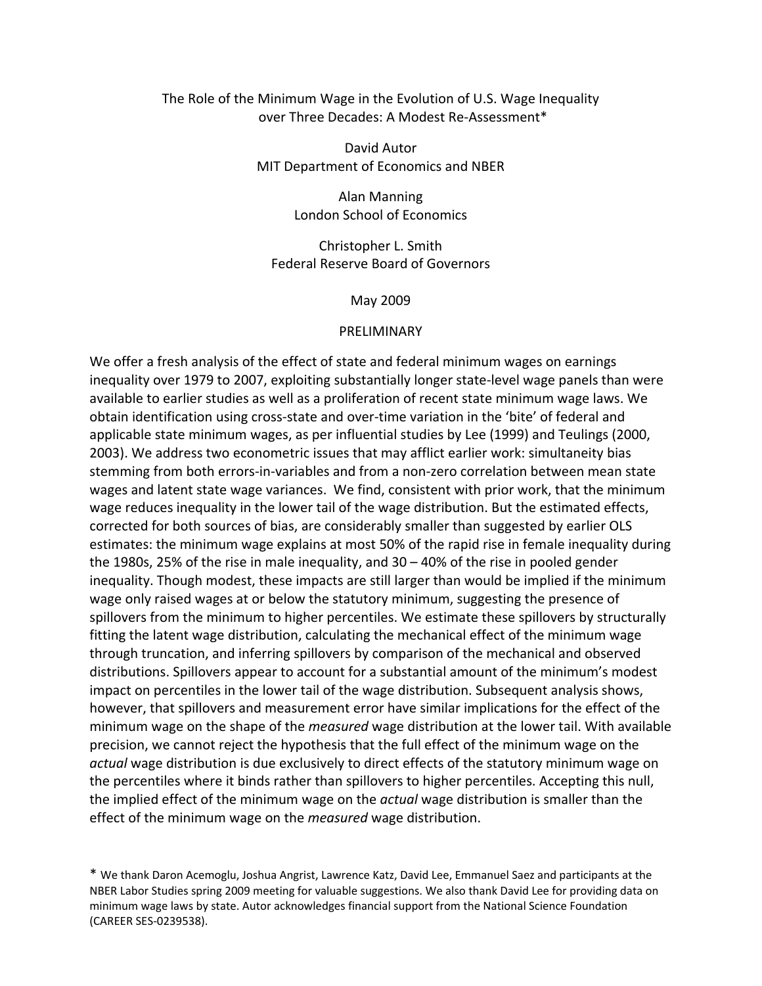# The Role of the Minimum Wage in the Evolution of U.S. Wage Inequality over Three Decades: A Modest Re‐Assessment\*

David Autor MIT Department of Economics and NBER

> Alan Manning London School of Economics

Christopher L. Smith Federal Reserve Board of Governors

May 2009

#### **PRELIMINARY**

We offer a fresh analysis of the effect of state and federal minimum wages on earnings inequality over 1979 to 2007, exploiting substantially longer state‐level wage panels than were available to earlier studies as well as a proliferation of recent state minimum wage laws. We obtain identification using cross‐state and over‐time variation in the 'bite' of federal and applicable state minimum wages, as per influential studies by Lee (1999) and Teulings (2000, 2003). We address two econometric issues that may afflict earlier work: simultaneity bias stemming from both errors‐in‐variables and from a non‐zero correlation between mean state wages and latent state wage variances. We find, consistent with prior work, that the minimum wage reduces inequality in the lower tail of the wage distribution. But the estimated effects, corrected for both sources of bias, are considerably smaller than suggested by earlier OLS estimates: the minimum wage explains at most 50% of the rapid rise in female inequality during the 1980s, 25% of the rise in male inequality, and 30 – 40% of the rise in pooled gender inequality. Though modest, these impacts are still larger than would be implied if the minimum wage only raised wages at or below the statutory minimum, suggesting the presence of spillovers from the minimum to higher percentiles. We estimate these spillovers by structurally fitting the latent wage distribution, calculating the mechanical effect of the minimum wage through truncation, and inferring spillovers by comparison of the mechanical and observed distributions. Spillovers appear to account for a substantial amount of the minimum's modest impact on percentiles in the lower tail of the wage distribution. Subsequent analysis shows, however, that spillovers and measurement error have similar implications for the effect of the minimum wage on the shape of the *measured* wage distribution at the lower tail. With available precision, we cannot reject the hypothesis that the full effect of the minimum wage on the *actual* wage distribution is due exclusively to direct effects of the statutory minimum wage on the percentiles where it binds rather than spillovers to higher percentiles. Accepting this null, the implied effect of the minimum wage on the *actual* wage distribution is smaller than the effect of the minimum wage on the *measured* wage distribution.

\* We thank Daron Acemoglu, Joshua Angrist, Lawrence Katz, David Lee, Emmanuel Saez and participants at the NBER Labor Studies spring 2009 meeting for valuable suggestions. We also thank David Lee for providing data on minimum wage laws by state. Autor acknowledges financial support from the National Science Foundation (CAREER SES‐0239538).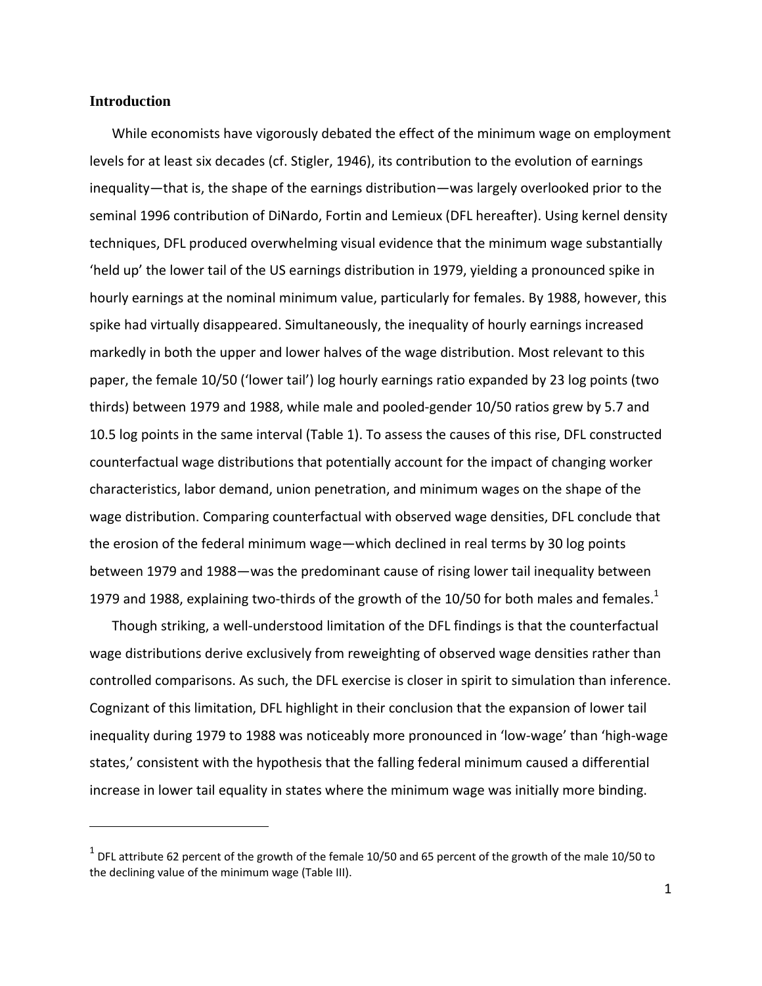### **Introduction**

While economists have vigorously debated the effect of the minimum wage on employment levels for at least six decades (cf. Stigler, 1946), its contribution to the evolution of earnings inequality—that is, the shape of the earnings distribution—was largely overlooked prior to the seminal 1996 contribution of DiNardo, Fortin and Lemieux (DFL hereafter). Using kernel density techniques, DFL produced overwhelming visual evidence that the minimum wage substantially 'held up' the lower tail of the US earnings distribution in 1979, yielding a pronounced spike in hourly earnings at the nominal minimum value, particularly for females. By 1988, however, this spike had virtually disappeared. Simultaneously, the inequality of hourly earnings increased markedly in both the upper and lower halves of the wage distribution. Most relevant to this paper, the female 10/50 ('lower tail') log hourly earnings ratio expanded by 23 log points (two thirds) between 1979 and 1988, while male and pooled‐gender 10/50 ratios grew by 5.7 and 10.5 log points in the same interval (Table 1). To assess the causes of this rise, DFL constructed counterfactual wage distributions that potentially account for the impact of changing worker characteristics, labor demand, union penetration, and minimum wages on the shape of the wage distribution. Comparing counterfactual with observed wage densities, DFL conclude that the erosion of the federal minimum wage—which declined in real terms by 30 log points between 1979 and 1988—was the predominant cause of rising lower tail inequality between 1979 and 1988, explaining two-thirds of the growth of the 10/50 for both males and females.<sup>1</sup>

Though striking, a well‐understood limitation of the DFL findings is that the counterfactual wage distributions derive exclusively from reweighting of observed wage densities rather than controlled comparisons. As such, the DFL exercise is closer in spirit to simulation than inference. Cognizant of this limitation, DFL highlight in their conclusion that the expansion of lower tail inequality during 1979 to 1988 was noticeably more pronounced in 'low‐wage' than 'high‐wage states,' consistent with the hypothesis that the falling federal minimum caused a differential increase in lower tail equality in states where the minimum wage was initially more binding.

 $1$  DFL attribute 62 percent of the growth of the female 10/50 and 65 percent of the growth of the male 10/50 to the declining value of the minimum wage (Table III).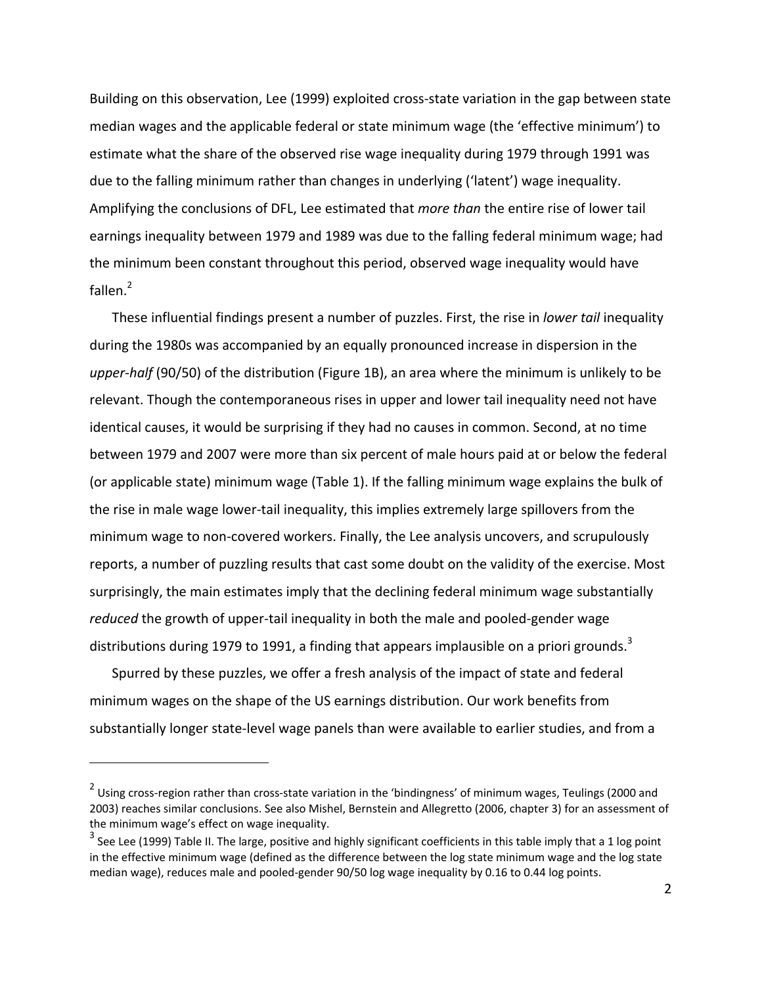Building on this observation, Lee (1999) exploited cross‐state variation in the gap between state median wages and the applicable federal or state minimum wage (the 'effective minimum') to estimate what the share of the observed rise wage inequality during 1979 through 1991 was due to the falling minimum rather than changes in underlying ('latent') wage inequality. Amplifying the conclusions of DFL, Lee estimated that *more than* the entire rise of lower tail earnings inequality between 1979 and 1989 was due to the falling federal minimum wage; had the minimum been constant throughout this period, observed wage inequality would have fallen. $^2$ 

These influential findings present a number of puzzles. First, the rise in *lower tail* inequality during the 1980s was accompanied by an equally pronounced increase in dispersion in the *upper‐half* (90/50) of the distribution (Figure 1B), an area where the minimum is unlikely to be relevant. Though the contemporaneous rises in upper and lower tail inequality need not have identical causes, it would be surprising if they had no causes in common. Second, at no time between 1979 and 2007 were more than six percent of male hours paid at or below the federal (or applicable state) minimum wage (Table 1). If the falling minimum wage explains the bulk of the rise in male wage lower-tail inequality, this implies extremely large spillovers from the minimum wage to non‐covered workers. Finally, the Lee analysis uncovers, and scrupulously reports, a number of puzzling results that cast some doubt on the validity of the exercise. Most surprisingly, the main estimates imply that the declining federal minimum wage substantially reduced the growth of upper-tail inequality in both the male and pooled-gender wage distributions during 1979 to 1991, a finding that appears implausible on a priori grounds.<sup>3</sup>

Spurred by these puzzles, we offer a fresh analysis of the impact of state and federal minimum wages on the shape of the US earnings distribution. Our work benefits from substantially longer state‐level wage panels than were available to earlier studies, and from a

<sup>&</sup>lt;sup>2</sup> Using cross-region rather than cross-state variation in the 'bindingness' of minimum wages, Teulings (2000 and 2003) reaches similar conclusions. See also Mishel, Bernstein and Allegretto (2006, chapter 3) for an assessment of the minimum wage's effect on wage inequality.

 $3$  See Lee (1999) Table II. The large, positive and highly significant coefficients in this table imply that a 1 log point in the effective minimum wage (defined as the difference between the log state minimum wage and the log state median wage), reduces male and pooled‐gender 90/50 log wage inequality by 0.16 to 0.44 log points.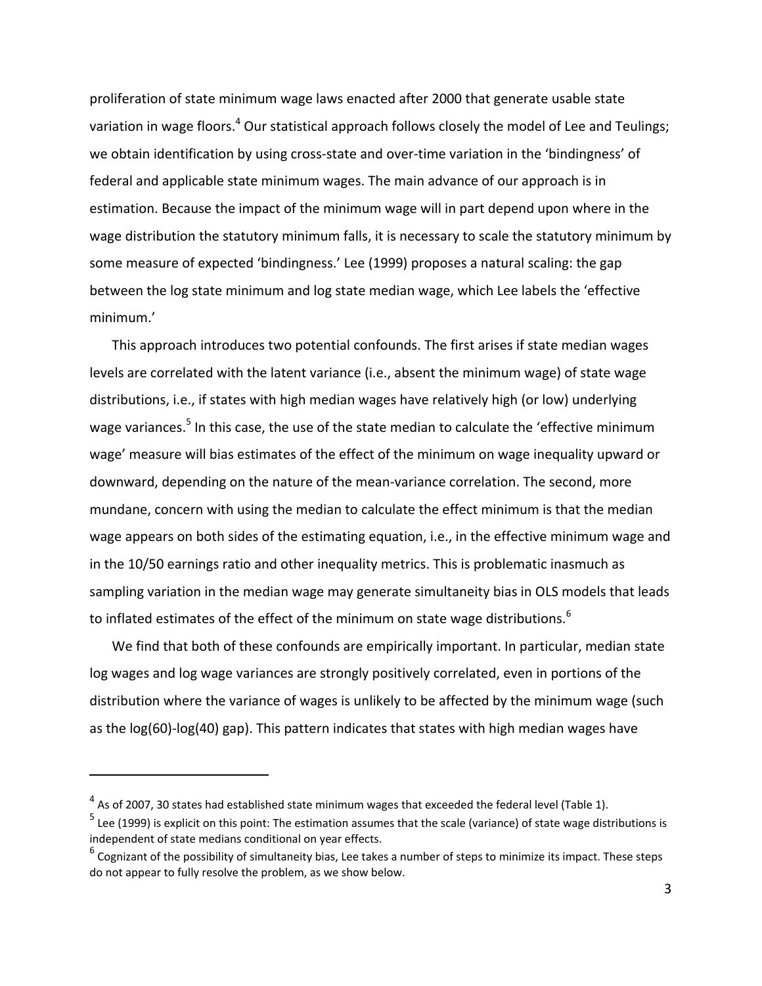proliferation of state minimum wage laws enacted after 2000 that generate usable state variation in wage floors.<sup>4</sup> Our statistical approach follows closely the model of Lee and Teulings; we obtain identification by using cross-state and over-time variation in the 'bindingness' of federal and applicable state minimum wages. The main advance of our approach is in estimation. Because the impact of the minimum wage will in part depend upon where in the wage distribution the statutory minimum falls, it is necessary to scale the statutory minimum by some measure of expected 'bindingness.' Lee (1999) proposes a natural scaling: the gap between the log state minimum and log state median wage, which Lee labels the 'effective minimum.'

This approach introduces two potential confounds. The first arises if state median wages levels are correlated with the latent variance (i.e., absent the minimum wage) of state wage distributions, i.e., if states with high median wages have relatively high (or low) underlying wage variances.<sup>5</sup> In this case, the use of the state median to calculate the 'effective minimum wage' measure will bias estimates of the effect of the minimum on wage inequality upward or downward, depending on the nature of the mean‐variance correlation. The second, more mundane, concern with using the median to calculate the effect minimum is that the median wage appears on both sides of the estimating equation, i.e., in the effective minimum wage and in the 10/50 earnings ratio and other inequality metrics. This is problematic inasmuch as sampling variation in the median wage may generate simultaneity bias in OLS models that leads to inflated estimates of the effect of the minimum on state wage distributions.<sup>6</sup>

We find that both of these confounds are empirically important. In particular, median state log wages and log wage variances are strongly positively correlated, even in portions of the distribution where the variance of wages is unlikely to be affected by the minimum wage (such as the log(60)-log(40) gap). This pattern indicates that states with high median wages have

 $4$  As of 2007, 30 states had established state minimum wages that exceeded the federal level (Table 1).

 $<sup>5</sup>$  Lee (1999) is explicit on this point: The estimation assumes that the scale (variance) of state wage distributions is</sup> independent of state medians conditional on year effects.

 $6$  Cognizant of the possibility of simultaneity bias, Lee takes a number of steps to minimize its impact. These steps do not appear to fully resolve the problem, as we show below.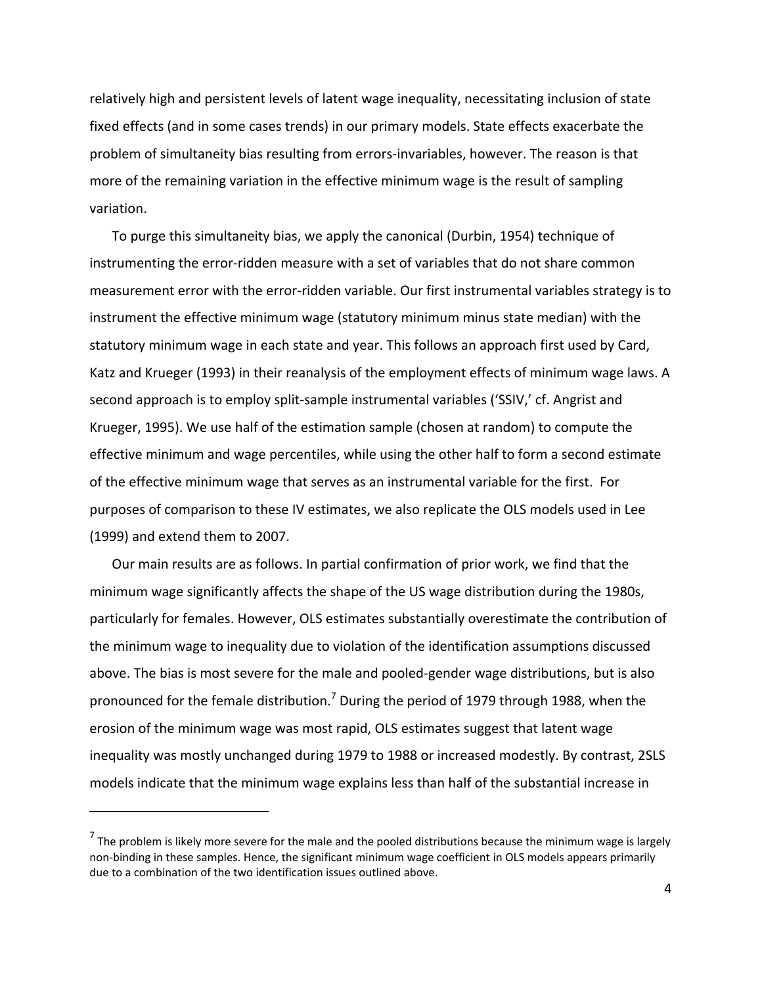relatively high and persistent levels of latent wage inequality, necessitating inclusion of state fixed effects (and in some cases trends) in our primary models. State effects exacerbate the problem of simultaneity bias resulting from errors‐invariables, however. The reason is that more of the remaining variation in the effective minimum wage is the result of sampling variation.

To purge this simultaneity bias, we apply the canonical (Durbin, 1954) technique of instrumenting the error‐ridden measure with a set of variables that do not share common measurement error with the error‐ridden variable. Our first instrumental variables strategy is to instrument the effective minimum wage (statutory minimum minus state median) with the statutory minimum wage in each state and year. This follows an approach first used by Card, Katz and Krueger (1993) in their reanalysis of the employment effects of minimum wage laws. A second approach is to employ split‐sample instrumental variables ('SSIV,' cf. Angrist and Krueger, 1995). We use half of the estimation sample (chosen at random) to compute the effective minimum and wage percentiles, while using the other half to form a second estimate of the effective minimum wage that serves as an instrumental variable for the first. For purposes of comparison to these IV estimates, we also replicate the OLS models used in Lee (1999) and extend them to 2007.

Our main results are as follows. In partial confirmation of prior work, we find that the minimum wage significantly affects the shape of the US wage distribution during the 1980s, particularly for females. However, OLS estimates substantially overestimate the contribution of the minimum wage to inequality due to violation of the identification assumptions discussed above. The bias is most severe for the male and pooled‐gender wage distributions, but is also pronounced for the female distribution.<sup>7</sup> During the period of 1979 through 1988, when the erosion of the minimum wage was most rapid, OLS estimates suggest that latent wage inequality was mostly unchanged during 1979 to 1988 or increased modestly. By contrast, 2SLS models indicate that the minimum wage explains less than half of the substantial increase in

 $<sup>7</sup>$  The problem is likely more severe for the male and the pooled distributions because the minimum wage is largely</sup> non‐binding in these samples. Hence, the significant minimum wage coefficient in OLS models appears primarily due to a combination of the two identification issues outlined above.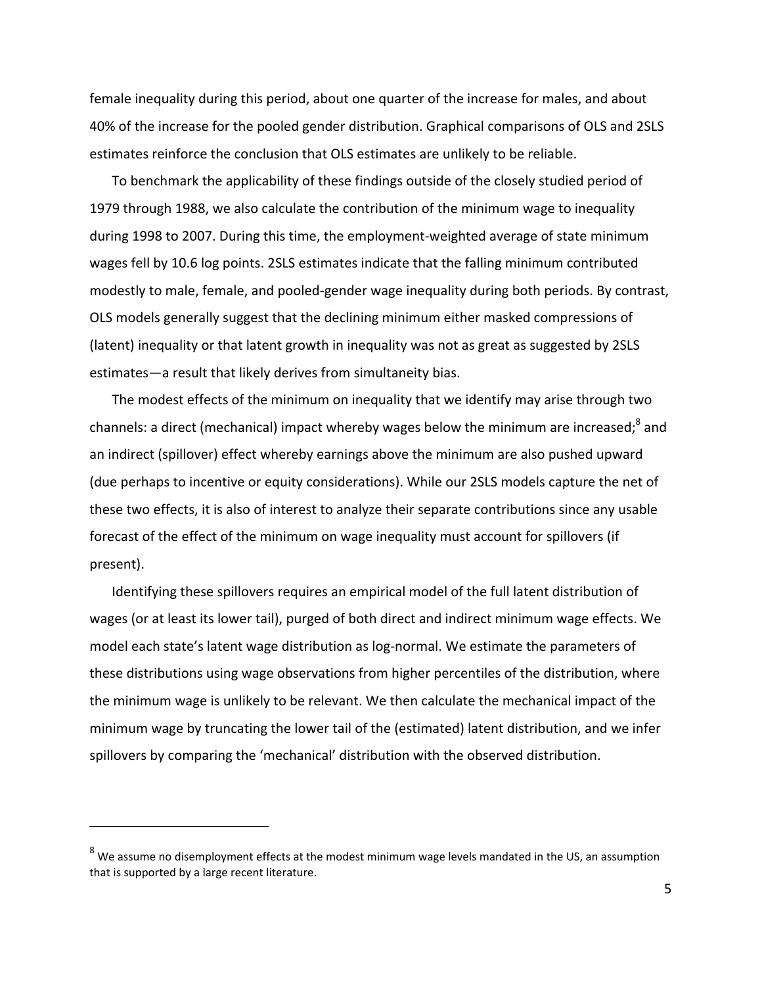female inequality during this period, about one quarter of the increase for males, and about 40% of the increase for the pooled gender distribution. Graphical comparisons of OLS and 2SLS estimates reinforce the conclusion that OLS estimates are unlikely to be reliable.

To benchmark the applicability of these findings outside of the closely studied period of 1979 through 1988, we also calculate the contribution of the minimum wage to inequality during 1998 to 2007. During this time, the employment‐weighted average of state minimum wages fell by 10.6 log points. 2SLS estimates indicate that the falling minimum contributed modestly to male, female, and pooled‐gender wage inequality during both periods. By contrast, OLS models generally suggest that the declining minimum either masked compressions of (latent) inequality or that latent growth in inequality was not as great as suggested by 2SLS estimates—a result that likely derives from simultaneity bias.

The modest effects of the minimum on inequality that we identify may arise through two channels: a direct (mechanical) impact whereby wages below the minimum are increased:<sup>8</sup> and an indirect (spillover) effect whereby earnings above the minimum are also pushed upward (due perhaps to incentive or equity considerations). While our 2SLS models capture the net of these two effects, it is also of interest to analyze their separate contributions since any usable forecast of the effect of the minimum on wage inequality must account for spillovers (if present).

Identifying these spillovers requires an empirical model of the full latent distribution of wages (or at least its lower tail), purged of both direct and indirect minimum wage effects. We model each state's latent wage distribution as log‐normal. We estimate the parameters of these distributions using wage observations from higher percentiles of the distribution, where the minimum wage is unlikely to be relevant. We then calculate the mechanical impact of the minimum wage by truncating the lower tail of the (estimated) latent distribution, and we infer spillovers by comparing the 'mechanical' distribution with the observed distribution.

 $8$  We assume no disemployment effects at the modest minimum wage levels mandated in the US, an assumption that is supported by a large recent literature.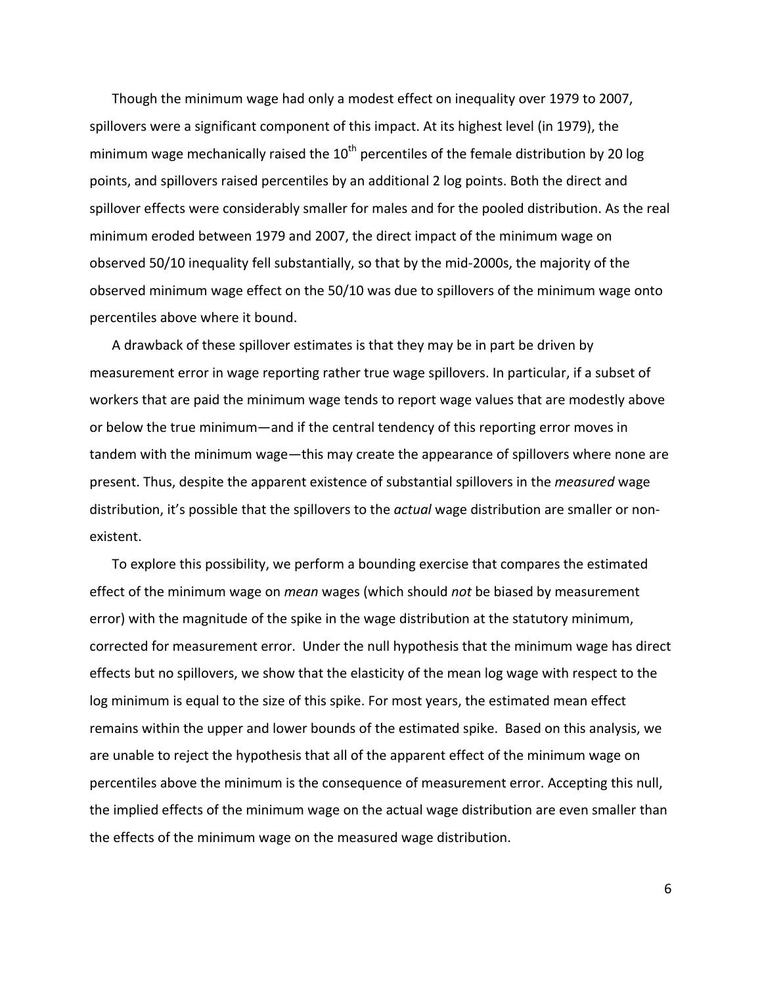Though the minimum wage had only a modest effect on inequality over 1979 to 2007, spillovers were a significant component of this impact. At its highest level (in 1979), the minimum wage mechanically raised the  $10^{th}$  percentiles of the female distribution by 20 log points, and spillovers raised percentiles by an additional 2 log points. Both the direct and spillover effects were considerably smaller for males and for the pooled distribution. As the real minimum eroded between 1979 and 2007, the direct impact of the minimum wage on observed 50/10 inequality fell substantially, so that by the mid‐2000s, the majority of the observed minimum wage effect on the 50/10 was due to spillovers of the minimum wage onto percentiles above where it bound.

A drawback of these spillover estimates is that they may be in part be driven by measurement error in wage reporting rather true wage spillovers. In particular, if a subset of workers that are paid the minimum wage tends to report wage values that are modestly above or below the true minimum—and if the central tendency of this reporting error moves in tandem with the minimum wage—this may create the appearance of spillovers where none are present. Thus, despite the apparent existence of substantial spillovers in the *measured* wage distribution, it's possible that the spillovers to the *actual* wage distribution are smaller or non‐ existent.

To explore this possibility, we perform a bounding exercise that compares the estimated effect of the minimum wage on *mean* wages (which should *not* be biased by measurement error) with the magnitude of the spike in the wage distribution at the statutory minimum, corrected for measurement error. Under the null hypothesis that the minimum wage has direct effects but no spillovers, we show that the elasticity of the mean log wage with respect to the log minimum is equal to the size of this spike. For most years, the estimated mean effect remains within the upper and lower bounds of the estimated spike. Based on this analysis, we are unable to reject the hypothesis that all of the apparent effect of the minimum wage on percentiles above the minimum is the consequence of measurement error. Accepting this null, the implied effects of the minimum wage on the actual wage distribution are even smaller than the effects of the minimum wage on the measured wage distribution.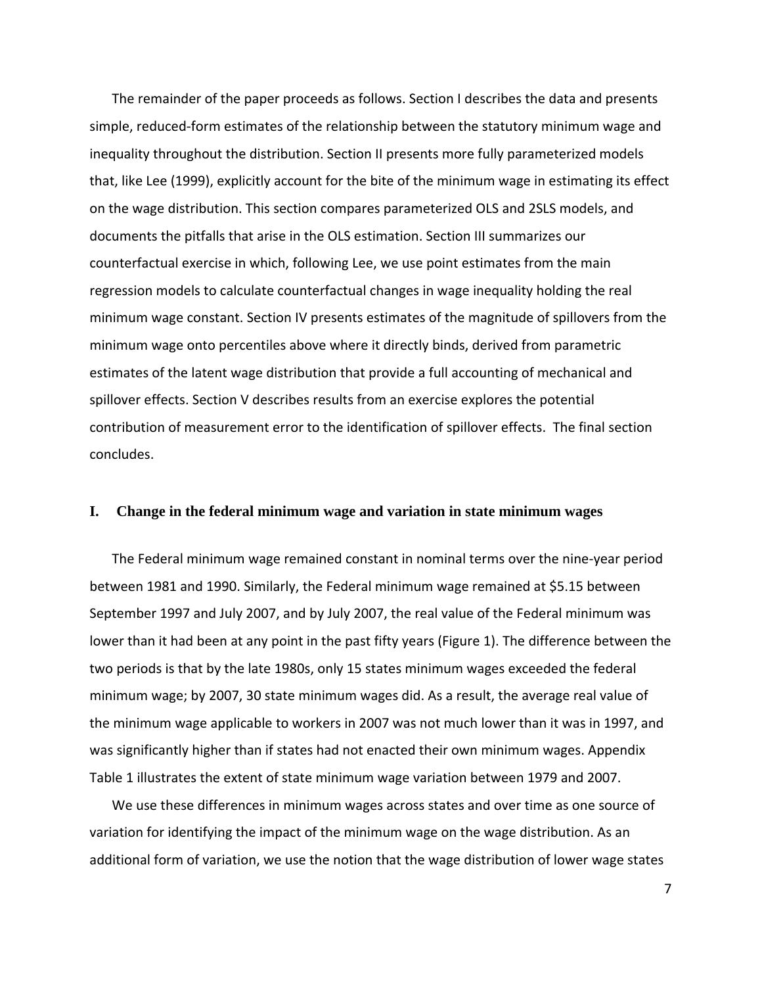The remainder of the paper proceeds as follows. Section I describes the data and presents simple, reduced‐form estimates of the relationship between the statutory minimum wage and inequality throughout the distribution. Section II presents more fully parameterized models that, like Lee (1999), explicitly account for the bite of the minimum wage in estimating its effect on the wage distribution. This section compares parameterized OLS and 2SLS models, and documents the pitfalls that arise in the OLS estimation. Section III summarizes our counterfactual exercise in which, following Lee, we use point estimates from the main regression models to calculate counterfactual changes in wage inequality holding the real minimum wage constant. Section IV presents estimates of the magnitude of spillovers from the minimum wage onto percentiles above where it directly binds, derived from parametric estimates of the latent wage distribution that provide a full accounting of mechanical and spillover effects. Section V describes results from an exercise explores the potential contribution of measurement error to the identification of spillover effects. The final section concludes.

#### **I. Change in the federal minimum wage and variation in state minimum wages**

The Federal minimum wage remained constant in nominal terms over the nine‐year period between 1981 and 1990. Similarly, the Federal minimum wage remained at \$5.15 between September 1997 and July 2007, and by July 2007, the real value of the Federal minimum was lower than it had been at any point in the past fifty years (Figure 1). The difference between the two periods is that by the late 1980s, only 15 states minimum wages exceeded the federal minimum wage; by 2007, 30 state minimum wages did. As a result, the average real value of the minimum wage applicable to workers in 2007 was not much lower than it was in 1997, and was significantly higher than if states had not enacted their own minimum wages. Appendix Table 1 illustrates the extent of state minimum wage variation between 1979 and 2007.

We use these differences in minimum wages across states and over time as one source of variation for identifying the impact of the minimum wage on the wage distribution. As an additional form of variation, we use the notion that the wage distribution of lower wage states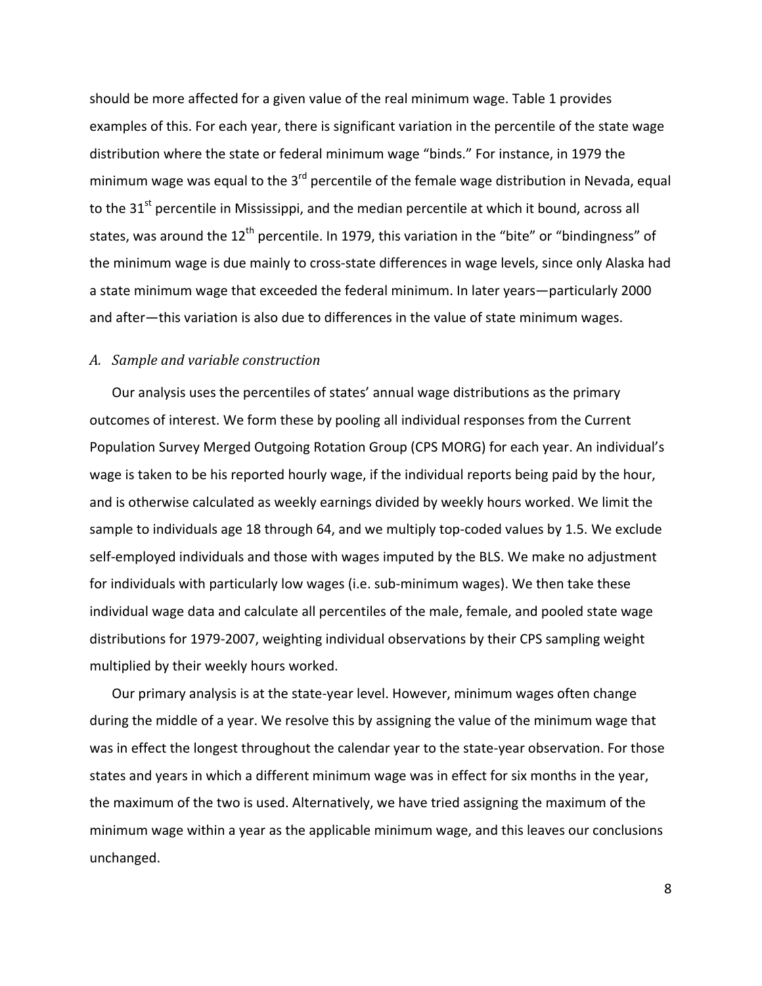should be more affected for a given value of the real minimum wage. Table 1 provides examples of this. For each year, there is significant variation in the percentile of the state wage distribution where the state or federal minimum wage "binds." For instance, in 1979 the minimum wage was equal to the  $3<sup>rd</sup>$  percentile of the female wage distribution in Nevada, equal to the 31 $^{\text{st}}$  percentile in Mississippi, and the median percentile at which it bound, across all states, was around the 12<sup>th</sup> percentile. In 1979, this variation in the "bite" or "bindingness" of the minimum wage is due mainly to cross‐state differences in wage levels, since only Alaska had a state minimum wage that exceeded the federal minimum. In later years—particularly 2000 and after—this variation is also due to differences in the value of state minimum wages.

### *A. Sample and variable construction*

Our analysis uses the percentiles of states' annual wage distributions as the primary outcomes of interest. We form these by pooling all individual responses from the Current Population Survey Merged Outgoing Rotation Group (CPS MORG) for each year. An individual's wage is taken to be his reported hourly wage, if the individual reports being paid by the hour, and is otherwise calculated as weekly earnings divided by weekly hours worked. We limit the sample to individuals age 18 through 64, and we multiply top-coded values by 1.5. We exclude self-employed individuals and those with wages imputed by the BLS. We make no adjustment for individuals with particularly low wages (i.e. sub‐minimum wages). We then take these individual wage data and calculate all percentiles of the male, female, and pooled state wage distributions for 1979‐2007, weighting individual observations by their CPS sampling weight multiplied by their weekly hours worked.

Our primary analysis is at the state‐year level. However, minimum wages often change during the middle of a year. We resolve this by assigning the value of the minimum wage that was in effect the longest throughout the calendar year to the state-year observation. For those states and years in which a different minimum wage was in effect for six months in the year, the maximum of the two is used. Alternatively, we have tried assigning the maximum of the minimum wage within a year as the applicable minimum wage, and this leaves our conclusions unchanged.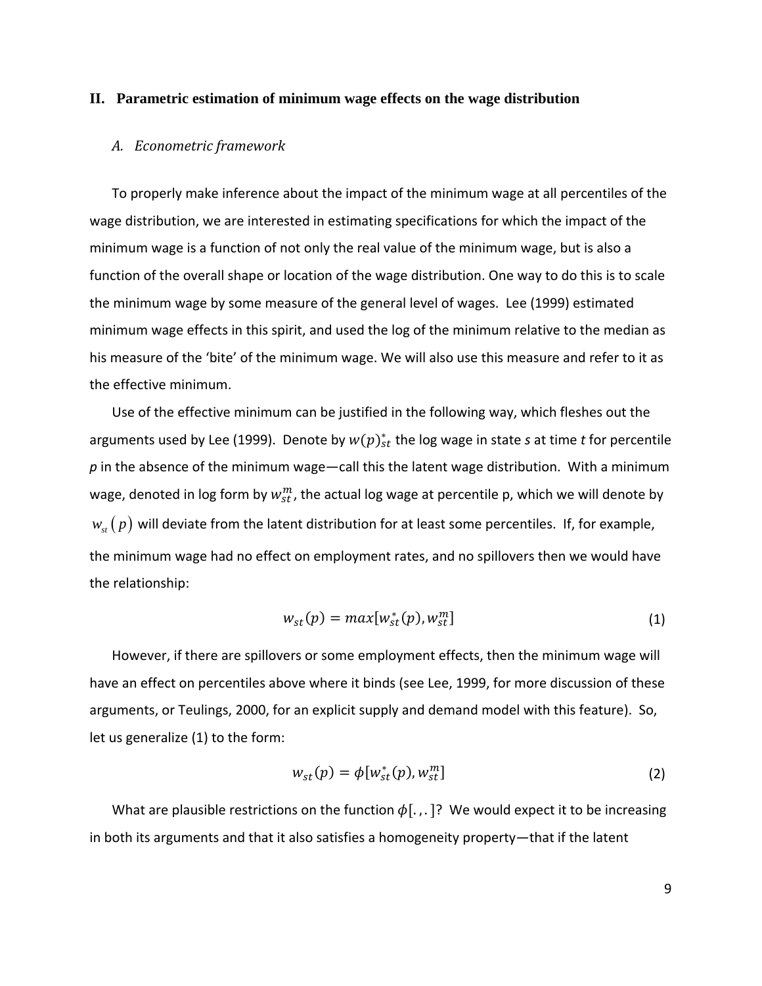#### **II. Parametric estimation of minimum wage effects on the wage distribution**

#### *A. Econometric framework*

To properly make inference about the impact of the minimum wage at all percentiles of the wage distribution, we are interested in estimating specifications for which the impact of the minimum wage is a function of not only the real value of the minimum wage, but is also a function of the overall shape or location of the wage distribution. One way to do this is to scale the minimum wage by some measure of the general level of wages. Lee (1999) estimated minimum wage effects in this spirit, and used the log of the minimum relative to the median as his measure of the 'bite' of the minimum wage. We will also use this measure and refer to it as the effective minimum.

Use of the effective minimum can be justified in the following way, which fleshes out the arguments used by Lee (1999). Denote by  $w(p)_{st}^*$  the log wage in state *s* at time *t* for percentile *p* in the absence of the minimum wage—call this the latent wage distribution. With a minimum wage, denoted in log form by  $w_{st}^m$ , the actual log wage at percentile p, which we will denote by  $w_{st}(p)$  will deviate from the latent distribution for at least some percentiles. If, for example, the minimum wage had no effect on employment rates, and no spillovers then we would have the relationship:

$$
w_{st}(p) = max[w_{st}^*(p), w_{st}^m]
$$
\n(1)

However, if there are spillovers or some employment effects, then the minimum wage will have an effect on percentiles above where it binds (see Lee, 1999, for more discussion of these arguments, or Teulings, 2000, for an explicit supply and demand model with this feature). So, let us generalize (1) to the form:

$$
w_{st}(p) = \phi[w_{st}^*(p), w_{st}^m]
$$
 (2)

What are plausible restrictions on the function  $\phi$ [...]? We would expect it to be increasing in both its arguments and that it also satisfies a homogeneity property—that if the latent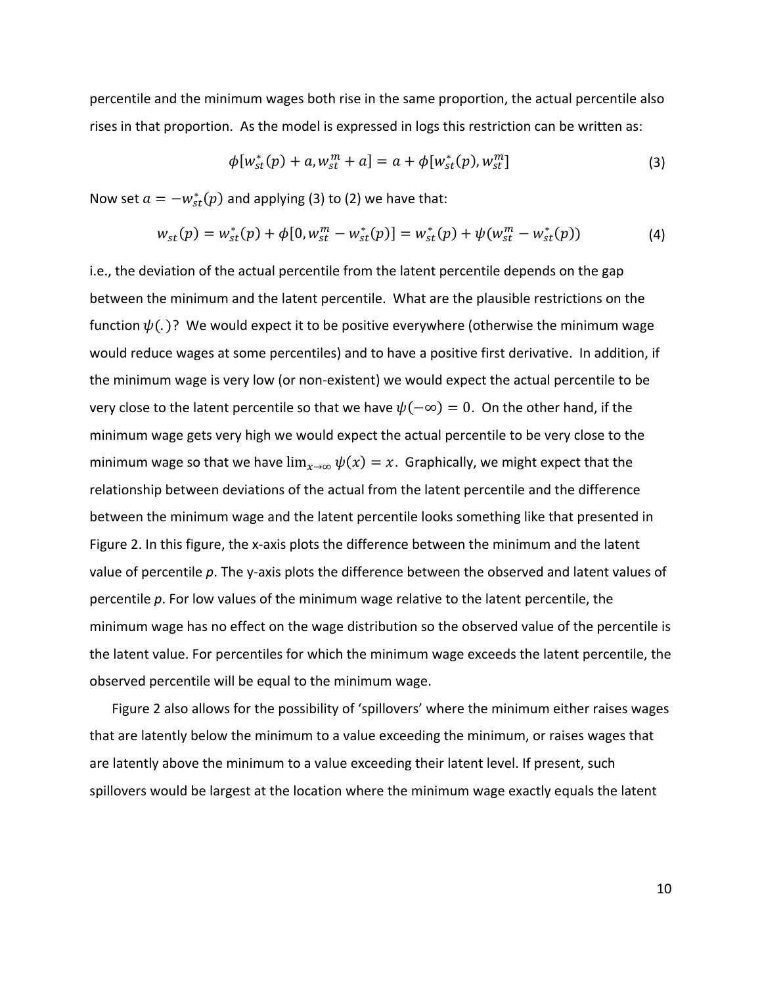percentile and the minimum wages both rise in the same proportion, the actual percentile also rises in that proportion. As the model is expressed in logs this restriction can be written as:

$$
\phi[w_{st}^*(p) + a, w_{st}^m + a] = a + \phi[w_{st}^*(p), w_{st}^m]
$$
\n(3)

Now set  $a = -w_{st}^*(p)$  and applying (3) to (2) we have that:

$$
w_{st}(p) = w_{st}^*(p) + \phi[0, w_{st}^m - w_{st}^*(p)] = w_{st}^*(p) + \psi(w_{st}^m - w_{st}^*(p))
$$
\n(4)

i.e., the deviation of the actual percentile from the latent percentile depends on the gap between the minimum and the latent percentile. What are the plausible restrictions on the function  $\psi(.)$ ? We would expect it to be positive everywhere (otherwise the minimum wage would reduce wages at some percentiles) and to have a positive first derivative. In addition, if the minimum wage is very low (or non‐existent) we would expect the actual percentile to be very close to the latent percentile so that we have  $\psi(-\infty) = 0$ . On the other hand, if the minimum wage gets very high we would expect the actual percentile to be very close to the minimum wage so that we have  $\lim_{x\to\infty} \psi(x) = x$ . Graphically, we might expect that the relationship between deviations of the actual from the latent percentile and the difference between the minimum wage and the latent percentile looks something like that presented in Figure 2. In this figure, the x-axis plots the difference between the minimum and the latent value of percentile *p*. The y‐axis plots the difference between the observed and latent values of percentile *p*. For low values of the minimum wage relative to the latent percentile, the minimum wage has no effect on the wage distribution so the observed value of the percentile is the latent value. For percentiles for which the minimum wage exceeds the latent percentile, the observed percentile will be equal to the minimum wage.

Figure 2 also allows for the possibility of 'spillovers' where the minimum either raises wages that are latently below the minimum to a value exceeding the minimum, or raises wages that are latently above the minimum to a value exceeding their latent level. If present, such spillovers would be largest at the location where the minimum wage exactly equals the latent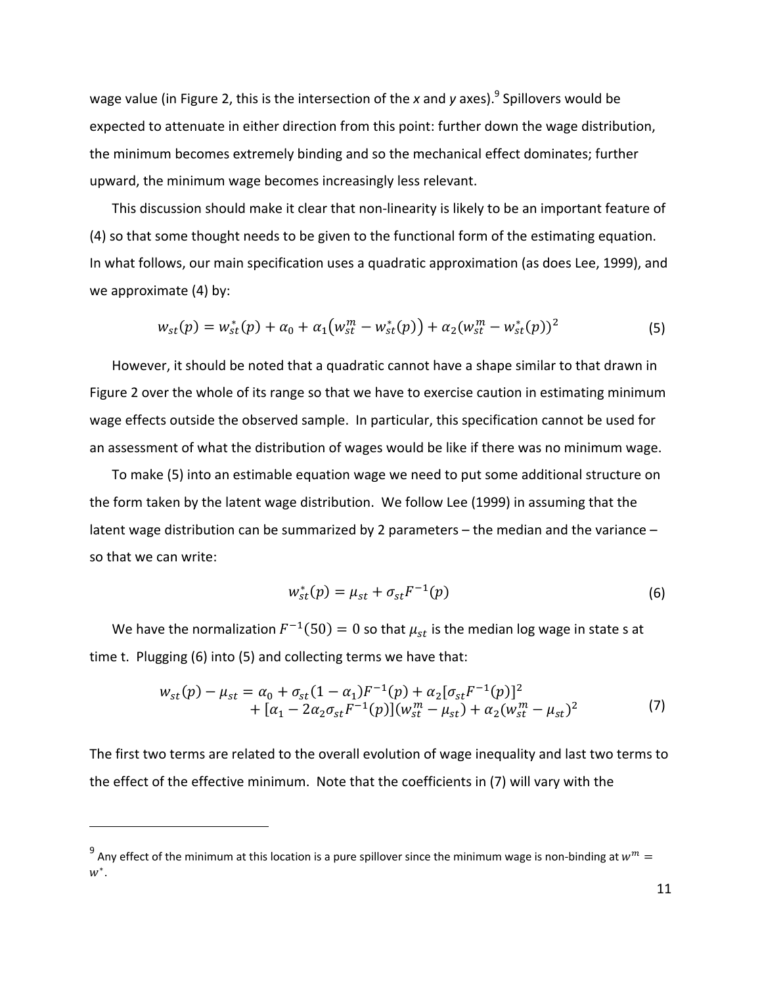wage value (in Figure 2, this is the intersection of the *x* and *y* axes).<sup>9</sup> Spillovers would be expected to attenuate in either direction from this point: further down the wage distribution, the minimum becomes extremely binding and so the mechanical effect dominates; further upward, the minimum wage becomes increasingly less relevant.

This discussion should make it clear that non‐linearity is likely to be an important feature of (4) so that some thought needs to be given to the functional form of the estimating equation. In what follows, our main specification uses a quadratic approximation (as does Lee, 1999), and we approximate (4) by:

$$
w_{st}(p) = w_{st}^*(p) + \alpha_0 + \alpha_1 \big( w_{st}^m - w_{st}^*(p) \big) + \alpha_2 (w_{st}^m - w_{st}^*(p))^2 \tag{5}
$$

However, it should be noted that a quadratic cannot have a shape similar to that drawn in Figure 2 over the whole of its range so that we have to exercise caution in estimating minimum wage effects outside the observed sample. In particular, this specification cannot be used for an assessment of what the distribution of wages would be like if there was no minimum wage.

To make (5) into an estimable equation wage we need to put some additional structure on the form taken by the latent wage distribution. We follow Lee (1999) in assuming that the latent wage distribution can be summarized by 2 parameters – the median and the variance – so that we can write:

$$
w_{st}^*(p) = \mu_{st} + \sigma_{st} F^{-1}(p)
$$
\n(6)

We have the normalization  $F^{-1}(50) = 0$  so that  $\mu_{st}$  is the median log wage in state s at time t. Plugging (6) into (5) and collecting terms we have that:

$$
w_{st}(p) - \mu_{st} = \alpha_0 + \sigma_{st}(1 - \alpha_1)F^{-1}(p) + \alpha_2[\sigma_{st}F^{-1}(p)]^2
$$
  
+  $[\alpha_1 - 2\alpha_2\sigma_{st}F^{-1}(p)](w_{st}^m - \mu_{st}) + \alpha_2(w_{st}^m - \mu_{st})^2$  (7)

The first two terms are related to the overall evolution of wage inequality and last two terms to the effect of the effective minimum. Note that the coefficients in (7) will vary with the

<sup>&</sup>lt;sup>9</sup> Any effect of the minimum at this location is a pure spillover since the minimum wage is non-binding at  $w^m =$  $w^*$ .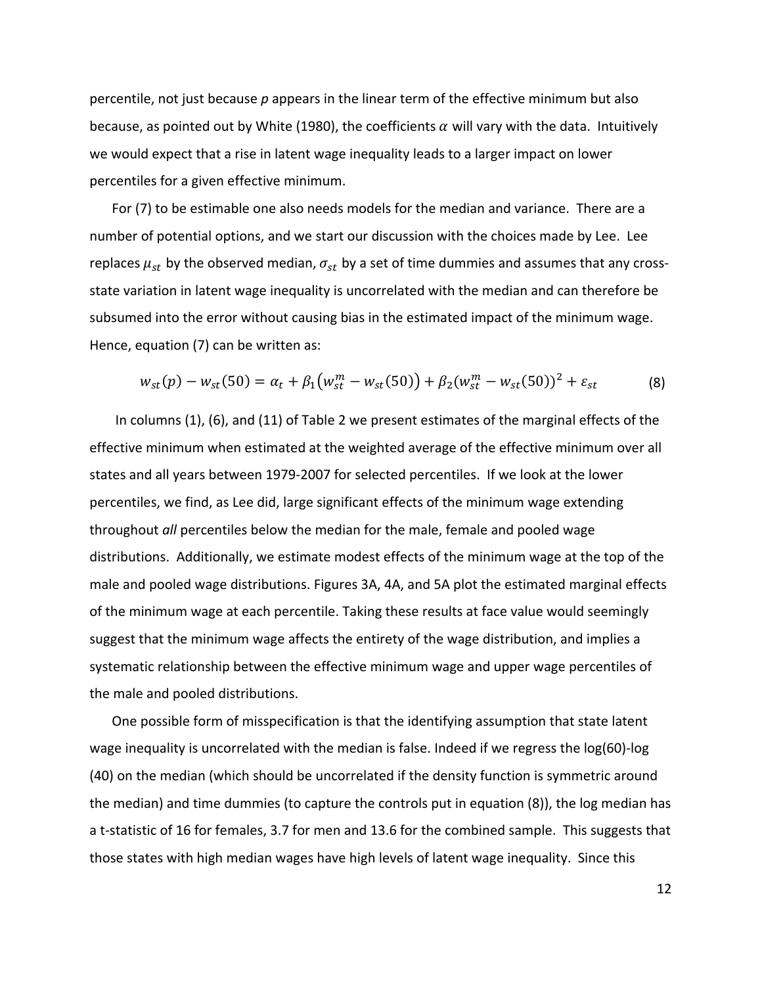percentile, not just because *p* appears in the linear term of the effective minimum but also because, as pointed out by White (1980), the coefficients  $\alpha$  will vary with the data. Intuitively we would expect that a rise in latent wage inequality leads to a larger impact on lower percentiles for a given effective minimum.

For (7) to be estimable one also needs models for the median and variance. There are a number of potential options, and we start our discussion with the choices made by Lee. Lee replaces  $\mu_{st}$  by the observed median,  $\sigma_{st}$  by a set of time dummies and assumes that any crossstate variation in latent wage inequality is uncorrelated with the median and can therefore be subsumed into the error without causing bias in the estimated impact of the minimum wage. Hence, equation (7) can be written as:

$$
w_{st}(p) - w_{st}(50) = \alpha_t + \beta_1 \big( w_{st}^m - w_{st}(50) \big) + \beta_2 (w_{st}^m - w_{st}(50))^2 + \varepsilon_{st}
$$
(8)

In columns (1), (6), and (11) of Table 2 we present estimates of the marginal effects of the effective minimum when estimated at the weighted average of the effective minimum over all states and all years between 1979‐2007 for selected percentiles. If we look at the lower percentiles, we find, as Lee did, large significant effects of the minimum wage extending throughout *all* percentiles below the median for the male, female and pooled wage distributions. Additionally, we estimate modest effects of the minimum wage at the top of the male and pooled wage distributions. Figures 3A, 4A, and 5A plot the estimated marginal effects of the minimum wage at each percentile. Taking these results at face value would seemingly suggest that the minimum wage affects the entirety of the wage distribution, and implies a systematic relationship between the effective minimum wage and upper wage percentiles of the male and pooled distributions.

One possible form of misspecification is that the identifying assumption that state latent wage inequality is uncorrelated with the median is false. Indeed if we regress the log(60)-log (40) on the median (which should be uncorrelated if the density function is symmetric around the median) and time dummies (to capture the controls put in equation (8)), the log median has a t-statistic of 16 for females, 3.7 for men and 13.6 for the combined sample. This suggests that those states with high median wages have high levels of latent wage inequality. Since this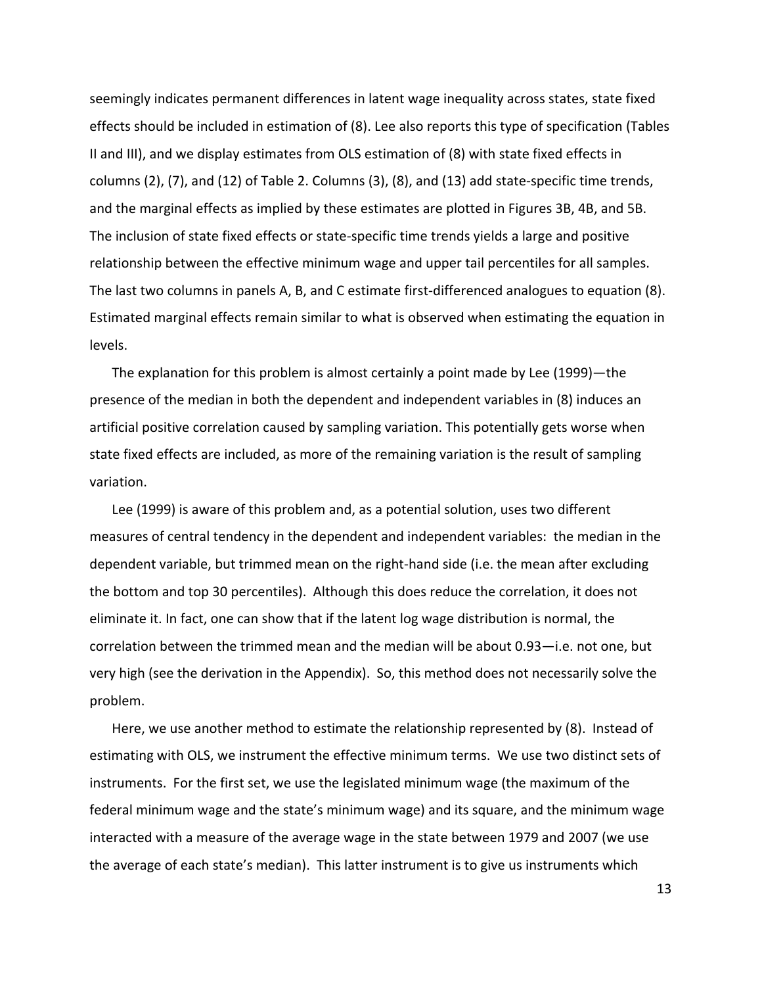seemingly indicates permanent differences in latent wage inequality across states, state fixed effects should be included in estimation of (8). Lee also reports this type of specification (Tables II and III), and we display estimates from OLS estimation of (8) with state fixed effects in columns (2), (7), and (12) of Table 2. Columns (3), (8), and (13) add state‐specific time trends, and the marginal effects as implied by these estimates are plotted in Figures 3B, 4B, and 5B. The inclusion of state fixed effects or state‐specific time trends yields a large and positive relationship between the effective minimum wage and upper tail percentiles for all samples. The last two columns in panels A, B, and C estimate first-differenced analogues to equation (8). Estimated marginal effects remain similar to what is observed when estimating the equation in levels.

The explanation for this problem is almost certainly a point made by Lee (1999)—the presence of the median in both the dependent and independent variables in (8) induces an artificial positive correlation caused by sampling variation. This potentially gets worse when state fixed effects are included, as more of the remaining variation is the result of sampling variation.

Lee (1999) is aware of this problem and, as a potential solution, uses two different measures of central tendency in the dependent and independent variables: the median in the dependent variable, but trimmed mean on the right‐hand side (i.e. the mean after excluding the bottom and top 30 percentiles). Although this does reduce the correlation, it does not eliminate it. In fact, one can show that if the latent log wage distribution is normal, the correlation between the trimmed mean and the median will be about 0.93—i.e. not one, but very high (see the derivation in the Appendix). So, this method does not necessarily solve the problem.

Here, we use another method to estimate the relationship represented by (8). Instead of estimating with OLS, we instrument the effective minimum terms. We use two distinct sets of instruments. For the first set, we use the legislated minimum wage (the maximum of the federal minimum wage and the state's minimum wage) and its square, and the minimum wage interacted with a measure of the average wage in the state between 1979 and 2007 (we use the average of each state's median). This latter instrument is to give us instruments which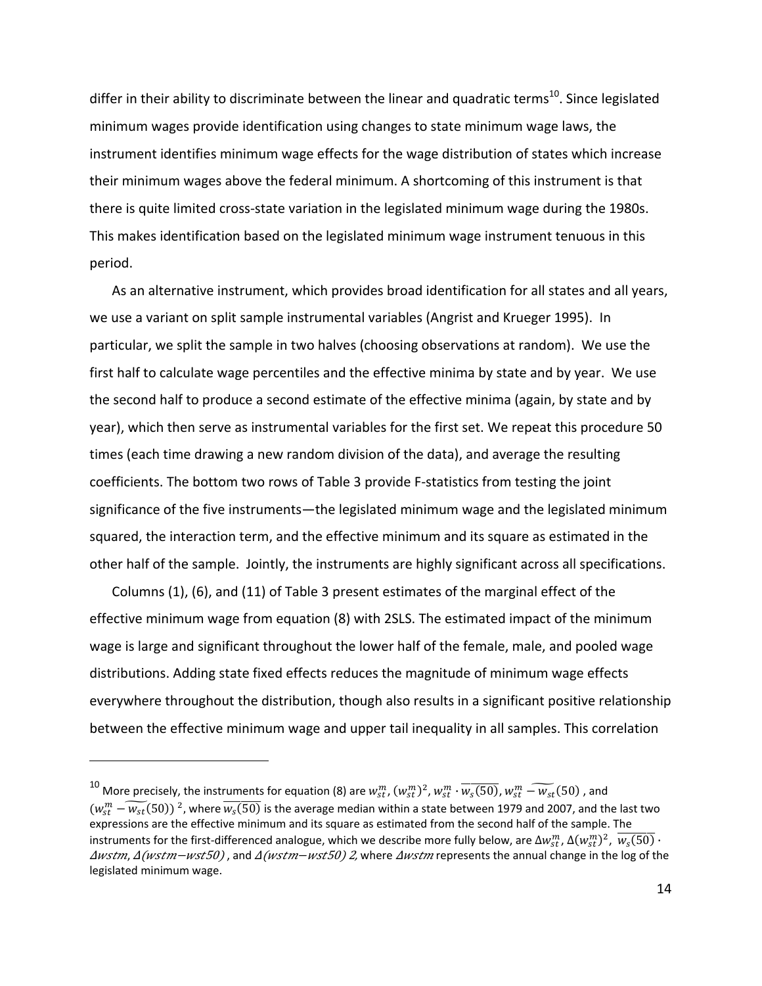differ in their ability to discriminate between the linear and quadratic terms<sup>10</sup>. Since legislated minimum wages provide identification using changes to state minimum wage laws, the instrument identifies minimum wage effects for the wage distribution of states which increase their minimum wages above the federal minimum. A shortcoming of this instrument is that there is quite limited cross‐state variation in the legislated minimum wage during the 1980s. This makes identification based on the legislated minimum wage instrument tenuous in this period.

As an alternative instrument, which provides broad identification for all states and all years, we use a variant on split sample instrumental variables (Angrist and Krueger 1995). In particular, we split the sample in two halves (choosing observations at random). We use the first half to calculate wage percentiles and the effective minima by state and by year. We use the second half to produce a second estimate of the effective minima (again, by state and by year), which then serve as instrumental variables for the first set. We repeat this procedure 50 times (each time drawing a new random division of the data), and average the resulting coefficients. The bottom two rows of Table 3 provide F‐statistics from testing the joint significance of the five instruments—the legislated minimum wage and the legislated minimum squared, the interaction term, and the effective minimum and its square as estimated in the other half of the sample. Jointly, the instruments are highly significant across all specifications.

Columns (1), (6), and (11) of Table 3 present estimates of the marginal effect of the effective minimum wage from equation (8) with 2SLS. The estimated impact of the minimum wage is large and significant throughout the lower half of the female, male, and pooled wage distributions. Adding state fixed effects reduces the magnitude of minimum wage effects everywhere throughout the distribution, though also results in a significant positive relationship between the effective minimum wage and upper tail inequality in all samples. This correlation

 $^{10}$  More precisely, the instruments for equation (8) are  $w_{st}^m$  ,  $(w_{st}^m)^2$ ,  $w_{st}^m \cdot \overline{w_s(50)}$ ,  $w_{st}^m - \widetilde{w_{st}}(50)$  , and  $(w_{st}^m - \widetilde{w_{st}}(50))^2$ , where  $\overline{w_s(50)}$  is the average median within a state between 1979 and 2007, and the last two expressions are the effective minimum and its square as estimated from the second half of the sample. The instruments for the first-differenced analogue, which we describe more fully below, are  $\Delta w_{st}^m$ ,  $\Delta(w_{st}^m)^2$ ,  $\overline{w_s(50)}$   $\cdot$ ∆wstm, ∆(wstm–wst50), and ∆(wstm–wst50) 2, where ∆wstm represents the annual change in the log of the legislated minimum wage.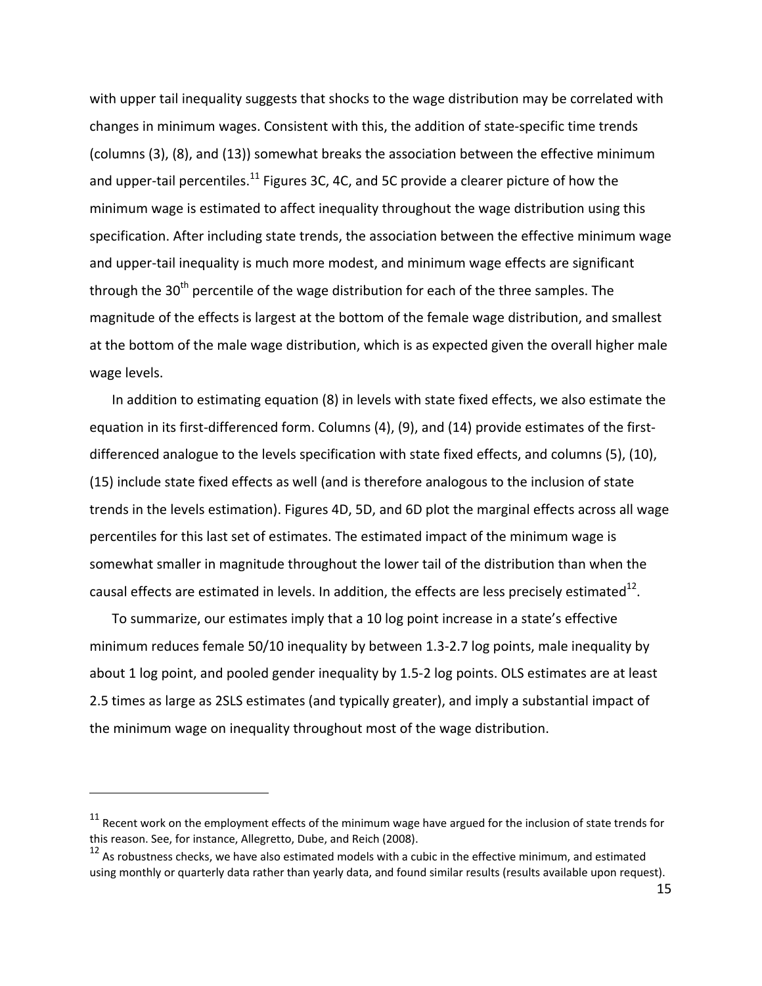with upper tail inequality suggests that shocks to the wage distribution may be correlated with changes in minimum wages. Consistent with this, the addition of state‐specific time trends (columns (3), (8), and (13)) somewhat breaks the association between the effective minimum and upper-tail percentiles.<sup>11</sup> Figures 3C, 4C, and 5C provide a clearer picture of how the minimum wage is estimated to affect inequality throughout the wage distribution using this specification. After including state trends, the association between the effective minimum wage and upper-tail inequality is much more modest, and minimum wage effects are significant through the  $30<sup>th</sup>$  percentile of the wage distribution for each of the three samples. The magnitude of the effects is largest at the bottom of the female wage distribution, and smallest at the bottom of the male wage distribution, which is as expected given the overall higher male wage levels.

In addition to estimating equation (8) in levels with state fixed effects, we also estimate the equation in its first-differenced form. Columns (4), (9), and (14) provide estimates of the firstdifferenced analogue to the levels specification with state fixed effects, and columns (5), (10), (15) include state fixed effects as well (and is therefore analogous to the inclusion of state trends in the levels estimation). Figures 4D, 5D, and 6D plot the marginal effects across all wage percentiles for this last set of estimates. The estimated impact of the minimum wage is somewhat smaller in magnitude throughout the lower tail of the distribution than when the causal effects are estimated in levels. In addition, the effects are less precisely estimated $^{12}$ .

To summarize, our estimates imply that a 10 log point increase in a state's effective minimum reduces female 50/10 inequality by between 1.3‐2.7 log points, male inequality by about 1 log point, and pooled gender inequality by 1.5‐2 log points. OLS estimates are at least 2.5 times as large as 2SLS estimates (and typically greater), and imply a substantial impact of the minimum wage on inequality throughout most of the wage distribution.

 $11$  Recent work on the employment effects of the minimum wage have argued for the inclusion of state trends for this reason. See, for instance, Allegretto, Dube, and Reich (2008).

 $12$  As robustness checks, we have also estimated models with a cubic in the effective minimum, and estimated using monthly or quarterly data rather than yearly data, and found similar results (results available upon request).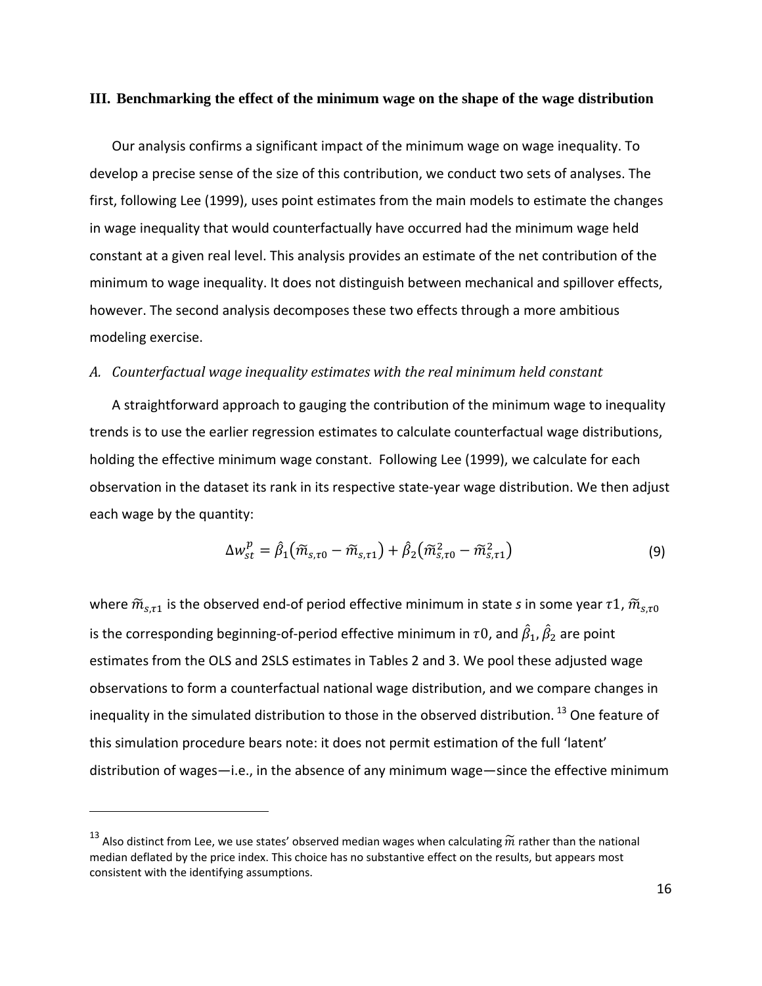# **III. Benchmarking the effect of the minimum wage on the shape of the wage distribution**

Our analysis confirms a significant impact of the minimum wage on wage inequality. To develop a precise sense of the size of this contribution, we conduct two sets of analyses. The first, following Lee (1999), uses point estimates from the main models to estimate the changes in wage inequality that would counterfactually have occurred had the minimum wage held constant at a given real level. This analysis provides an estimate of the net contribution of the minimum to wage inequality. It does not distinguish between mechanical and spillover effects, however. The second analysis decomposes these two effects through a more ambitious modeling exercise.

### *A. Counterfactual wage inequality estimates with the real minimum held constant*

A straightforward approach to gauging the contribution of the minimum wage to inequality trends is to use the earlier regression estimates to calculate counterfactual wage distributions, holding the effective minimum wage constant. Following Lee (1999), we calculate for each observation in the dataset its rank in its respective state‐year wage distribution. We then adjust each wage by the quantity:

$$
\Delta w_{st}^p = \hat{\beta}_1 \big( \tilde{m}_{s,\tau 0} - \tilde{m}_{s,\tau 1} \big) + \hat{\beta}_2 \big( \tilde{m}_{s,\tau 0}^2 - \tilde{m}_{s,\tau 1}^2 \big) \tag{9}
$$

where  $\widetilde{m}_{s,\tau1}$  is the observed end-of period effective minimum in state *s* in some year  $\tau1$ ,  $\widetilde{m}_{s,\tau0}$ is the corresponding beginning-of-period effective minimum in  $\tau$ 0, and  $\hat{\beta}_1$ ,  $\hat{\beta}_2$  are point estimates from the OLS and 2SLS estimates in Tables 2 and 3. We pool these adjusted wage observations to form a counterfactual national wage distribution, and we compare changes in inequality in the simulated distribution to those in the observed distribution.<sup>13</sup> One feature of this simulation procedure bears note: it does not permit estimation of the full 'latent' distribution of wages—i.e., in the absence of any minimum wage—since the effective minimum

<sup>&</sup>lt;sup>13</sup> Also distinct from Lee, we use states' observed median wages when calculating  $\widetilde{m}$  rather than the national median deflated by the price index. This choice has no substantive effect on the results, but appears most consistent with the identifying assumptions.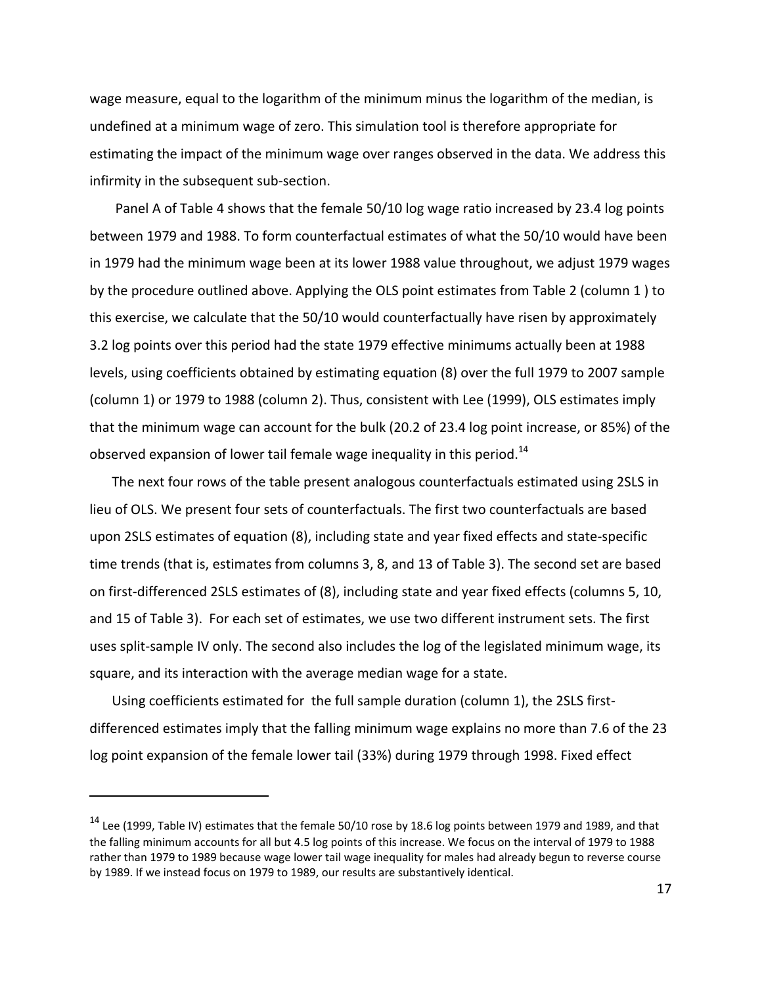wage measure, equal to the logarithm of the minimum minus the logarithm of the median, is undefined at a minimum wage of zero. This simulation tool is therefore appropriate for estimating the impact of the minimum wage over ranges observed in the data. We address this infirmity in the subsequent sub‐section.

Panel A of Table 4 shows that the female 50/10 log wage ratio increased by 23.4 log points between 1979 and 1988. To form counterfactual estimates of what the 50/10 would have been in 1979 had the minimum wage been at its lower 1988 value throughout, we adjust 1979 wages by the procedure outlined above. Applying the OLS point estimates from Table 2 (column 1 ) to this exercise, we calculate that the 50/10 would counterfactually have risen by approximately 3.2 log points over this period had the state 1979 effective minimums actually been at 1988 levels, using coefficients obtained by estimating equation (8) over the full 1979 to 2007 sample (column 1) or 1979 to 1988 (column 2). Thus, consistent with Lee (1999), OLS estimates imply that the minimum wage can account for the bulk (20.2 of 23.4 log point increase, or 85%) of the observed expansion of lower tail female wage inequality in this period.<sup>14</sup>

The next four rows of the table present analogous counterfactuals estimated using 2SLS in lieu of OLS. We present four sets of counterfactuals. The first two counterfactuals are based upon 2SLS estimates of equation (8), including state and year fixed effects and state‐specific time trends (that is, estimates from columns 3, 8, and 13 of Table 3). The second set are based on first‐differenced 2SLS estimates of (8), including state and year fixed effects (columns 5, 10, and 15 of Table 3). For each set of estimates, we use two different instrument sets. The first uses split-sample IV only. The second also includes the log of the legislated minimum wage, its square, and its interaction with the average median wage for a state.

Using coefficients estimated for the full sample duration (column 1), the 2SLS first‐ differenced estimates imply that the falling minimum wage explains no more than 7.6 of the 23 log point expansion of the female lower tail (33%) during 1979 through 1998. Fixed effect

 $14$  Lee (1999, Table IV) estimates that the female 50/10 rose by 18.6 log points between 1979 and 1989, and that the falling minimum accounts for all but 4.5 log points of this increase. We focus on the interval of 1979 to 1988 rather than 1979 to 1989 because wage lower tail wage inequality for males had already begun to reverse course by 1989. If we instead focus on 1979 to 1989, our results are substantively identical.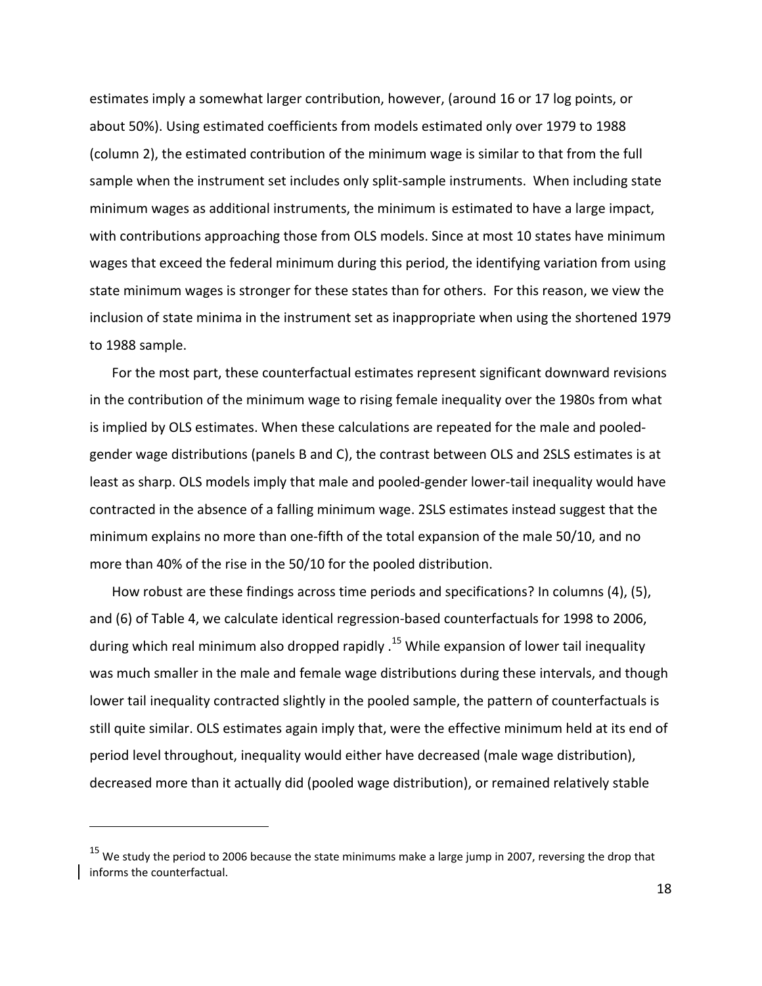estimates imply a somewhat larger contribution, however, (around 16 or 17 log points, or about 50%). Using estimated coefficients from models estimated only over 1979 to 1988 (column 2), the estimated contribution of the minimum wage is similar to that from the full sample when the instrument set includes only split-sample instruments. When including state minimum wages as additional instruments, the minimum is estimated to have a large impact, with contributions approaching those from OLS models. Since at most 10 states have minimum wages that exceed the federal minimum during this period, the identifying variation from using state minimum wages is stronger for these states than for others. For this reason, we view the inclusion of state minima in the instrument set as inappropriate when using the shortened 1979 to 1988 sample.

For the most part, these counterfactual estimates represent significant downward revisions in the contribution of the minimum wage to rising female inequality over the 1980s from what is implied by OLS estimates. When these calculations are repeated for the male and pooled‐ gender wage distributions (panels B and C), the contrast between OLS and 2SLS estimates is at least as sharp. OLS models imply that male and pooled‐gender lower‐tail inequality would have contracted in the absence of a falling minimum wage. 2SLS estimates instead suggest that the minimum explains no more than one‐fifth of the total expansion of the male 50/10, and no more than 40% of the rise in the 50/10 for the pooled distribution.

How robust are these findings across time periods and specifications? In columns (4), (5), and (6) of Table 4, we calculate identical regression‐based counterfactuals for 1998 to 2006, during which real minimum also dropped rapidly . <sup>15</sup> While expansion of lower tail inequality was much smaller in the male and female wage distributions during these intervals, and though lower tail inequality contracted slightly in the pooled sample, the pattern of counterfactuals is still quite similar. OLS estimates again imply that, were the effective minimum held at its end of period level throughout, inequality would either have decreased (male wage distribution), decreased more than it actually did (pooled wage distribution), or remained relatively stable

 $15$  We study the period to 2006 because the state minimums make a large jump in 2007, reversing the drop that informs the counterfactual.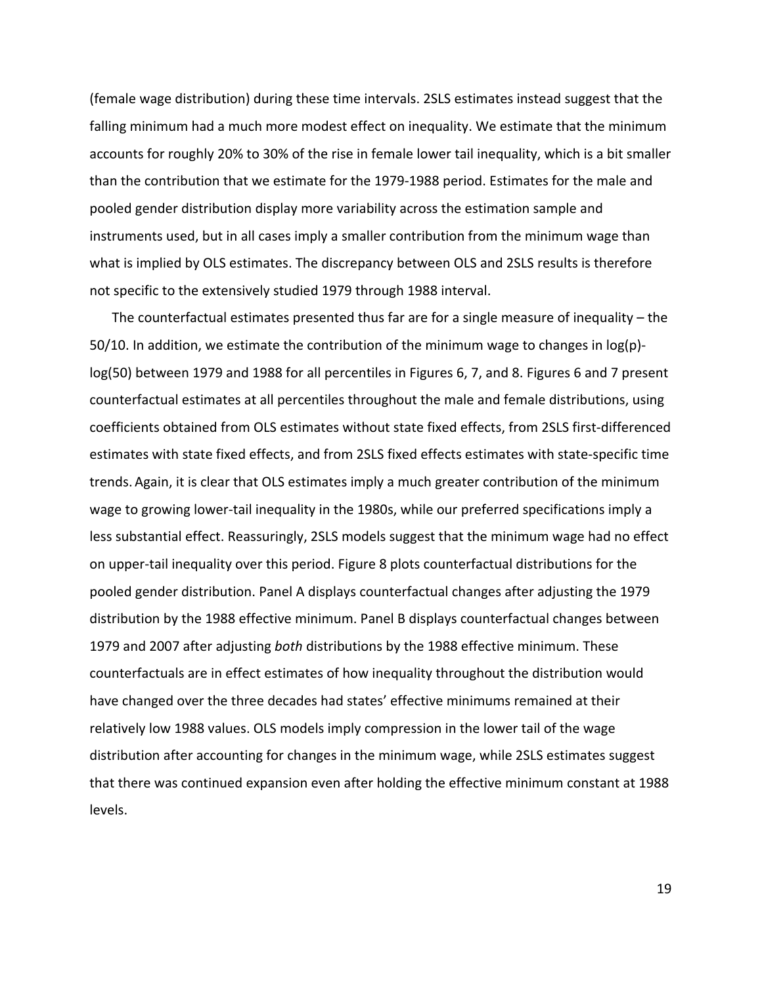(female wage distribution) during these time intervals. 2SLS estimates instead suggest that the falling minimum had a much more modest effect on inequality. We estimate that the minimum accounts for roughly 20% to 30% of the rise in female lower tail inequality, which is a bit smaller than the contribution that we estimate for the 1979‐1988 period. Estimates for the male and pooled gender distribution display more variability across the estimation sample and instruments used, but in all cases imply a smaller contribution from the minimum wage than what is implied by OLS estimates. The discrepancy between OLS and 2SLS results is therefore not specific to the extensively studied 1979 through 1988 interval.

The counterfactual estimates presented thus far are for a single measure of inequality – the 50/10. In addition, we estimate the contribution of the minimum wage to changes in  $log(p)$ log(50) between 1979 and 1988 for all percentiles in Figures 6, 7, and 8. Figures 6 and 7 present counterfactual estimates at all percentiles throughout the male and female distributions, using coefficients obtained from OLS estimates without state fixed effects, from 2SLS first-differenced estimates with state fixed effects, and from 2SLS fixed effects estimates with state‐specific time trends. Again, it is clear that OLS estimates imply a much greater contribution of the minimum wage to growing lower-tail inequality in the 1980s, while our preferred specifications imply a less substantial effect. Reassuringly, 2SLS models suggest that the minimum wage had no effect on upper‐tail inequality over this period. Figure 8 plots counterfactual distributions for the pooled gender distribution. Panel A displays counterfactual changes after adjusting the 1979 distribution by the 1988 effective minimum. Panel B displays counterfactual changes between 1979 and 2007 after adjusting *both* distributions by the 1988 effective minimum. These counterfactuals are in effect estimates of how inequality throughout the distribution would have changed over the three decades had states' effective minimums remained at their relatively low 1988 values. OLS models imply compression in the lower tail of the wage distribution after accounting for changes in the minimum wage, while 2SLS estimates suggest that there was continued expansion even after holding the effective minimum constant at 1988 levels.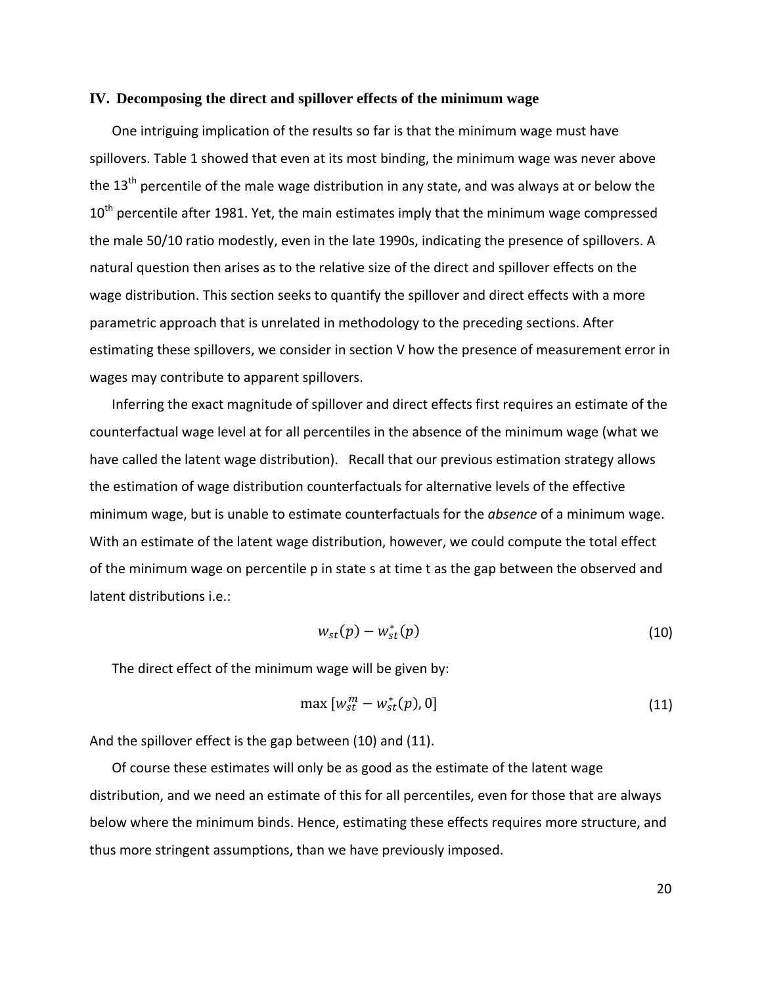#### **IV. Decomposing the direct and spillover effects of the minimum wage**

One intriguing implication of the results so far is that the minimum wage must have spillovers. Table 1 showed that even at its most binding, the minimum wage was never above the  $13<sup>th</sup>$  percentile of the male wage distribution in any state, and was always at or below the  $10<sup>th</sup>$  percentile after 1981. Yet, the main estimates imply that the minimum wage compressed the male 50/10 ratio modestly, even in the late 1990s, indicating the presence of spillovers. A natural question then arises as to the relative size of the direct and spillover effects on the wage distribution. This section seeks to quantify the spillover and direct effects with a more parametric approach that is unrelated in methodology to the preceding sections. After estimating these spillovers, we consider in section V how the presence of measurement error in wages may contribute to apparent spillovers.

Inferring the exact magnitude of spillover and direct effects first requires an estimate of the counterfactual wage level at for all percentiles in the absence of the minimum wage (what we have called the latent wage distribution). Recall that our previous estimation strategy allows the estimation of wage distribution counterfactuals for alternative levels of the effective minimum wage, but is unable to estimate counterfactuals for the *absence* of a minimum wage. With an estimate of the latent wage distribution, however, we could compute the total effect of the minimum wage on percentile p in state s at time t as the gap between the observed and latent distributions i.e.:

$$
w_{st}(p) - w_{st}^*(p) \tag{10}
$$

The direct effect of the minimum wage will be given by:

$$
\max [w_{st}^m - w_{st}^*(p), 0]
$$
 (11)

And the spillover effect is the gap between (10) and (11).

Of course these estimates will only be as good as the estimate of the latent wage distribution, and we need an estimate of this for all percentiles, even for those that are always below where the minimum binds. Hence, estimating these effects requires more structure, and thus more stringent assumptions, than we have previously imposed.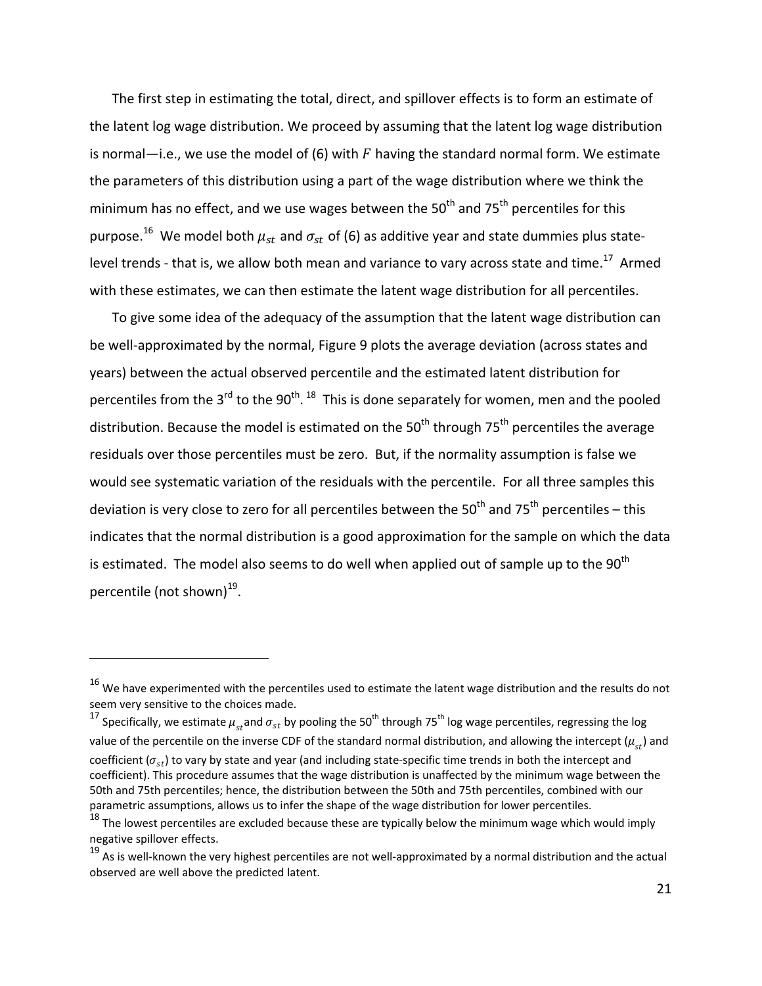The first step in estimating the total, direct, and spillover effects is to form an estimate of the latent log wage distribution. We proceed by assuming that the latent log wage distribution is normal—i.e., we use the model of (6) with  $F$  having the standard normal form. We estimate the parameters of this distribution using a part of the wage distribution where we think the minimum has no effect, and we use wages between the  $50<sup>th</sup>$  and  $75<sup>th</sup>$  percentiles for this purpose.<sup>16</sup> We model both  $\mu_{st}$  and  $\sigma_{st}$  of (6) as additive year and state dummies plus statelevel trends - that is, we allow both mean and variance to vary across state and time.<sup>17</sup> Armed with these estimates, we can then estimate the latent wage distribution for all percentiles.

To give some idea of the adequacy of the assumption that the latent wage distribution can be well‐approximated by the normal, Figure 9 plots the average deviation (across states and years) between the actual observed percentile and the estimated latent distribution for percentiles from the 3<sup>rd</sup> to the 90<sup>th</sup>. <sup>18</sup> This is done separately for women, men and the pooled distribution. Because the model is estimated on the  $50<sup>th</sup>$  through  $75<sup>th</sup>$  percentiles the average residuals over those percentiles must be zero. But, if the normality assumption is false we would see systematic variation of the residuals with the percentile. For all three samples this deviation is very close to zero for all percentiles between the  $50<sup>th</sup>$  and  $75<sup>th</sup>$  percentiles – this indicates that the normal distribution is a good approximation for the sample on which the data is estimated. The model also seems to do well when applied out of sample up to the  $90<sup>th</sup>$ percentile (not shown) $^{19}$ .

 $16$  We have experimented with the percentiles used to estimate the latent wage distribution and the results do not seem very sensitive to the choices made.

<sup>&</sup>lt;sup>17</sup> Specifically, we estimate  $\mu_{st}$  and  $\sigma_{st}$  by pooling the 50<sup>th</sup> through 75<sup>th</sup> log wage percentiles, regressing the log value of the percentile on the inverse CDF of the standard normal distribution, and allowing the intercept ( $\mu_{at}$ ) and coefficient ( $\sigma_{st}$ ) to vary by state and year (and including state-specific time trends in both the intercept and coefficient). This procedure assumes that the wage distribution is unaffected by the minimum wage between the 50th and 75th percentiles; hence, the distribution between the 50th and 75th percentiles, combined with our parametric assumptions, allows us to infer the shape of the wage distribution for lower percentiles.

 $18$  The lowest percentiles are excluded because these are typically below the minimum wage which would imply negative spillover effects.

 $19$  As is well-known the very highest percentiles are not well-approximated by a normal distribution and the actual observed are well above the predicted latent.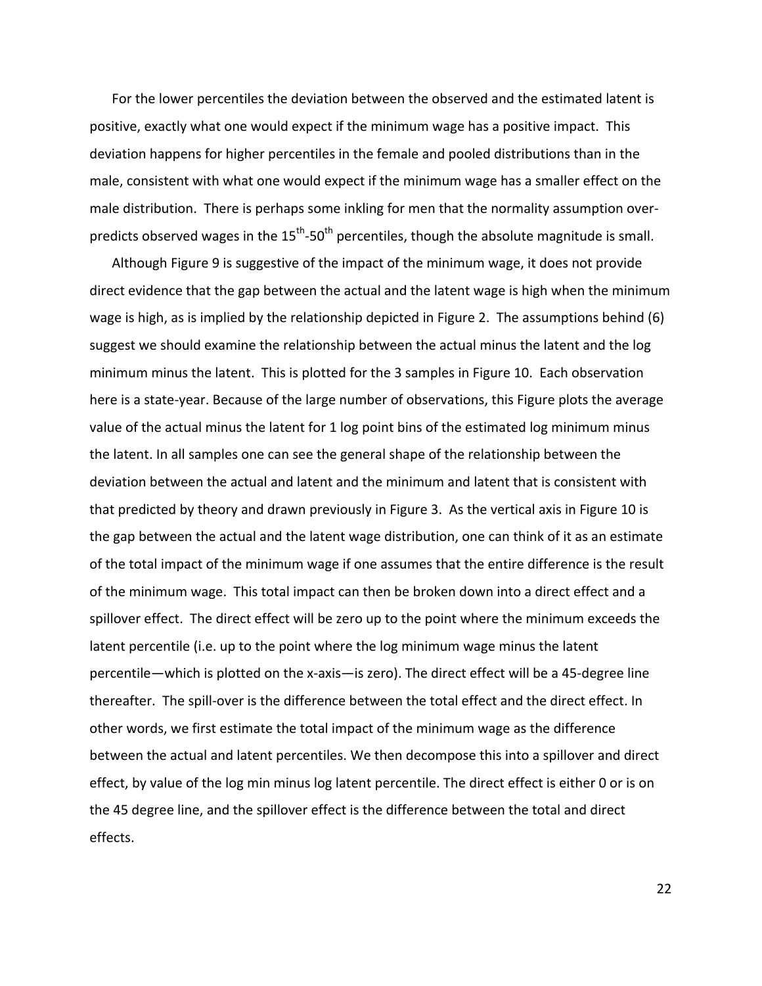For the lower percentiles the deviation between the observed and the estimated latent is positive, exactly what one would expect if the minimum wage has a positive impact. This deviation happens for higher percentiles in the female and pooled distributions than in the male, consistent with what one would expect if the minimum wage has a smaller effect on the male distribution. There is perhaps some inkling for men that the normality assumption over‐ predicts observed wages in the  $15<sup>th</sup>$ -50<sup>th</sup> percentiles, though the absolute magnitude is small.

Although Figure 9 is suggestive of the impact of the minimum wage, it does not provide direct evidence that the gap between the actual and the latent wage is high when the minimum wage is high, as is implied by the relationship depicted in Figure 2. The assumptions behind (6) suggest we should examine the relationship between the actual minus the latent and the log minimum minus the latent. This is plotted for the 3 samples in Figure 10. Each observation here is a state‐year. Because of the large number of observations, this Figure plots the average value of the actual minus the latent for 1 log point bins of the estimated log minimum minus the latent. In all samples one can see the general shape of the relationship between the deviation between the actual and latent and the minimum and latent that is consistent with that predicted by theory and drawn previously in Figure 3. As the vertical axis in Figure 10 is the gap between the actual and the latent wage distribution, one can think of it as an estimate of the total impact of the minimum wage if one assumes that the entire difference is the result of the minimum wage. This total impact can then be broken down into a direct effect and a spillover effect. The direct effect will be zero up to the point where the minimum exceeds the latent percentile (i.e. up to the point where the log minimum wage minus the latent percentile—which is plotted on the x‐axis—is zero). The direct effect will be a 45‐degree line thereafter. The spill‐over is the difference between the total effect and the direct effect. In other words, we first estimate the total impact of the minimum wage as the difference between the actual and latent percentiles. We then decompose this into a spillover and direct effect, by value of the log min minus log latent percentile. The direct effect is either 0 or is on the 45 degree line, and the spillover effect is the difference between the total and direct effects.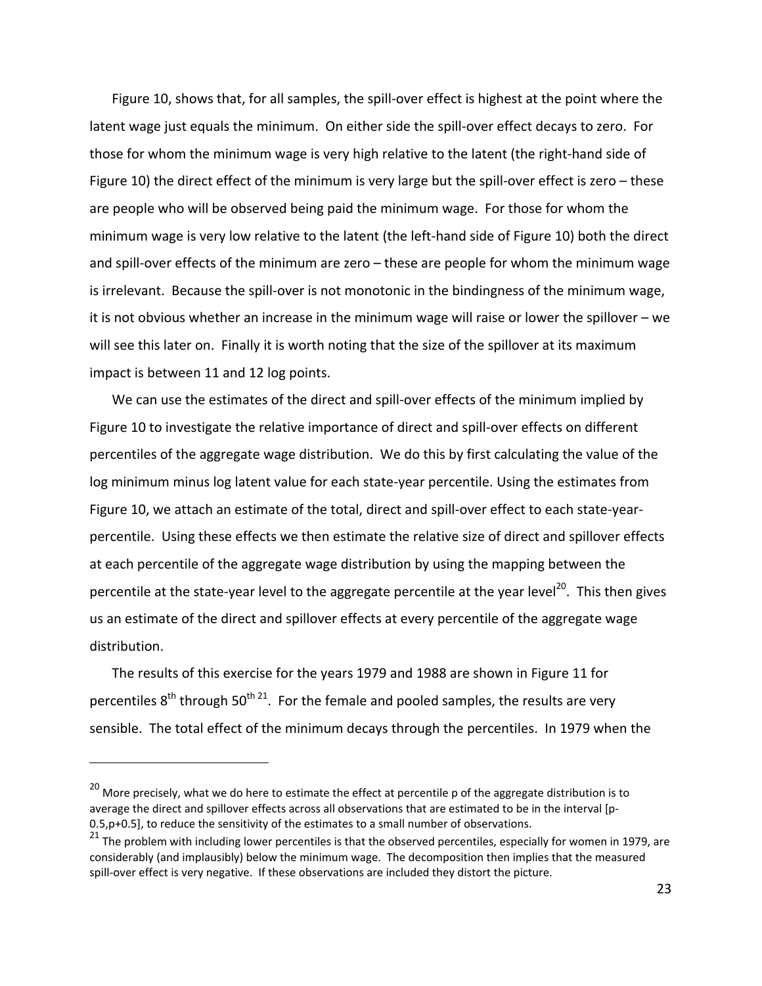Figure 10, shows that, for all samples, the spill‐over effect is highest at the point where the latent wage just equals the minimum. On either side the spill-over effect decays to zero. For those for whom the minimum wage is very high relative to the latent (the right‐hand side of Figure 10) the direct effect of the minimum is very large but the spill-over effect is zero – these are people who will be observed being paid the minimum wage. For those for whom the minimum wage is very low relative to the latent (the left‐hand side of Figure 10) both the direct and spill-over effects of the minimum are zero – these are people for whom the minimum wage is irrelevant. Because the spill‐over is not monotonic in the bindingness of the minimum wage, it is not obvious whether an increase in the minimum wage will raise or lower the spillover – we will see this later on. Finally it is worth noting that the size of the spillover at its maximum impact is between 11 and 12 log points.

We can use the estimates of the direct and spill-over effects of the minimum implied by Figure 10 to investigate the relative importance of direct and spill-over effects on different percentiles of the aggregate wage distribution. We do this by first calculating the value of the log minimum minus log latent value for each state‐year percentile. Using the estimates from Figure 10, we attach an estimate of the total, direct and spill-over effect to each state-yearpercentile. Using these effects we then estimate the relative size of direct and spillover effects at each percentile of the aggregate wage distribution by using the mapping between the percentile at the state-year level to the aggregate percentile at the year level<sup>20</sup>. This then gives us an estimate of the direct and spillover effects at every percentile of the aggregate wage distribution.

The results of this exercise for the years 1979 and 1988 are shown in Figure 11 for percentiles  $8<sup>th</sup>$  through 50<sup>th 21</sup>. For the female and pooled samples, the results are very sensible. The total effect of the minimum decays through the percentiles. In 1979 when the

<sup>&</sup>lt;sup>20</sup> More precisely, what we do here to estimate the effect at percentile p of the aggregate distribution is to average the direct and spillover effects across all observations that are estimated to be in the interval [p‐ 0.5,p+0.5], to reduce the sensitivity of the estimates to a small number of observations.

 $^{21}$  The problem with including lower percentiles is that the observed percentiles, especially for women in 1979, are considerably (and implausibly) below the minimum wage. The decomposition then implies that the measured spill-over effect is very negative. If these observations are included they distort the picture.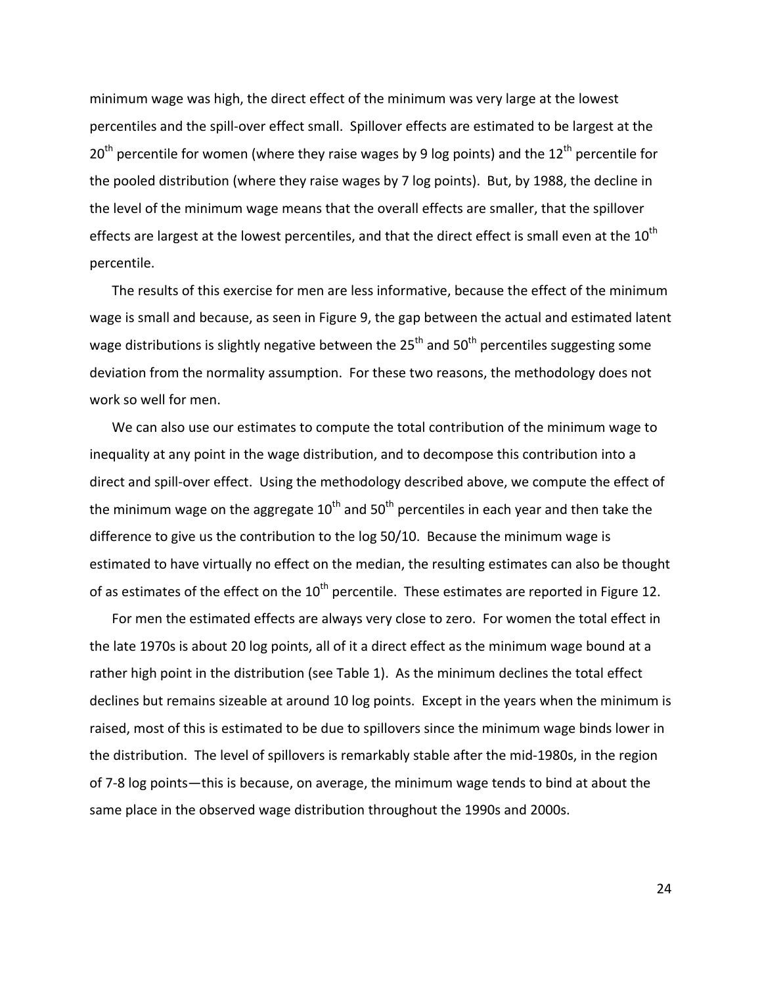minimum wage was high, the direct effect of the minimum was very large at the lowest percentiles and the spill‐over effect small. Spillover effects are estimated to be largest at the  $20<sup>th</sup>$  percentile for women (where they raise wages by 9 log points) and the  $12<sup>th</sup>$  percentile for the pooled distribution (where they raise wages by 7 log points). But, by 1988, the decline in the level of the minimum wage means that the overall effects are smaller, that the spillover effects are largest at the lowest percentiles, and that the direct effect is small even at the  $10^{th}$ percentile.

The results of this exercise for men are less informative, because the effect of the minimum wage is small and because, as seen in Figure 9, the gap between the actual and estimated latent wage distributions is slightly negative between the  $25<sup>th</sup>$  and  $50<sup>th</sup>$  percentiles suggesting some deviation from the normality assumption. For these two reasons, the methodology does not work so well for men.

We can also use our estimates to compute the total contribution of the minimum wage to inequality at any point in the wage distribution, and to decompose this contribution into a direct and spill-over effect. Using the methodology described above, we compute the effect of the minimum wage on the aggregate  $10<sup>th</sup>$  and  $50<sup>th</sup>$  percentiles in each year and then take the difference to give us the contribution to the log 50/10. Because the minimum wage is estimated to have virtually no effect on the median, the resulting estimates can also be thought of as estimates of the effect on the  $10<sup>th</sup>$  percentile. These estimates are reported in Figure 12.

For men the estimated effects are always very close to zero. For women the total effect in the late 1970s is about 20 log points, all of it a direct effect as the minimum wage bound at a rather high point in the distribution (see Table 1). As the minimum declines the total effect declines but remains sizeable at around 10 log points. Except in the years when the minimum is raised, most of this is estimated to be due to spillovers since the minimum wage binds lower in the distribution. The level of spillovers is remarkably stable after the mid‐1980s, in the region of 7‐8 log points—this is because, on average, the minimum wage tends to bind at about the same place in the observed wage distribution throughout the 1990s and 2000s.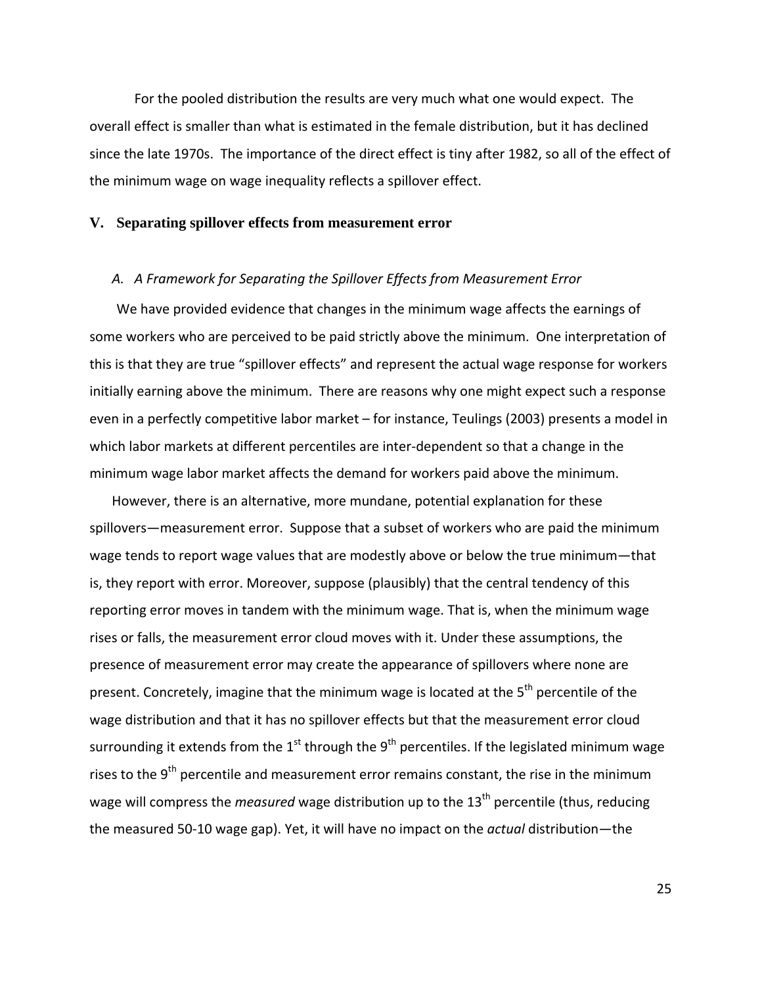For the pooled distribution the results are very much what one would expect. The overall effect is smaller than what is estimated in the female distribution, but it has declined since the late 1970s. The importance of the direct effect is tiny after 1982, so all of the effect of the minimum wage on wage inequality reflects a spillover effect.

#### **V. Separating spillover effects from measurement error**

#### *A. A Framework for Separating the Spillover Effects from Measurement Error*

We have provided evidence that changes in the minimum wage affects the earnings of some workers who are perceived to be paid strictly above the minimum. One interpretation of this is that they are true "spillover effects" and represent the actual wage response for workers initially earning above the minimum. There are reasons why one might expect such a response even in a perfectly competitive labor market – for instance, Teulings (2003) presents a model in which labor markets at different percentiles are inter-dependent so that a change in the minimum wage labor market affects the demand for workers paid above the minimum.

However, there is an alternative, more mundane, potential explanation for these spillovers—measurement error. Suppose that a subset of workers who are paid the minimum wage tends to report wage values that are modestly above or below the true minimum—that is, they report with error. Moreover, suppose (plausibly) that the central tendency of this reporting error moves in tandem with the minimum wage. That is, when the minimum wage rises or falls, the measurement error cloud moves with it. Under these assumptions, the presence of measurement error may create the appearance of spillovers where none are present. Concretely, imagine that the minimum wage is located at the 5<sup>th</sup> percentile of the wage distribution and that it has no spillover effects but that the measurement error cloud surrounding it extends from the  $1<sup>st</sup>$  through the  $9<sup>th</sup>$  percentiles. If the legislated minimum wage rises to the  $9<sup>th</sup>$  percentile and measurement error remains constant, the rise in the minimum wage will compress the *measured* wage distribution up to the 13<sup>th</sup> percentile (thus, reducing the measured 50‐10 wage gap). Yet, it will have no impact on the *actual* distribution—the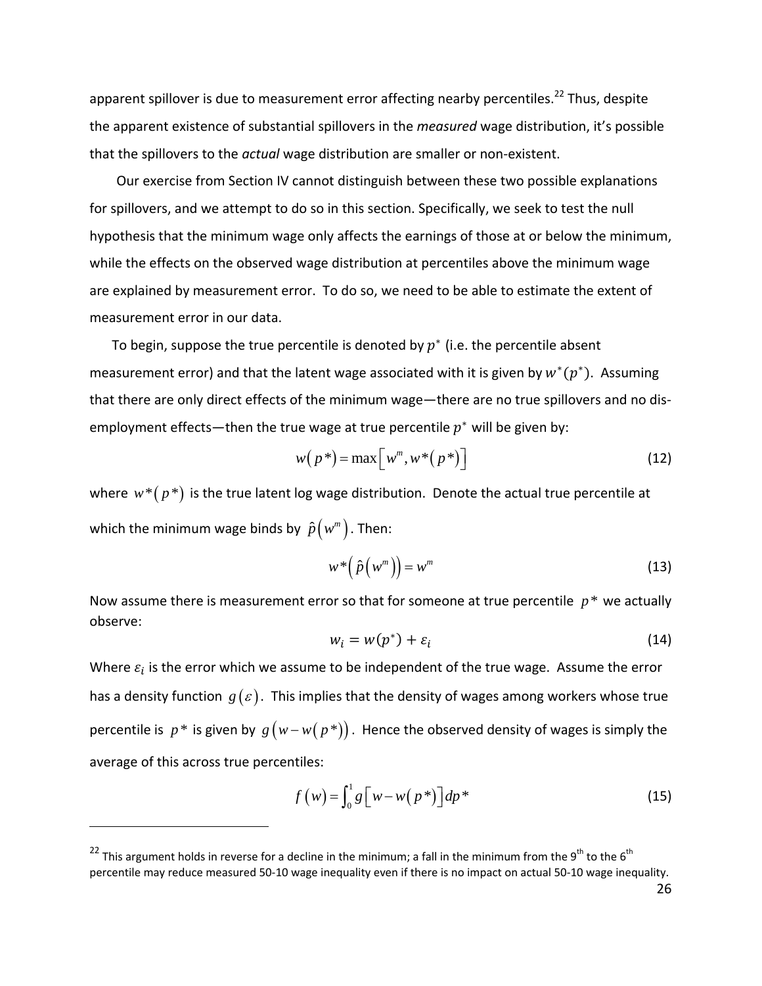apparent spillover is due to measurement error affecting nearby percentiles.<sup>22</sup> Thus, despite the apparent existence of substantial spillovers in the *measured* wage distribution, it's possible that the spillovers to the *actual* wage distribution are smaller or non‐existent.

Our exercise from Section IV cannot distinguish between these two possible explanations for spillovers, and we attempt to do so in this section. Specifically, we seek to test the null hypothesis that the minimum wage only affects the earnings of those at or below the minimum, while the effects on the observed wage distribution at percentiles above the minimum wage are explained by measurement error. To do so, we need to be able to estimate the extent of measurement error in our data.

To begin, suppose the true percentile is denoted by  $p^*$  (i.e. the percentile absent measurement error) and that the latent wage associated with it is given by  $w^*(p^*)$ . Assuming that there are only direct effects of the minimum wage—there are no true spillovers and no dis‐ employment effects—then the true wage at true percentile  $p^*$  will be given by:

$$
w(p^*) = \max\left[w^m, w^*(p^*)\right]
$$
 (12)

where  $w^*(p^*)$  is the true latent log wage distribution. Denote the actual true percentile at which the minimum wage binds by  $\hat{p}(w^m)$ . Then:

$$
w^*\left(\hat{p}\left(w^m\right)\right) = w^m \tag{13}
$$

Now assume there is measurement error so that for someone at true percentile  $p^*$  we actually observe:

$$
w_i = w(p^*) + \varepsilon_i \tag{14}
$$

Where  $\varepsilon_i$  is the error which we assume to be independent of the true wage. Assume the error has a density function  $g(\varepsilon)$ . This implies that the density of wages among workers whose true percentile is  $p^*$  is given by  $g(w-w(p^*))$ . Hence the observed density of wages is simply the average of this across true percentiles:

$$
f(w) = \int_0^1 g \left[ w - w(p^*) \right] dp^* \tag{15}
$$

<sup>&</sup>lt;sup>22</sup> This argument holds in reverse for a decline in the minimum; a fall in the minimum from the 9<sup>th</sup> to the 6<sup>th</sup> percentile may reduce measured 50‐10 wage inequality even if there is no impact on actual 50‐10 wage inequality.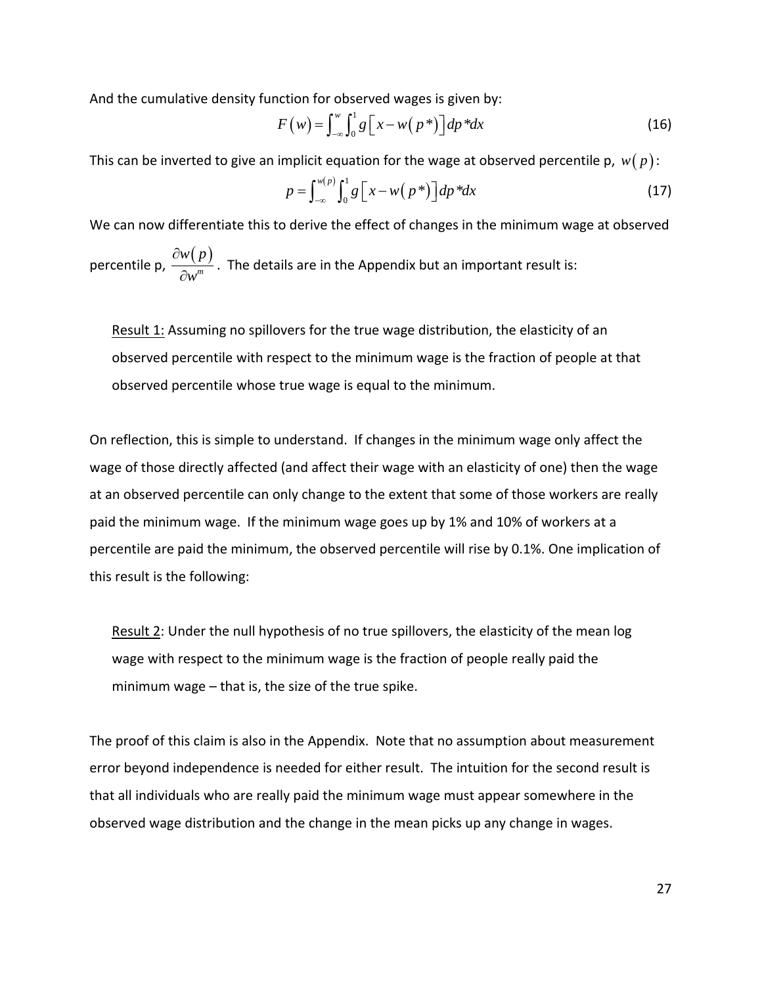And the cumulative density function for observed wages is given by:

$$
F(w) = \int_{-\infty}^{w} \int_{0}^{1} g\left[x - w(p^*)\right] dp^* dx \tag{16}
$$

This can be inverted to give an implicit equation for the wage at observed percentile p,  $w(p)$ :

$$
p = \int_{-\infty}^{w(p)} \int_0^1 g\left[x - w(p^*)\right] dp^* dx \tag{17}
$$

We can now differentiate this to derive the effect of changes in the minimum wage at observed percentile p,  $\frac{\partial w(p)}{\partial x \cdot x^m}$ *w p w* ∂  $\frac{d^{n}(F)}{d^{n}}$ . The details are in the Appendix but an important result is:

Result 1: Assuming no spillovers for the true wage distribution, the elasticity of an observed percentile with respect to the minimum wage is the fraction of people at that observed percentile whose true wage is equal to the minimum.

On reflection, this is simple to understand. If changes in the minimum wage only affect the wage of those directly affected (and affect their wage with an elasticity of one) then the wage at an observed percentile can only change to the extent that some of those workers are really paid the minimum wage. If the minimum wage goes up by 1% and 10% of workers at a percentile are paid the minimum, the observed percentile will rise by 0.1%. One implication of this result is the following:

Result 2: Under the null hypothesis of no true spillovers, the elasticity of the mean log wage with respect to the minimum wage is the fraction of people really paid the minimum wage – that is, the size of the true spike.

The proof of this claim is also in the Appendix. Note that no assumption about measurement error beyond independence is needed for either result. The intuition for the second result is that all individuals who are really paid the minimum wage must appear somewhere in the observed wage distribution and the change in the mean picks up any change in wages.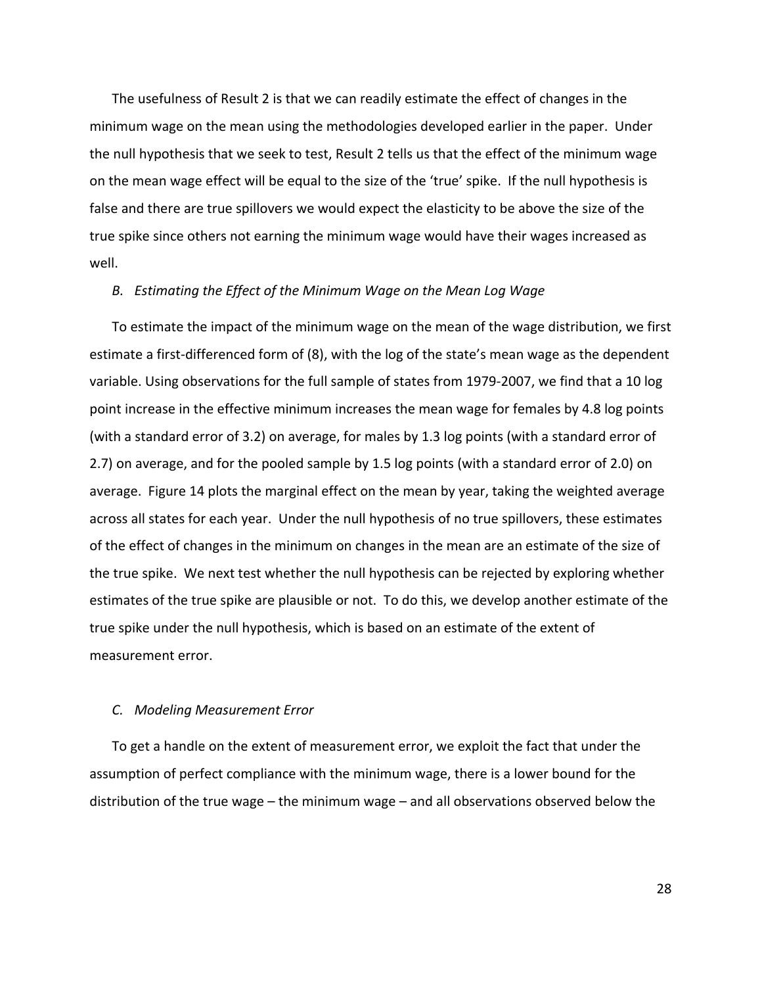The usefulness of Result 2 is that we can readily estimate the effect of changes in the minimum wage on the mean using the methodologies developed earlier in the paper. Under the null hypothesis that we seek to test, Result 2 tells us that the effect of the minimum wage on the mean wage effect will be equal to the size of the 'true' spike. If the null hypothesis is false and there are true spillovers we would expect the elasticity to be above the size of the true spike since others not earning the minimum wage would have their wages increased as well.

### *B. Estimating the Effect of the Minimum Wage on the Mean Log Wage*

To estimate the impact of the minimum wage on the mean of the wage distribution, we first estimate a first-differenced form of (8), with the log of the state's mean wage as the dependent variable. Using observations for the full sample of states from 1979‐2007, we find that a 10 log point increase in the effective minimum increases the mean wage for females by 4.8 log points (with a standard error of 3.2) on average, for males by 1.3 log points (with a standard error of 2.7) on average, and for the pooled sample by 1.5 log points (with a standard error of 2.0) on average. Figure 14 plots the marginal effect on the mean by year, taking the weighted average across all states for each year. Under the null hypothesis of no true spillovers, these estimates of the effect of changes in the minimum on changes in the mean are an estimate of the size of the true spike. We next test whether the null hypothesis can be rejected by exploring whether estimates of the true spike are plausible or not. To do this, we develop another estimate of the true spike under the null hypothesis, which is based on an estimate of the extent of measurement error.

#### *C. Modeling Measurement Error*

To get a handle on the extent of measurement error, we exploit the fact that under the assumption of perfect compliance with the minimum wage, there is a lower bound for the distribution of the true wage – the minimum wage – and all observations observed below the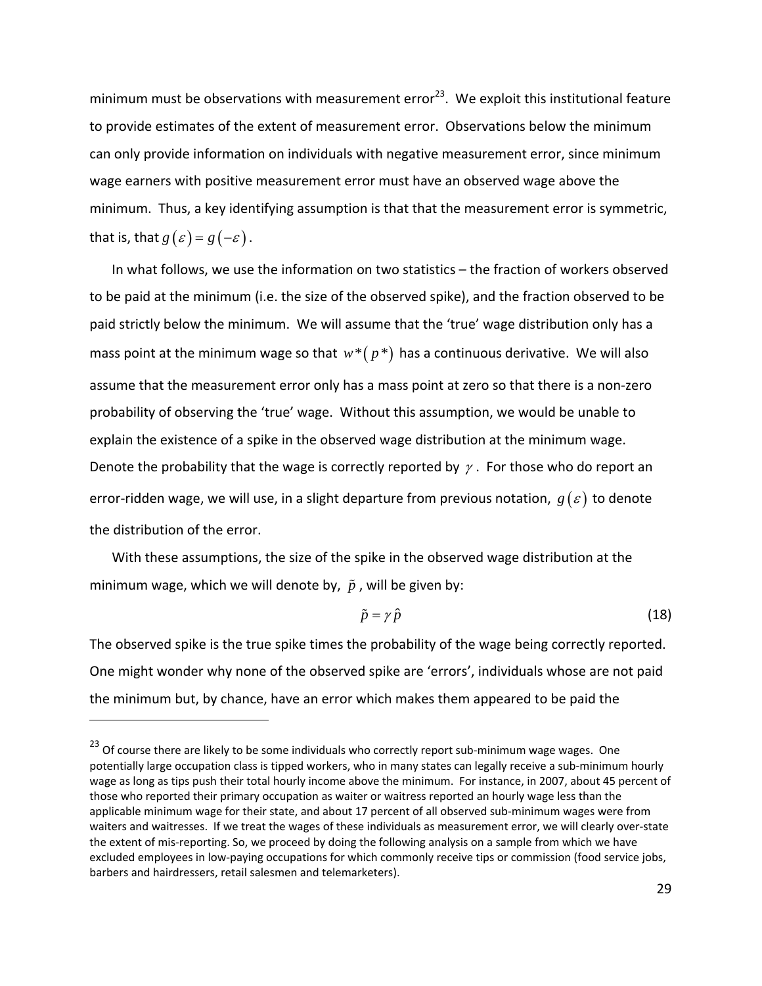minimum must be observations with measurement error<sup>23</sup>. We exploit this institutional feature to provide estimates of the extent of measurement error. Observations below the minimum can only provide information on individuals with negative measurement error, since minimum wage earners with positive measurement error must have an observed wage above the minimum. Thus, a key identifying assumption is that that the measurement error is symmetric, that is, that  $g(\varepsilon) = g(-\varepsilon)$ .

In what follows, we use the information on two statistics – the fraction of workers observed to be paid at the minimum (i.e. the size of the observed spike), and the fraction observed to be paid strictly below the minimum. We will assume that the 'true' wage distribution only has a mass point at the minimum wage so that  $w^*(p^*)$  has a continuous derivative. We will also assume that the measurement error only has a mass point at zero so that there is a non‐zero probability of observing the 'true' wage. Without this assumption, we would be unable to explain the existence of a spike in the observed wage distribution at the minimum wage. Denote the probability that the wage is correctly reported by  $\gamma$ . For those who do report an error-ridden wage, we will use, in a slight departure from previous notation,  $g(\varepsilon)$  to denote the distribution of the error.

With these assumptions, the size of the spike in the observed wage distribution at the minimum wage, which we will denote by,  $\tilde{p}$ , will be given by:

$$
\tilde{p} = \gamma \,\hat{p} \tag{18}
$$

The observed spike is the true spike times the probability of the wage being correctly reported. One might wonder why none of the observed spike are 'errors', individuals whose are not paid the minimum but, by chance, have an error which makes them appeared to be paid the

 $23$  Of course there are likely to be some individuals who correctly report sub-minimum wage wages. One potentially large occupation class is tipped workers, who in many states can legally receive a sub-minimum hourly wage as long as tips push their total hourly income above the minimum. For instance, in 2007, about 45 percent of those who reported their primary occupation as waiter or waitress reported an hourly wage less than the applicable minimum wage for their state, and about 17 percent of all observed sub‐minimum wages were from waiters and waitresses. If we treat the wages of these individuals as measurement error, we will clearly over-state the extent of mis-reporting. So, we proceed by doing the following analysis on a sample from which we have excluded employees in low‐paying occupations for which commonly receive tips or commission (food service jobs, barbers and hairdressers, retail salesmen and telemarketers).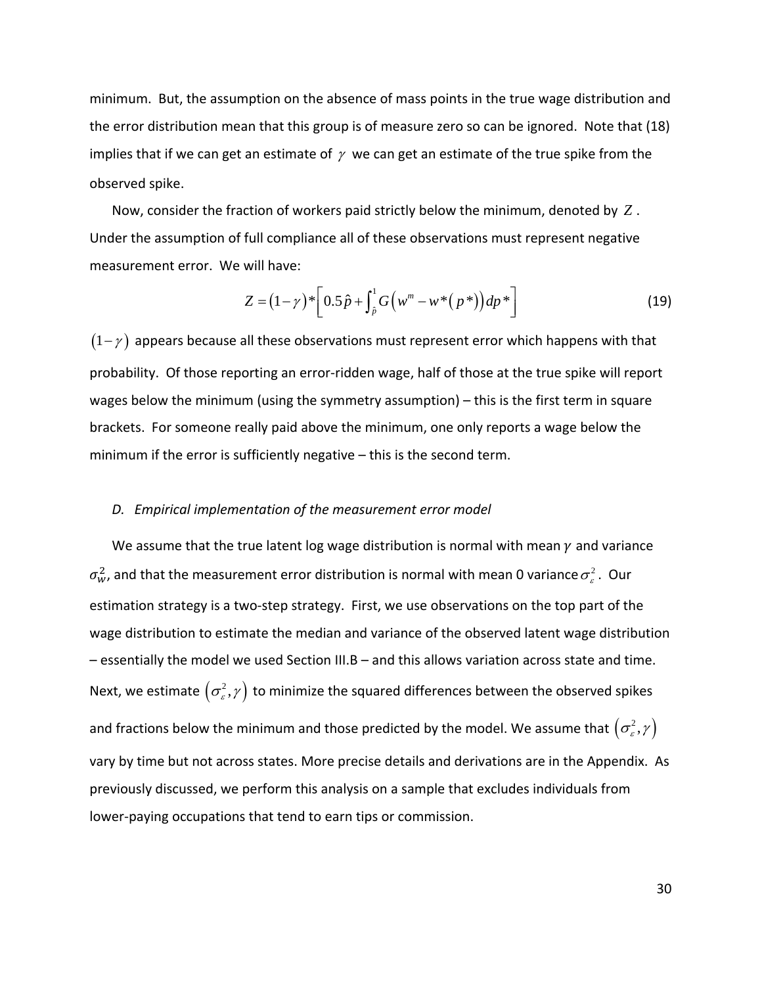minimum. But, the assumption on the absence of mass points in the true wage distribution and the error distribution mean that this group is of measure zero so can be ignored. Note that (18) implies that if we can get an estimate of  $\gamma$  we can get an estimate of the true spike from the observed spike.

Now, consider the fraction of workers paid strictly below the minimum, denoted by *Z* . Under the assumption of full compliance all of these observations must represent negative measurement error. We will have:

$$
Z = (1 - \gamma)^* \left[ 0.5 \hat{p} + \int_{\hat{p}}^1 G\left(w^m - w^*(p^*)\right) dp^* \right]
$$
 (19)

 $(1-\gamma)$  appears because all these observations must represent error which happens with that probability. Of those reporting an error-ridden wage, half of those at the true spike will report wages below the minimum (using the symmetry assumption) – this is the first term in square brackets. For someone really paid above the minimum, one only reports a wage below the minimum if the error is sufficiently negative – this is the second term.

#### *D. Empirical implementation of the measurement error model*

We assume that the true latent log wage distribution is normal with mean  $\gamma$  and variance  $\sigma^2_{\sf w}$ , and that the measurement error distribution is normal with mean 0 variance  $\sigma^2_{\varepsilon}$  . Our estimation strategy is a two-step strategy. First, we use observations on the top part of the wage distribution to estimate the median and variance of the observed latent wage distribution – essentially the model we used Section III.B – and this allows variation across state and time. Next, we estimate  $\left( \sigma_{\varepsilon}^{2},\gamma\right)$  to minimize the squared differences between the observed spikes and fractions below the minimum and those predicted by the model. We assume that  $\left( \sigma_{\varepsilon}^{2},\gamma\right)$ vary by time but not across states. More precise details and derivations are in the Appendix. As previously discussed, we perform this analysis on a sample that excludes individuals from lower-paying occupations that tend to earn tips or commission.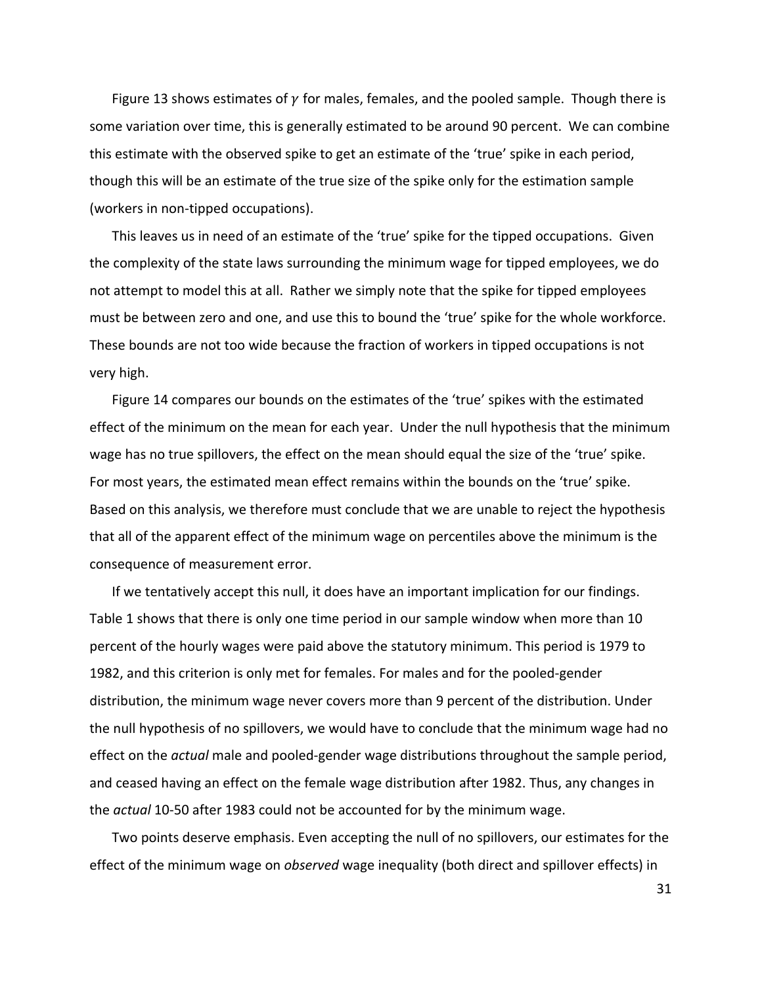Figure 13 shows estimates of  $\gamma$  for males, females, and the pooled sample. Though there is some variation over time, this is generally estimated to be around 90 percent. We can combine this estimate with the observed spike to get an estimate of the 'true' spike in each period, though this will be an estimate of the true size of the spike only for the estimation sample (workers in non‐tipped occupations).

This leaves us in need of an estimate of the 'true' spike for the tipped occupations. Given the complexity of the state laws surrounding the minimum wage for tipped employees, we do not attempt to model this at all. Rather we simply note that the spike for tipped employees must be between zero and one, and use this to bound the 'true' spike for the whole workforce. These bounds are not too wide because the fraction of workers in tipped occupations is not very high.

Figure 14 compares our bounds on the estimates of the 'true' spikes with the estimated effect of the minimum on the mean for each year. Under the null hypothesis that the minimum wage has no true spillovers, the effect on the mean should equal the size of the 'true' spike. For most years, the estimated mean effect remains within the bounds on the 'true' spike. Based on this analysis, we therefore must conclude that we are unable to reject the hypothesis that all of the apparent effect of the minimum wage on percentiles above the minimum is the consequence of measurement error.

If we tentatively accept this null, it does have an important implication for our findings. Table 1 shows that there is only one time period in our sample window when more than 10 percent of the hourly wages were paid above the statutory minimum. This period is 1979 to 1982, and this criterion is only met for females. For males and for the pooled‐gender distribution, the minimum wage never covers more than 9 percent of the distribution. Under the null hypothesis of no spillovers, we would have to conclude that the minimum wage had no effect on the *actual* male and pooled‐gender wage distributions throughout the sample period, and ceased having an effect on the female wage distribution after 1982. Thus, any changes in the *actual* 10‐50 after 1983 could not be accounted for by the minimum wage.

Two points deserve emphasis. Even accepting the null of no spillovers, our estimates for the effect of the minimum wage on *observed* wage inequality (both direct and spillover effects) in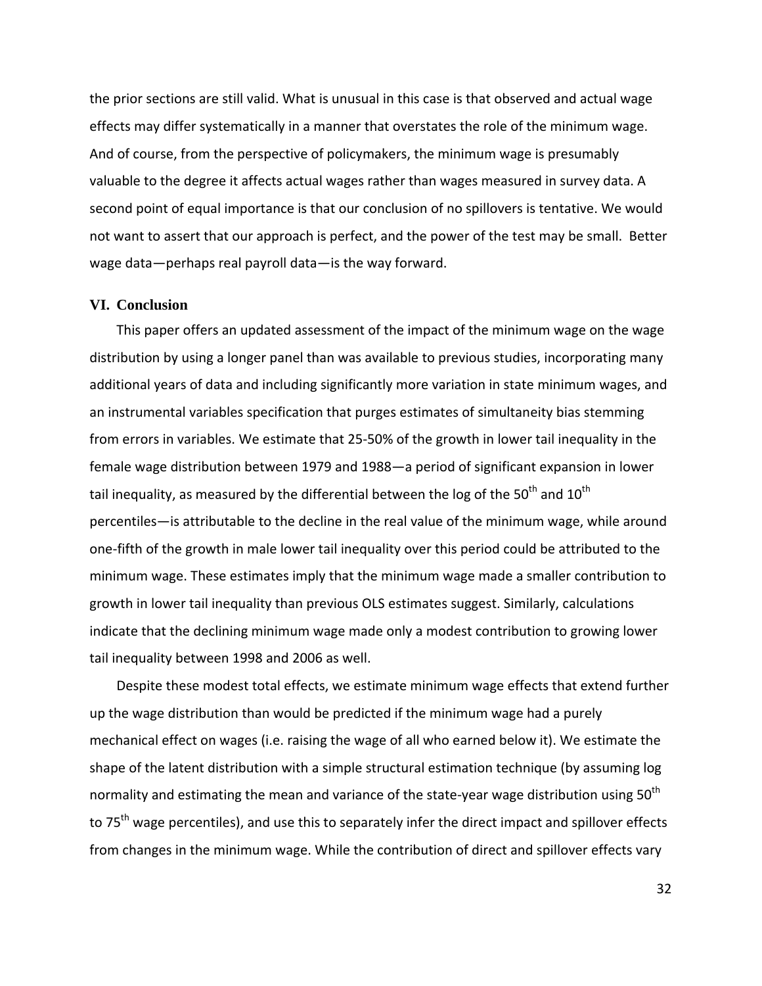the prior sections are still valid. What is unusual in this case is that observed and actual wage effects may differ systematically in a manner that overstates the role of the minimum wage. And of course, from the perspective of policymakers, the minimum wage is presumably valuable to the degree it affects actual wages rather than wages measured in survey data. A second point of equal importance is that our conclusion of no spillovers is tentative. We would not want to assert that our approach is perfect, and the power of the test may be small. Better wage data—perhaps real payroll data—is the way forward.

# **VI. Conclusion**

This paper offers an updated assessment of the impact of the minimum wage on the wage distribution by using a longer panel than was available to previous studies, incorporating many additional years of data and including significantly more variation in state minimum wages, and an instrumental variables specification that purges estimates of simultaneity bias stemming from errors in variables. We estimate that 25‐50% of the growth in lower tail inequality in the female wage distribution between 1979 and 1988—a period of significant expansion in lower tail inequality, as measured by the differential between the log of the 50<sup>th</sup> and  $10^{\text{th}}$ percentiles—is attributable to the decline in the real value of the minimum wage, while around one‐fifth of the growth in male lower tail inequality over this period could be attributed to the minimum wage. These estimates imply that the minimum wage made a smaller contribution to growth in lower tail inequality than previous OLS estimates suggest. Similarly, calculations indicate that the declining minimum wage made only a modest contribution to growing lower tail inequality between 1998 and 2006 as well.

Despite these modest total effects, we estimate minimum wage effects that extend further up the wage distribution than would be predicted if the minimum wage had a purely mechanical effect on wages (i.e. raising the wage of all who earned below it). We estimate the shape of the latent distribution with a simple structural estimation technique (by assuming log normality and estimating the mean and variance of the state-year wage distribution using  $50<sup>th</sup>$ to 75<sup>th</sup> wage percentiles), and use this to separately infer the direct impact and spillover effects from changes in the minimum wage. While the contribution of direct and spillover effects vary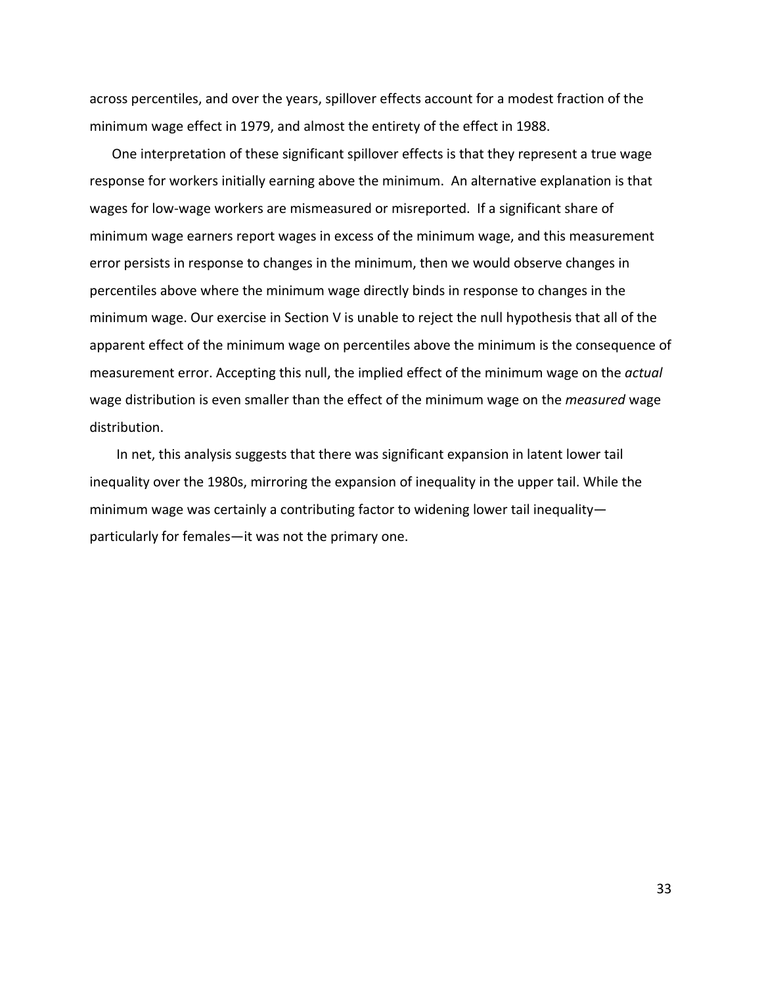across percentiles, and over the years, spillover effects account for a modest fraction of the minimum wage effect in 1979, and almost the entirety of the effect in 1988.

One interpretation of these significant spillover effects is that they represent a true wage response for workers initially earning above the minimum. An alternative explanation is that wages for low‐wage workers are mismeasured or misreported. If a significant share of minimum wage earners report wages in excess of the minimum wage, and this measurement error persists in response to changes in the minimum, then we would observe changes in percentiles above where the minimum wage directly binds in response to changes in the minimum wage. Our exercise in Section V is unable to reject the null hypothesis that all of the apparent effect of the minimum wage on percentiles above the minimum is the consequence of measurement error. Accepting this null, the implied effect of the minimum wage on the *actual* wage distribution is even smaller than the effect of the minimum wage on the *measured* wage distribution.

In net, this analysis suggests that there was significant expansion in latent lower tail inequality over the 1980s, mirroring the expansion of inequality in the upper tail. While the minimum wage was certainly a contributing factor to widening lower tail inequality particularly for females—it was not the primary one.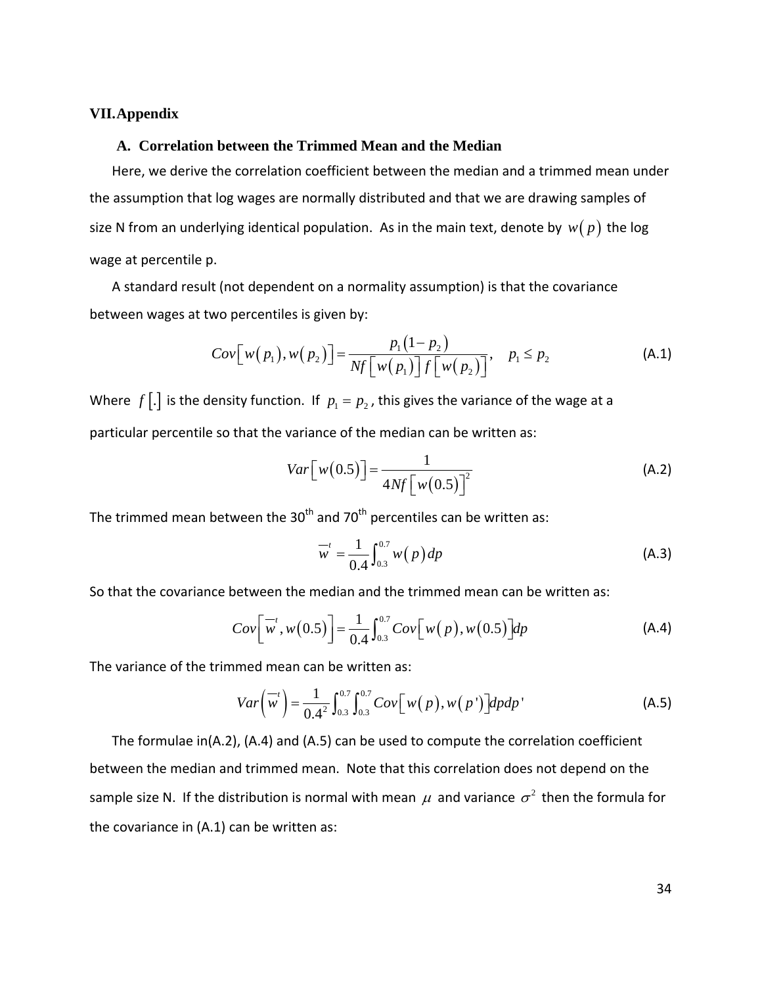#### **VII.Appendix**

## **A. Correlation between the Trimmed Mean and the Median**

Here, we derive the correlation coefficient between the median and a trimmed mean under the assumption that log wages are normally distributed and that we are drawing samples of size N from an underlying identical population. As in the main text, denote by  $w(p)$  the log wage at percentile p.

A standard result (not dependent on a normality assumption) is that the covariance between wages at two percentiles is given by:

$$
Cov\big[\,w(p_1),w(p_2)\,\big]=\frac{p_1(1-p_2)}{Nf\big[\,w(p_1)\,\big]f\big[\,w(p_2)\,\big]},\quad p_1\leq p_2\tag{A.1}
$$

Where  $f$ [.] is the density function. If  $p_1 = p_2$ , this gives the variance of the wage at a particular percentile so that the variance of the median can be written as:

$$
Var\left[w(0.5)\right] = \frac{1}{4Nf\left[w(0.5)\right]^2}
$$
 (A.2)

The trimmed mean between the  $30<sup>th</sup>$  and 70<sup>th</sup> percentiles can be written as:

$$
\overline{w}^t = \frac{1}{0.4} \int_{0.3}^{0.7} w(p) \, dp \tag{A.3}
$$

So that the covariance between the median and the trimmed mean can be written as:

$$
Cov\Big[\overline{w}', w(0.5)\Big] = \frac{1}{0.4} \int_{0.3}^{0.7} Cov\Big[w(p), w(0.5)\Big] dp \tag{A.4}
$$

The variance of the trimmed mean can be written as:

$$
Var\left(\overline{w}^{t}\right) = \frac{1}{0.4^{2}} \int_{0.3}^{0.7} \int_{0.3}^{0.7} Cov\left[w(p), w(p')\right] dp dp' \tag{A.5}
$$

The formulae in(A.2), (A.4) and (A.5) can be used to compute the correlation coefficient between the median and trimmed mean. Note that this correlation does not depend on the sample size N. If the distribution is normal with mean  $\mu$  and variance  $\sigma^2$  then the formula for the covariance in (A.1) can be written as: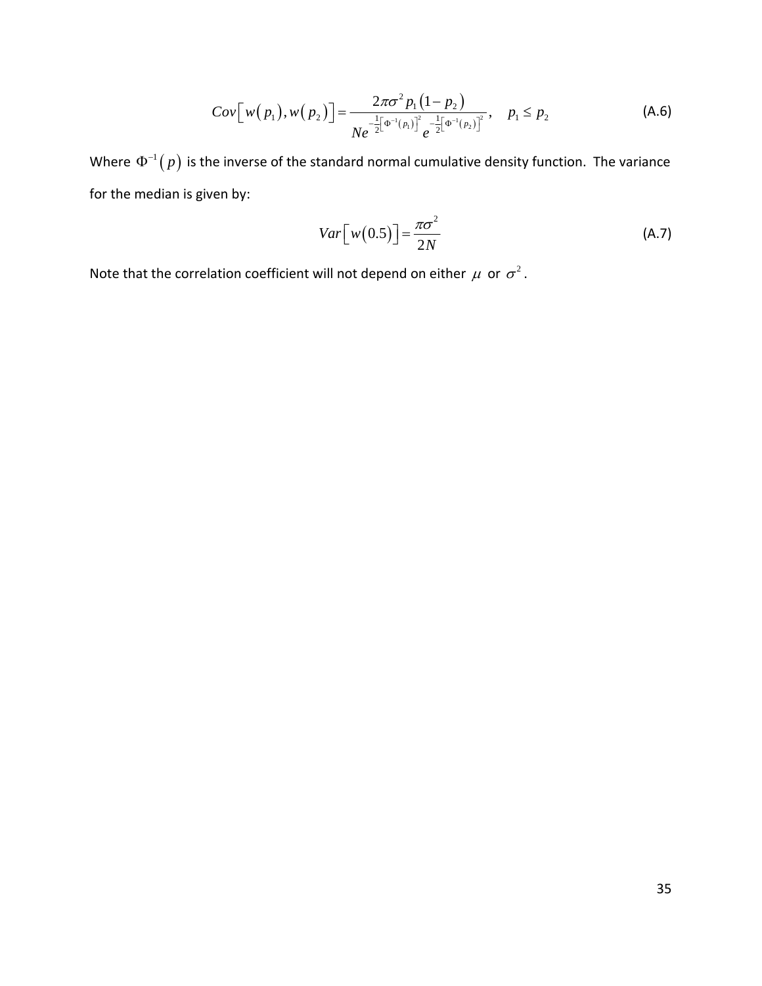$$
Cov[w(p_1), w(p_2)] = \frac{2\pi\sigma^2 p_1 (1-p_2)}{Ne^{-\frac{1}{2}[\Phi^{-1}(p_1)]^2}e^{-\frac{1}{2}[\Phi^{-1}(p_2)]^2}}, \quad p_1 \le p_2
$$
 (A.6)

Where  $\Phi^{-1}(p)$  is the inverse of the standard normal cumulative density function. The variance for the median is given by:

$$
Var\left[w(0.5)\right] = \frac{\pi \sigma^2}{2N} \tag{A.7}
$$

Note that the correlation coefficient will not depend on either  $\mu$  or  $\sigma^2$ .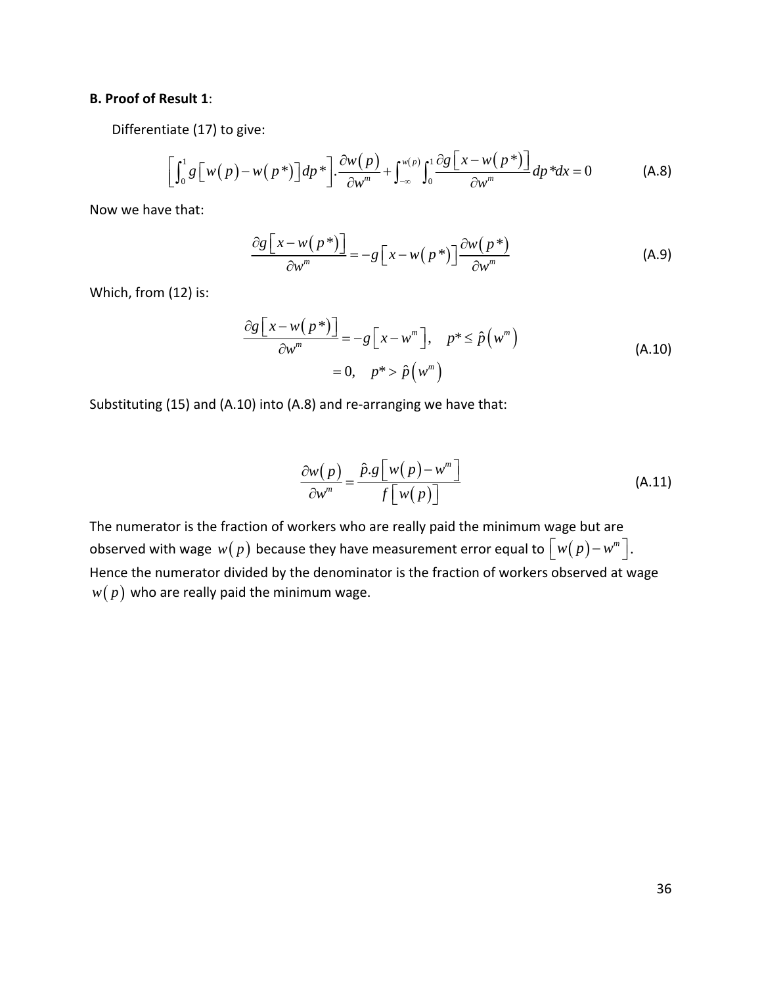# **B. Proof of Result 1**:

Differentiate (17) to give:

$$
\left[\int_0^1 g\left[w(p)-w(p^*)\right]dp^*\right] \cdot \frac{\partial w(p)}{\partial w^m} + \int_{-\infty}^{w(p)} \int_0^1 \frac{\partial g\left[x-w(p^*)\right]}{\partial w^m} dp^* dx = 0 \tag{A.8}
$$

Now we have that:

$$
\frac{\partial g \left[ x - w(p^*) \right]}{\partial w^m} = -g \left[ x - w(p^*) \right] \frac{\partial w(p^*)}{\partial w^m}
$$
\n(A.9)

Which, from (12) is:

$$
\frac{\partial g[x - w(p^*)]}{\partial w^m} = -g[x - w^m], \quad p^* \le \hat{p}(w^m)
$$
\n
$$
= 0, \quad p^* > \hat{p}(w^m)
$$
\n(A.10)

Substituting (15) and (A.10) into (A.8) and re-arranging we have that:

$$
\frac{\partial w(p)}{\partial w^m} = \frac{\hat{p} \cdot g \left[ w(p) - w^m \right]}{f \left[ w(p) \right]}
$$
(A.11)

The numerator is the fraction of workers who are really paid the minimum wage but are observed with wage  $w(p)$  because they have measurement error equal to  $\left[ w(p)-w^m \right]$ . Hence the numerator divided by the denominator is the fraction of workers observed at wage  $w(p)$  who are really paid the minimum wage.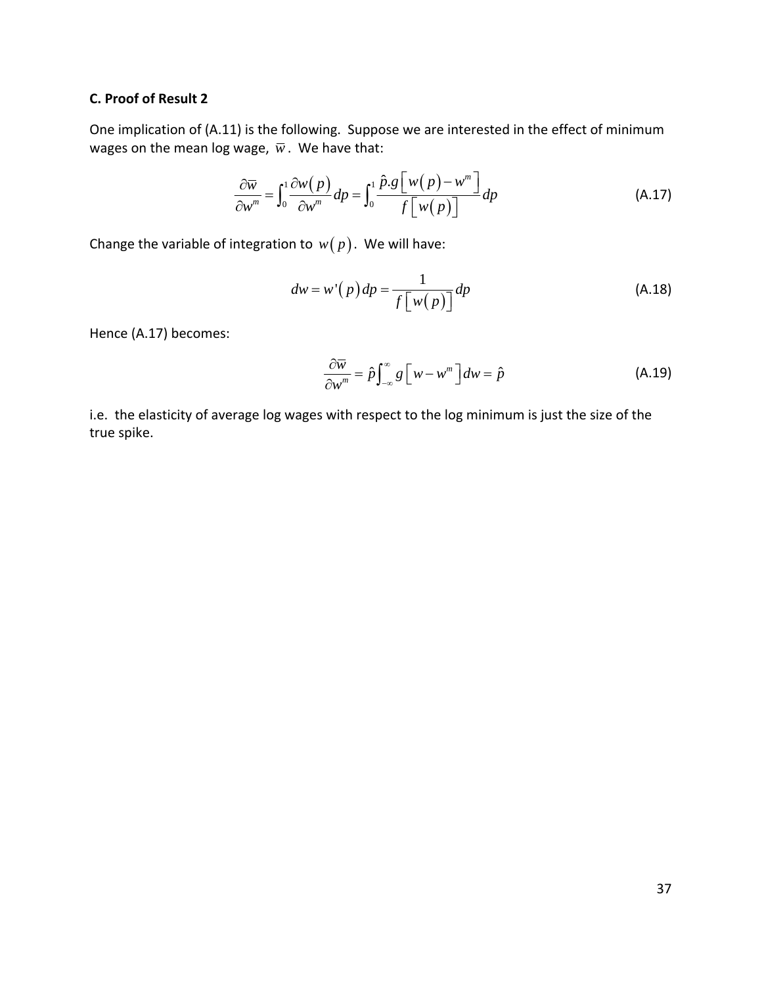# **C. Proof of Result 2**

One implication of (A.11) is the following. Suppose we are interested in the effect of minimum wages on the mean log wage,  $\overline{w}$ . We have that:

$$
\frac{\partial \overline{w}}{\partial w^m} = \int_0^1 \frac{\partial w(p)}{\partial w^m} dp = \int_0^1 \frac{\hat{p} \cdot g \left[ w(p) - w^m \right]}{f \left[ w(p) \right]} dp
$$
\n(A.17)

Change the variable of integration to  $w(p)$ . We will have:

$$
dw = w'(p)dp = \frac{1}{f[w(p)]}dp
$$
 (A.18)

Hence (A.17) becomes:

$$
\frac{\partial \overline{w}}{\partial w^m} = \hat{p} \int_{-\infty}^{\infty} g \left[ w - w^m \right] dw = \hat{p}
$$
 (A.19)

i.e. the elasticity of average log wages with respect to the log minimum is just the size of the true spike.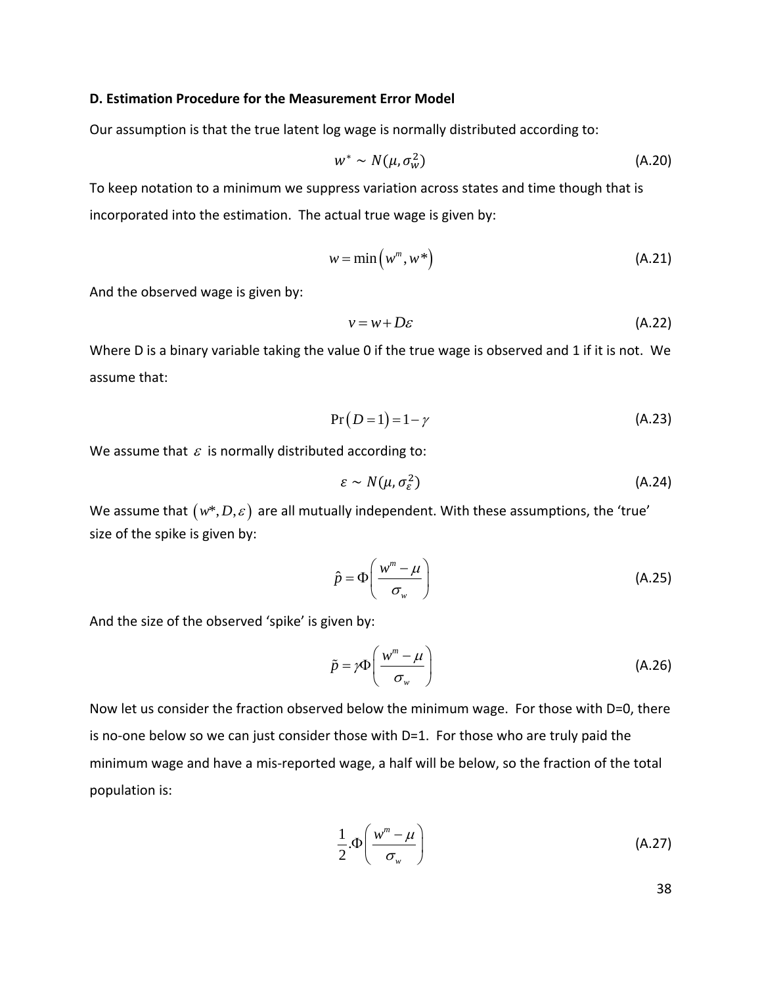### **D. Estimation Procedure for the Measurement Error Model**

Our assumption is that the true latent log wage is normally distributed according to:

$$
w^* \sim N(\mu, \sigma_w^2) \tag{A.20}
$$

To keep notation to a minimum we suppress variation across states and time though that is incorporated into the estimation. The actual true wage is given by:

$$
w = \min(w^m, w^*)
$$
 (A.21)

And the observed wage is given by:

$$
v = w + D\varepsilon \tag{A.22}
$$

Where D is a binary variable taking the value 0 if the true wage is observed and 1 if it is not. We assume that:

$$
Pr(D=1) = 1 - \gamma
$$
 (A.23)

We assume that  $\varepsilon$  is normally distributed according to:

$$
\varepsilon \sim N(\mu, \sigma_{\varepsilon}^2) \tag{A.24}
$$

We assume that  $(w^*, D, \varepsilon)$  are all mutually independent. With these assumptions, the 'true' size of the spike is given by:

$$
\hat{p} = \Phi\left(\frac{w^m - \mu}{\sigma_w}\right) \tag{A.25}
$$

And the size of the observed 'spike' is given by:

$$
\tilde{p} = \gamma \Phi \left( \frac{w^m - \mu}{\sigma_w} \right) \tag{A.26}
$$

Now let us consider the fraction observed below the minimum wage. For those with D=0, there is no-one below so we can just consider those with  $D=1$ . For those who are truly paid the minimum wage and have a mis‐reported wage, a half will be below, so the fraction of the total population is:

$$
\frac{1}{2}.\Phi\left(\frac{w^m - \mu}{\sigma_w}\right) \tag{A.27}
$$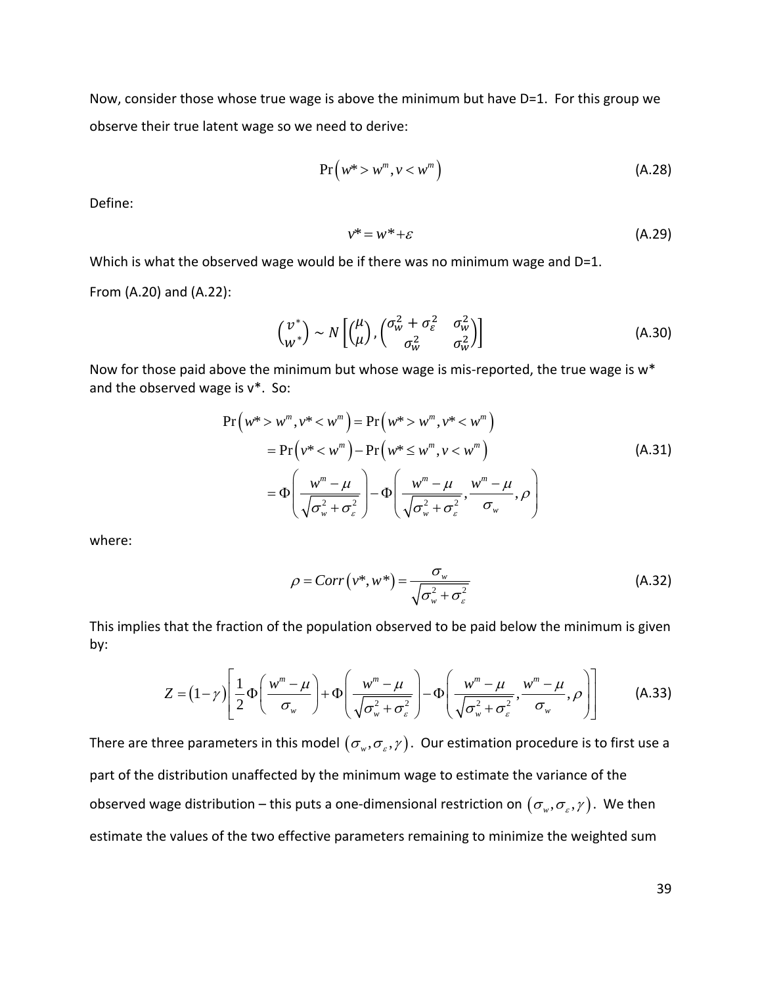Now, consider those whose true wage is above the minimum but have D=1. For this group we observe their true latent wage so we need to derive:

$$
Pr(w^* > w^m, v < w^m)
$$
 (A.28)

Define:

$$
v^* = w^* + \varepsilon \tag{A.29}
$$

Which is what the observed wage would be if there was no minimum wage and D=1.

From (A.20) and (A.22):

$$
\begin{pmatrix} v^* \\ w^* \end{pmatrix} \sim N \begin{bmatrix} \begin{pmatrix} \mu \\ \mu \end{pmatrix}, \begin{pmatrix} \sigma_w^2 + \sigma_\varepsilon^2 & \sigma_w^2 \\ \sigma_w^2 & \sigma_w^2 \end{pmatrix} \end{bmatrix}
$$
 (A.30)

Now for those paid above the minimum but whose wage is mis-reported, the true wage is w\* and the observed wage is v\*. So:

$$
Pr(w^* > w^m, v^* < w^m) = Pr(w^* > w^m, v^* < w^m)
$$
  
= Pr(v^\* < w^m) - Pr(w^\* \le w^m, v < w^m)  
=  $\Phi\left(\frac{w^m - \mu}{\sqrt{\sigma_w^2 + \sigma_{\varepsilon}^2}}\right) - \Phi\left(\frac{w^m - \mu}{\sqrt{\sigma_w^2 + \sigma_{\varepsilon}^2}}, \frac{w^m - \mu}{\sigma_w}, \rho\right)$  (A.31)

where:

$$
\rho = Corr(v^*, w^*) = \frac{\sigma_w}{\sqrt{\sigma_w^2 + \sigma_\varepsilon^2}}
$$
(A.32)

This implies that the fraction of the population observed to be paid below the minimum is given by:

$$
Z = (1 - \gamma) \left[ \frac{1}{2} \Phi \left( \frac{w^m - \mu}{\sigma_w} \right) + \Phi \left( \frac{w^m - \mu}{\sqrt{\sigma_w^2 + \sigma_\varepsilon^2}} \right) - \Phi \left( \frac{w^m - \mu}{\sqrt{\sigma_w^2 + \sigma_\varepsilon^2}}, \frac{w^m - \mu}{\sigma_w}, \rho \right) \right]
$$
(A.33)

There are three parameters in this model  $(\sigma_w, \sigma_z, \gamma)$ . Our estimation procedure is to first use a part of the distribution unaffected by the minimum wage to estimate the variance of the observed wage distribution – this puts a one-dimensional restriction on  $(\sigma_w, \sigma_s, \gamma)$ . We then estimate the values of the two effective parameters remaining to minimize the weighted sum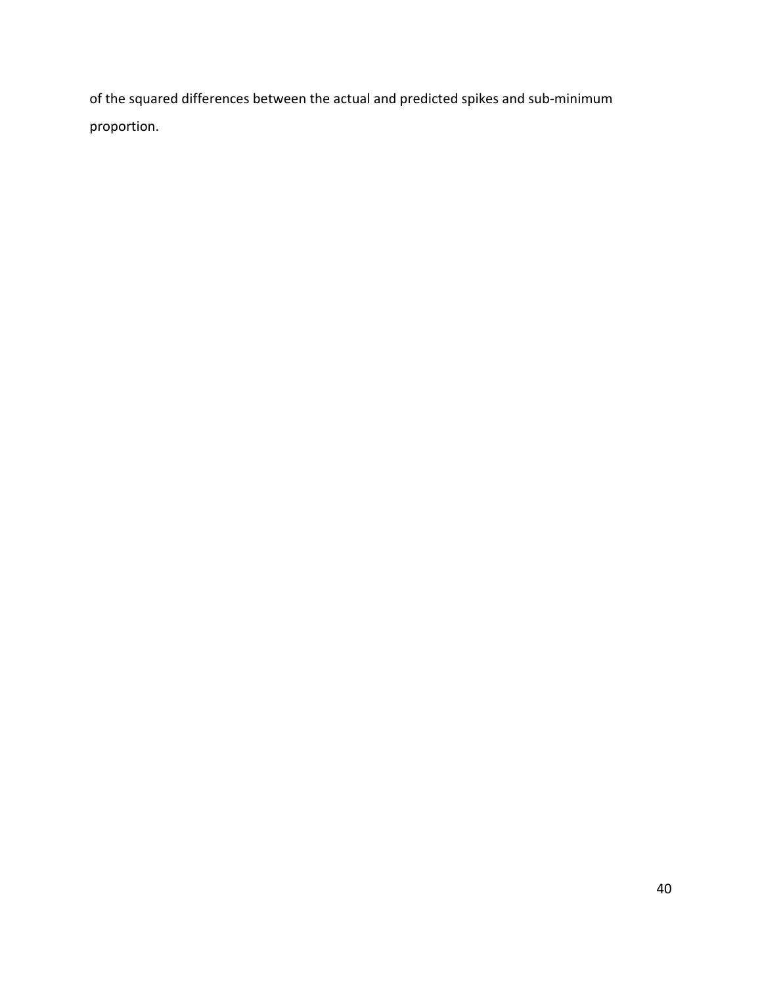of the squared differences between the actual and predicted spikes and sub‐minimum proportion.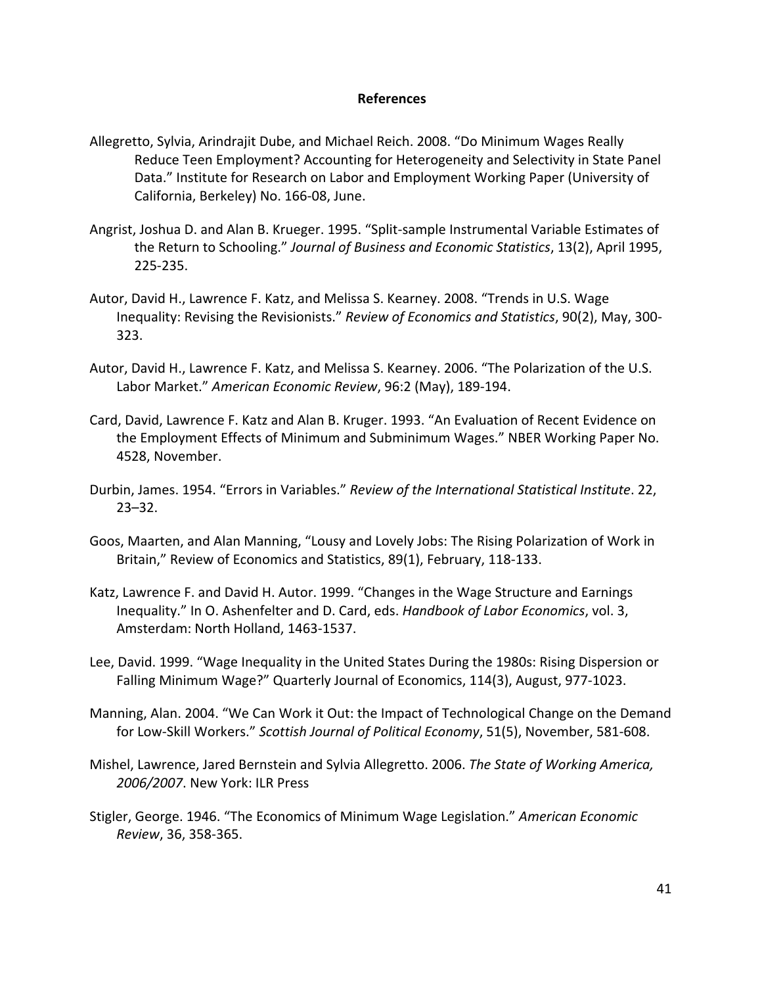### **References**

- Allegretto, Sylvia, Arindrajit Dube, and Michael Reich. 2008. "Do Minimum Wages Really Reduce Teen Employment? Accounting for Heterogeneity and Selectivity in State Panel Data." Institute for Research on Labor and Employment Working Paper (University of California, Berkeley) No. 166‐08, June.
- Angrist, Joshua D. and Alan B. Krueger. 1995. "Split‐sample Instrumental Variable Estimates of the Return to Schooling." *Journal of Business and Economic Statistics*, 13(2), April 1995, 225‐235.
- Autor, David H., Lawrence F. Katz, and Melissa S. Kearney. 2008. "Trends in U.S. Wage Inequality: Revising the Revisionists." *Review of Economics and Statistics*, 90(2), May, 300‐ 323.
- Autor, David H., Lawrence F. Katz, and Melissa S. Kearney. 2006. "The Polarization of the U.S. Labor Market." *American Economic Review*, 96:2 (May), 189‐194.
- Card, David, Lawrence F. Katz and Alan B. Kruger. 1993. "An Evaluation of Recent Evidence on the Employment Effects of Minimum and Subminimum Wages." NBER Working Paper No. 4528, November.
- Durbin, James. 1954. "Errors in Variables." *Review of the International Statistical Institute*. 22, 23–32.
- Goos, Maarten, and Alan Manning, "Lousy and Lovely Jobs: The Rising Polarization of Work in Britain," Review of Economics and Statistics, 89(1), February, 118‐133.
- Katz, Lawrence F. and David H. Autor. 1999. "Changes in the Wage Structure and Earnings Inequality." In O. Ashenfelter and D. Card, eds. *Handbook of Labor Economics*, vol. 3, Amsterdam: North Holland, 1463‐1537.
- Lee, David. 1999. "Wage Inequality in the United States During the 1980s: Rising Dispersion or Falling Minimum Wage?" Quarterly Journal of Economics, 114(3), August, 977‐1023.
- Manning, Alan. 2004. "We Can Work it Out: the Impact of Technological Change on the Demand for Low‐Skill Workers." *Scottish Journal of Political Economy*, 51(5), November, 581‐608.
- Mishel, Lawrence, Jared Bernstein and Sylvia Allegretto. 2006. *The State of Working America, 2006/2007*. New York: ILR Press
- Stigler, George. 1946. "The Economics of Minimum Wage Legislation." *American Economic Review*, 36, 358‐365.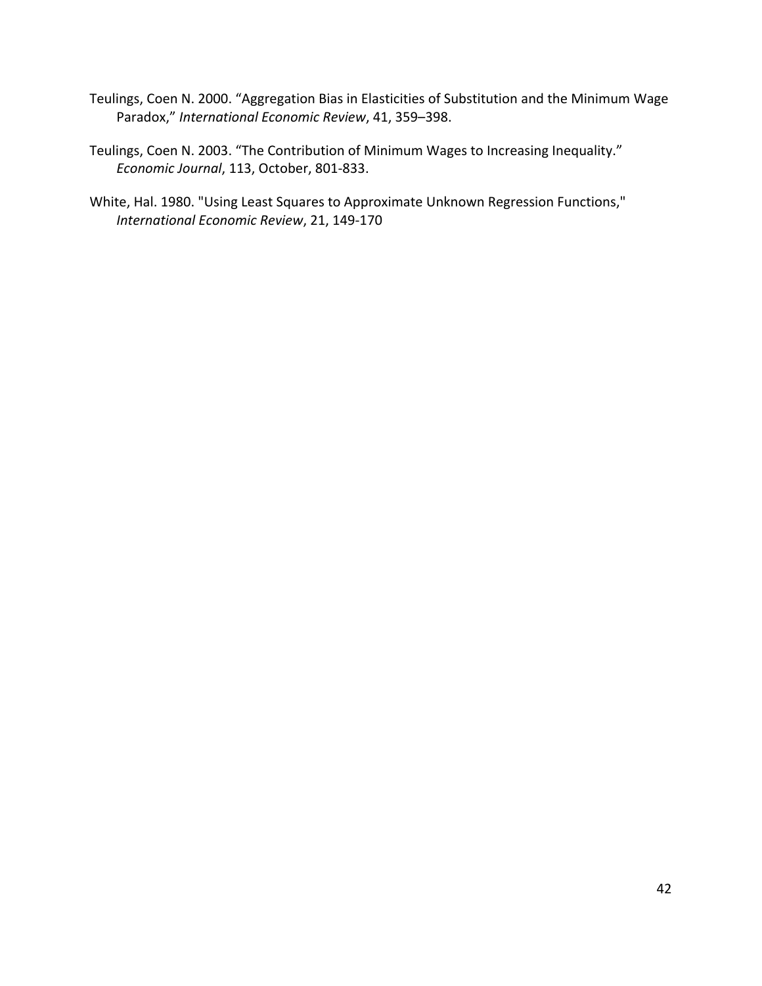- Teulings, Coen N. 2000. "Aggregation Bias in Elasticities of Substitution and the Minimum Wage Paradox," *International Economic Review*, 41, 359–398.
- Teulings, Coen N. 2003. "The Contribution of Minimum Wages to Increasing Inequality." *Economic Journal*, 113, October, 801‐833.
- White, Hal. 1980. "Using Least Squares to Approximate Unknown Regression Functions," *International Economic Review*, 21, 149‐170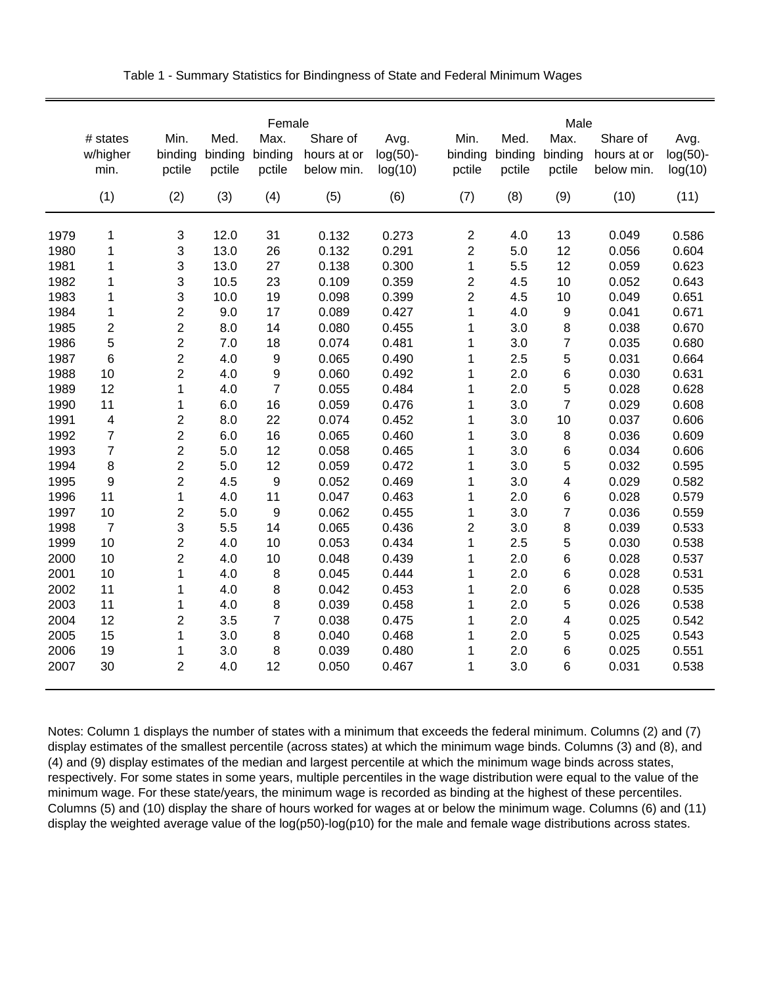| # states<br>w/higher   | Min.<br>binding<br>pctile | Med.<br>binding | Max.             | Share of    |             |                         |         | Male                    |             |             |
|------------------------|---------------------------|-----------------|------------------|-------------|-------------|-------------------------|---------|-------------------------|-------------|-------------|
|                        |                           |                 |                  |             | Avg.        | Min.                    | Med.    | Max.                    | Share of    | Avg.        |
|                        |                           |                 | binding          | hours at or | $log(50)$ - | binding                 | binding | binding                 | hours at or | $log(50)$ - |
| min.                   |                           | pctile          | pctile           | below min.  | log(10)     | pctile                  | pctile  | pctile                  | below min.  | log(10)     |
| (1)                    | (2)                       | (3)             | (4)              | (5)         | (6)         | (7)                     | (8)     | (9)                     | (10)        | (11)        |
| 1979<br>1              | 3                         | 12.0            | 31               | 0.132       | 0.273       | 2                       | 4.0     | 13                      | 0.049       | 0.586       |
| 1980<br>1              | 3                         | 13.0            | 26               | 0.132       | 0.291       | $\overline{\mathbf{c}}$ | 5.0     | 12                      | 0.056       | 0.604       |
| 1981<br>1              | 3                         | 13.0            | 27               | 0.138       | 0.300       | $\mathbf 1$             | 5.5     | 12                      | 0.059       | 0.623       |
| 1<br>1982              | 3                         | 10.5            | 23               | 0.109       | 0.359       | $\overline{2}$          | 4.5     | 10                      | 0.052       | 0.643       |
| 1983<br>1              | 3                         | 10.0            | 19               | 0.098       | 0.399       | $\overline{2}$          | 4.5     | 10                      | 0.049       | 0.651       |
| 1984<br>1              | $\overline{2}$            | 9.0             | 17               | 0.089       | 0.427       | 1                       | 4.0     | 9                       | 0.041       | 0.671       |
| 2<br>1985              | $\overline{2}$            | 8.0             | 14               | 0.080       | 0.455       | $\mathbf 1$             | 3.0     | 8                       | 0.038       | 0.670       |
| 5<br>1986              | $\overline{2}$            | 7.0             | 18               | 0.074       | 0.481       | 1                       | 3.0     | $\overline{7}$          | 0.035       | 0.680       |
| 6<br>1987              | 2                         | 4.0             | $\boldsymbol{9}$ | 0.065       | 0.490       | 1                       | 2.5     | 5                       | 0.031       | 0.664       |
| 1988<br>10             | $\overline{2}$            | 4.0             | $\boldsymbol{9}$ | 0.060       | 0.492       | 1                       | 2.0     | 6                       | 0.030       | 0.631       |
| 1989<br>12             | 1                         | 4.0             | $\overline{7}$   | 0.055       | 0.484       | $\mathbf 1$             | 2.0     | 5                       | 0.028       | 0.628       |
| 11<br>1990             | 1                         | 6.0             | 16               | 0.059       | 0.476       | 1                       | 3.0     | $\overline{7}$          | 0.029       | 0.608       |
| 4<br>1991              | 2                         | 8.0             | 22               | 0.074       | 0.452       | $\mathbf 1$             | 3.0     | 10                      | 0.037       | 0.606       |
| $\overline{7}$<br>1992 | $\overline{2}$            | 6.0             | 16               | 0.065       | 0.460       | $\mathbf 1$             | 3.0     | $\, 8$                  | 0.036       | 0.609       |
| $\overline{7}$<br>1993 | $\overline{2}$            | 5.0             | 12               | 0.058       | 0.465       | $\mathbf 1$             | 3.0     | 6                       | 0.034       | 0.606       |
| 8<br>1994              | 2                         | 5.0             | 12               | 0.059       | 0.472       | 1                       | 3.0     | 5                       | 0.032       | 0.595       |
| 9<br>1995              | $\overline{2}$            | 4.5             | 9                | 0.052       | 0.469       | $\mathbf 1$             | 3.0     | 4                       | 0.029       | 0.582       |
| 11<br>1996             | 1                         | 4.0             | 11               | 0.047       | 0.463       | $\mathbf 1$             | 2.0     | 6                       | 0.028       | 0.579       |
| 10<br>1997             | $\overline{c}$            | 5.0             | 9                | 0.062       | 0.455       | 1                       | 3.0     | $\overline{7}$          | 0.036       | 0.559       |
| 1998<br>$\overline{7}$ | 3                         | 5.5             | 14               | 0.065       | 0.436       | $\overline{\mathbf{c}}$ | 3.0     | 8                       | 0.039       | 0.533       |
| 1999<br>10             | $\overline{2}$            | 4.0             | 10               | 0.053       | 0.434       | $\mathbf 1$             | 2.5     | 5                       | 0.030       | 0.538       |
| 2000<br>10             | $\overline{2}$            | 4.0             | 10               | 0.048       | 0.439       | $\mathbf 1$             | 2.0     | 6                       | 0.028       | 0.537       |
| 2001<br>10             | 1                         | 4.0             | 8                | 0.045       | 0.444       | 1                       | 2.0     | 6                       | 0.028       | 0.531       |
| 11<br>2002             | 1                         | 4.0             | $\bf8$           | 0.042       | 0.453       | 1                       | 2.0     | 6                       | 0.028       | 0.535       |
| 2003<br>11             | 1                         | 4.0             | 8                | 0.039       | 0.458       | 1                       | 2.0     | 5                       | 0.026       | 0.538       |
| 2004<br>12             | $\overline{2}$            | 3.5             | $\overline{7}$   | 0.038       | 0.475       | $\mathbf 1$             | 2.0     | $\overline{\mathbf{4}}$ | 0.025       | 0.542       |
| 2005<br>15             | $\mathbf{1}$              | 3.0             | $\,$ 8 $\,$      | 0.040       | 0.468       | 1                       | 2.0     | 5                       | 0.025       | 0.543       |
| 2006<br>19             | $\mathbf{1}$              | 3.0             | 8                | 0.039       | 0.480       | 1                       | 2.0     | 6                       | 0.025       | 0.551       |
| 30<br>2007             | $\overline{2}$            | 4.0             | 12               | 0.050       | 0.467       | $\mathbf 1$             | 3.0     | 6                       | 0.031       | 0.538       |

Table 1 - Summary Statistics for Bindingness of State and Federal Minimum Wages

Notes: Column 1 displays the number of states with a minimum that exceeds the federal minimum. Columns (2) and (7) display estimates of the smallest percentile (across states) at which the minimum wage binds. Columns (3) and (8), and (4) and (9) display estimates of the median and largest percentile at which the minimum wage binds across states, respectively. For some states in some years, multiple percentiles in the wage distribution were equal to the value of the minimum wage. For these state/years, the minimum wage is recorded as binding at the highest of these percentiles. Columns (5) and (10) display the share of hours worked for wages at or below the minimum wage. Columns (6) and (11) display the weighted average value of the log(p50)-log(p10) for the male and female wage distributions across states.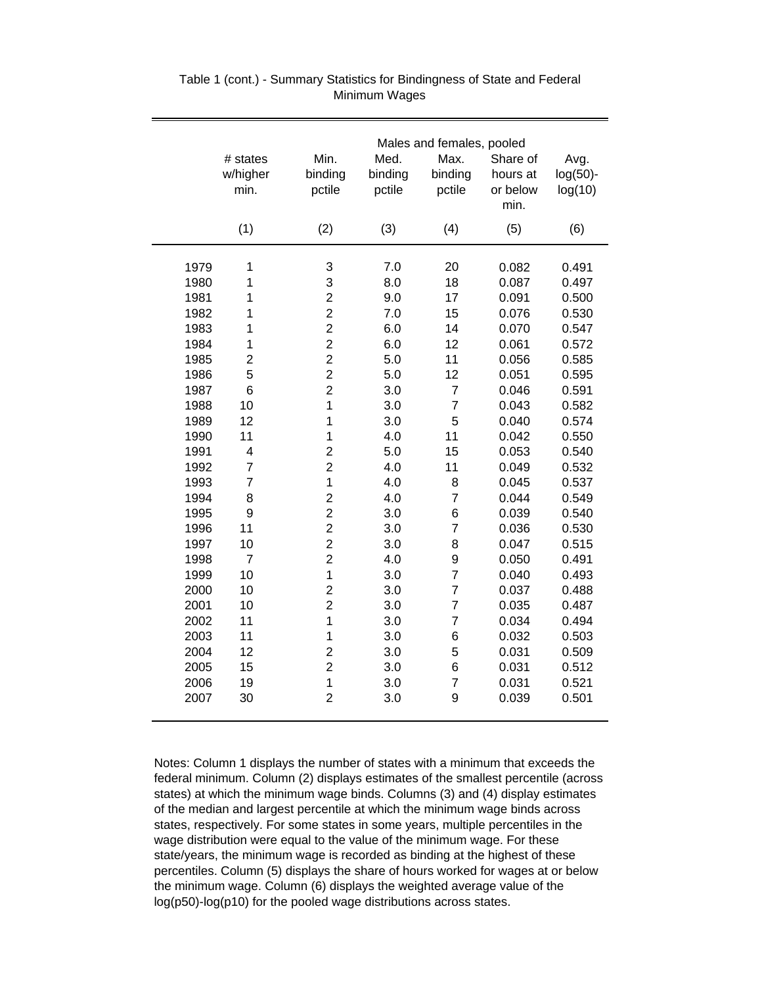|      | # states<br>w/higher<br>min. | Min.<br>binding<br>pctile | Med.<br>binding<br>pctile | Males and females, pooled<br>Max.<br>binding<br>pctile | Share of<br>hours at<br>or below<br>min. | Avg.<br>$log(50)$ -<br>log(10) |
|------|------------------------------|---------------------------|---------------------------|--------------------------------------------------------|------------------------------------------|--------------------------------|
|      | (1)                          | (2)                       | (3)                       | (4)                                                    | (5)                                      | (6)                            |
| 1979 | 1                            | 3                         | 7.0                       | 20                                                     | 0.082                                    | 0.491                          |
| 1980 | $\mathbf 1$                  | 3                         | 8.0                       | 18                                                     | 0.087                                    | 0.497                          |
| 1981 | $\mathbf 1$                  | $\overline{c}$            | 9.0                       | 17                                                     | 0.091                                    | 0.500                          |
| 1982 | 1                            | $\overline{c}$            | 7.0                       | 15                                                     | 0.076                                    | 0.530                          |
| 1983 | $\mathbf 1$                  | $\overline{2}$            | 6.0                       | 14                                                     | 0.070                                    | 0.547                          |
| 1984 | $\mathbf 1$                  | $\overline{c}$            | 6.0                       | 12                                                     | 0.061                                    | 0.572                          |
| 1985 | $\overline{2}$               | $\overline{2}$            | 5.0                       | 11                                                     | 0.056                                    | 0.585                          |
| 1986 | 5                            | $\overline{2}$            | 5.0                       | 12                                                     | 0.051                                    | 0.595                          |
| 1987 | 6                            | $\overline{c}$            | 3.0                       | $\overline{7}$                                         | 0.046                                    | 0.591                          |
| 1988 | 10                           | $\mathbf{1}$              | 3.0                       | $\overline{7}$                                         | 0.043                                    | 0.582                          |
| 1989 | 12                           | $\mathbf 1$               | 3.0                       | 5                                                      | 0.040                                    | 0.574                          |
| 1990 | 11                           | $\mathbf{1}$              | 4.0                       | 11                                                     | 0.042                                    | 0.550                          |
| 1991 | $\overline{\mathbf{4}}$      | $\overline{2}$            | 5.0                       | 15                                                     | 0.053                                    | 0.540                          |
| 1992 | $\overline{7}$               | $\overline{2}$            | 4.0                       | 11                                                     | 0.049                                    | 0.532                          |
| 1993 | $\overline{7}$               | $\mathbf{1}$              | 4.0                       | 8                                                      | 0.045                                    | 0.537                          |
| 1994 | 8                            | $\overline{2}$            | 4.0                       | $\overline{7}$                                         | 0.044                                    | 0.549                          |
| 1995 | 9                            | $\overline{2}$            | 3.0                       | 6                                                      | 0.039                                    | 0.540                          |
| 1996 | 11                           | $\overline{2}$            | 3.0                       | 7                                                      | 0.036                                    | 0.530                          |
| 1997 | 10                           | $\overline{2}$            | 3.0                       | 8                                                      | 0.047                                    | 0.515                          |
| 1998 | $\overline{7}$               | $\overline{2}$            | 4.0                       | 9                                                      | 0.050                                    | 0.491                          |
| 1999 | 10                           | $\mathbf{1}$              | 3.0                       | $\overline{7}$                                         | 0.040                                    | 0.493                          |
| 2000 | 10                           | $\overline{2}$            | 3.0                       | $\overline{7}$                                         | 0.037                                    | 0.488                          |
| 2001 | 10                           | $\overline{2}$            | 3.0                       | $\overline{7}$                                         | 0.035                                    | 0.487                          |
| 2002 | 11                           | $\mathbf{1}$              | 3.0                       | $\overline{7}$                                         | 0.034                                    | 0.494                          |
| 2003 | 11                           | $\mathbf 1$               | 3.0                       | 6                                                      | 0.032                                    | 0.503                          |
| 2004 | 12                           | $\overline{2}$            | 3.0                       | 5                                                      | 0.031                                    | 0.509                          |
| 2005 | 15                           | $\overline{2}$            | 3.0                       | 6                                                      | 0.031                                    | 0.512                          |
| 2006 | 19                           | $\mathbf 1$               | 3.0                       | 7                                                      | 0.031                                    | 0.521                          |
| 2007 | 30                           | $\overline{2}$            | 3.0                       | 9                                                      | 0.039                                    | 0.501                          |

#### Table 1 (cont.) - Summary Statistics for Bindingness of State and Federal Minimum Wages

Notes: Column 1 displays the number of states with a minimum that exceeds the federal minimum. Column (2) displays estimates of the smallest percentile (across states) at which the minimum wage binds. Columns (3) and (4) display estimates of the median and largest percentile at which the minimum wage binds across states, respectively. For some states in some years, multiple percentiles in the wage distribution were equal to the value of the minimum wage. For these state/years, the minimum wage is recorded as binding at the highest of these percentiles. Column (5) displays the share of hours worked for wages at or below the minimum wage. Column (6) displays the weighted average value of the log(p50)-log(p10) for the pooled wage distributions across states.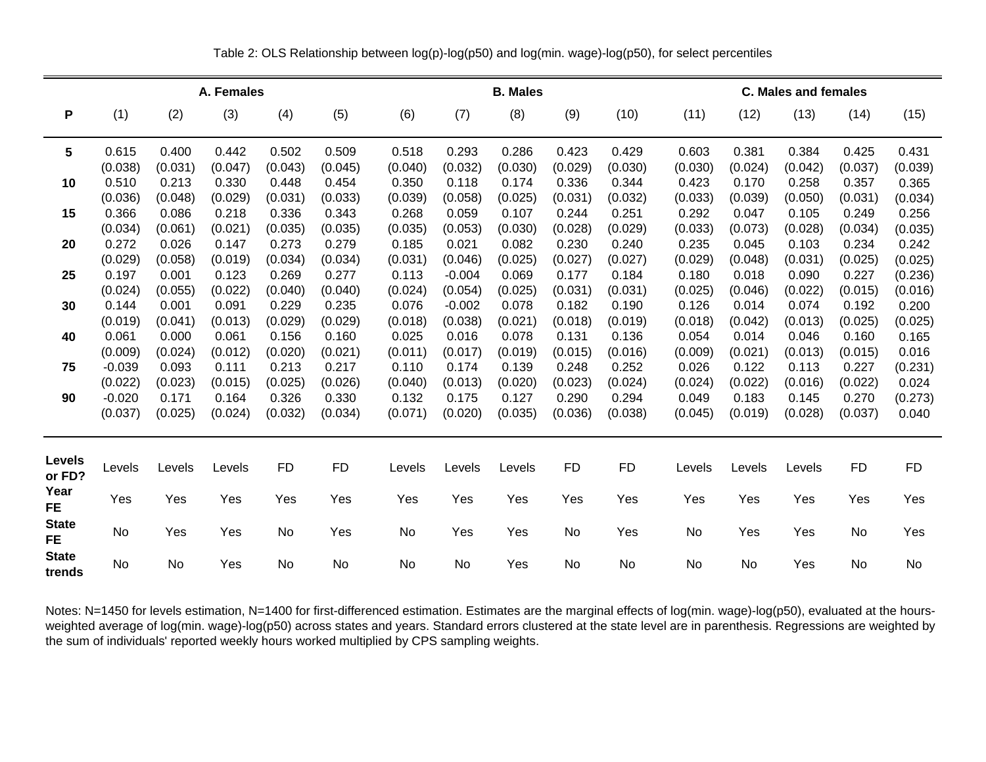|                           |          |           |            |           |           |         |           |                 |           |           | C. Males and females |         |         |           |           |  |  |
|---------------------------|----------|-----------|------------|-----------|-----------|---------|-----------|-----------------|-----------|-----------|----------------------|---------|---------|-----------|-----------|--|--|
|                           |          |           | A. Females |           |           |         |           | <b>B. Males</b> |           |           |                      |         |         |           |           |  |  |
| P                         | (1)      | (2)       | (3)        | (4)       | (5)       | (6)     | (7)       | (8)             | (9)       | (10)      | (11)                 | (12)    | (13)    | (14)      | (15)      |  |  |
| 5                         | 0.615    | 0.400     | 0.442      | 0.502     | 0.509     | 0.518   | 0.293     | 0.286           | 0.423     | 0.429     | 0.603                | 0.381   | 0.384   | 0.425     | 0.431     |  |  |
|                           | (0.038)  | (0.031)   | (0.047)    | (0.043)   | (0.045)   | (0.040) | (0.032)   | (0.030)         | (0.029)   | (0.030)   | (0.030)              | (0.024) | (0.042) | (0.037)   | (0.039)   |  |  |
| 10                        | 0.510    | 0.213     | 0.330      | 0.448     | 0.454     | 0.350   | 0.118     | 0.174           | 0.336     | 0.344     | 0.423                | 0.170   | 0.258   | 0.357     | 0.365     |  |  |
|                           | (0.036)  | (0.048)   | (0.029)    | (0.031)   | (0.033)   | (0.039) | (0.058)   | (0.025)         | (0.031)   | (0.032)   | (0.033)              | (0.039) | (0.050) | (0.031)   | (0.034)   |  |  |
| 15                        | 0.366    | 0.086     | 0.218      | 0.336     | 0.343     | 0.268   | 0.059     | 0.107           | 0.244     | 0.251     | 0.292                | 0.047   | 0.105   | 0.249     | 0.256     |  |  |
|                           | (0.034)  | (0.061)   | (0.021)    | (0.035)   | (0.035)   | (0.035) | (0.053)   | (0.030)         | (0.028)   | (0.029)   | (0.033)              | (0.073) | (0.028) | (0.034)   | (0.035)   |  |  |
| 20                        | 0.272    | 0.026     | 0.147      | 0.273     | 0.279     | 0.185   | 0.021     | 0.082           | 0.230     | 0.240     | 0.235                | 0.045   | 0.103   | 0.234     | 0.242     |  |  |
|                           | (0.029)  | (0.058)   | (0.019)    | (0.034)   | (0.034)   | (0.031) | (0.046)   | (0.025)         | (0.027)   | (0.027)   | (0.029)              | (0.048) | (0.031) | (0.025)   | (0.025)   |  |  |
| 25                        | 0.197    | 0.001     | 0.123      | 0.269     | 0.277     | 0.113   | $-0.004$  | 0.069           | 0.177     | 0.184     | 0.180                | 0.018   | 0.090   | 0.227     | (0.236)   |  |  |
|                           | (0.024)  | (0.055)   | (0.022)    | (0.040)   | (0.040)   | (0.024) | (0.054)   | (0.025)         | (0.031)   | (0.031)   | (0.025)              | (0.046) | (0.022) | (0.015)   | (0.016)   |  |  |
| 30                        | 0.144    | 0.001     | 0.091      | 0.229     | 0.235     | 0.076   | $-0.002$  | 0.078           | 0.182     | 0.190     | 0.126                | 0.014   | 0.074   | 0.192     | 0.200     |  |  |
|                           | (0.019)  | (0.041)   | (0.013)    | (0.029)   | (0.029)   | (0.018) | (0.038)   | (0.021)         | (0.018)   | (0.019)   | (0.018)              | (0.042) | (0.013) | (0.025)   | (0.025)   |  |  |
| 40                        | 0.061    | 0.000     | 0.061      | 0.156     | 0.160     | 0.025   | 0.016     | 0.078           | 0.131     | 0.136     | 0.054                | 0.014   | 0.046   | 0.160     | 0.165     |  |  |
|                           | (0.009)  | (0.024)   | (0.012)    | (0.020)   | (0.021)   | (0.011) | (0.017)   | (0.019)         | (0.015)   | (0.016)   | (0.009)              | (0.021) | (0.013) | (0.015)   | 0.016     |  |  |
| 75                        | $-0.039$ | 0.093     | 0.111      | 0.213     | 0.217     | 0.110   | 0.174     | 0.139           | 0.248     | 0.252     | 0.026                | 0.122   | 0.113   | 0.227     | (0.231)   |  |  |
|                           | (0.022)  | (0.023)   | (0.015)    | (0.025)   | (0.026)   | (0.040) | (0.013)   | (0.020)         | (0.023)   | (0.024)   | (0.024)              | (0.022) | (0.016) | (0.022)   | 0.024     |  |  |
| 90                        | $-0.020$ | 0.171     | 0.164      | 0.326     | 0.330     | 0.132   | 0.175     | 0.127           | 0.290     | 0.294     | 0.049                | 0.183   | 0.145   | 0.270     | (0.273)   |  |  |
|                           | (0.037)  | (0.025)   | (0.024)    | (0.032)   | (0.034)   | (0.071) | (0.020)   | (0.035)         | (0.036)   | (0.038)   | (0.045)              | (0.019) | (0.028) | (0.037)   | 0.040     |  |  |
|                           |          |           |            |           |           |         |           |                 |           |           |                      |         |         |           |           |  |  |
| <b>Levels</b><br>or FD?   | Levels   | Levels    | Levels     | <b>FD</b> | <b>FD</b> | Levels  | Levels    | Levels          | <b>FD</b> | <b>FD</b> | Levels               | Levels  | Levels  | <b>FD</b> | <b>FD</b> |  |  |
| Year<br><b>FE</b>         | Yes      | Yes       | Yes        | Yes       | Yes       | Yes     | Yes       | Yes             | Yes       | Yes       | Yes                  | Yes     | Yes     | Yes       | Yes       |  |  |
| <b>State</b><br><b>FE</b> | No       | Yes       | Yes        | No        | Yes       | No      | Yes       | Yes             | No        | Yes       | No                   | Yes     | Yes     | No        | Yes       |  |  |
| <b>State</b><br>trends    | No       | <b>No</b> | Yes        | No        | No        | No.     | <b>No</b> | Yes             | No.       | <b>No</b> | No                   | No      | Yes     | No        | No        |  |  |

Table 2: OLS Relationship between log(p)-log(p50) and log(min. wage)-log(p50), for select percentiles

Notes: N=1450 for levels estimation, N=1400 for first-differenced estimation. Estimates are the marginal effects of log(min. wage)-log(p50), evaluated at the hoursweighted average of log(min. wage)-log(p50) across states and years. Standard errors clustered at the state level are in parenthesis. Regressions are weighted by the sum of individuals' reported weekly hours worked multiplied by CPS sampling weights.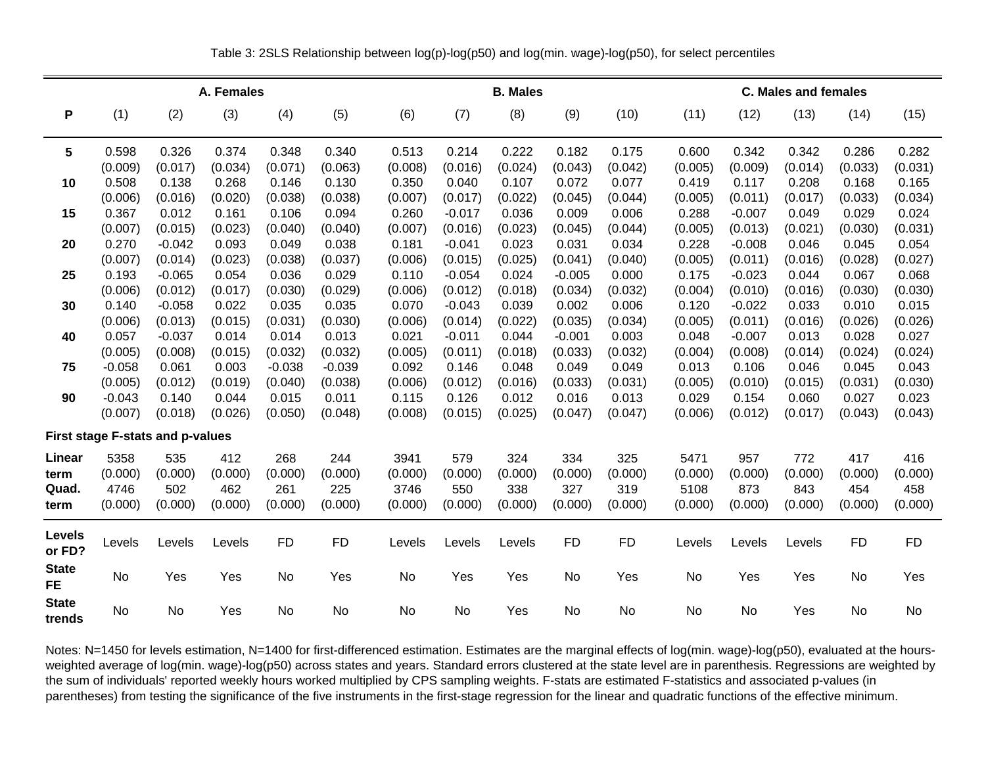|                           |                  |                                  | A. Females       |                  |                  |                  |                  | <b>B. Males</b>  |                  |                  |                  | <b>C. Males and females</b> |                  |                  |                  |  |  |  |
|---------------------------|------------------|----------------------------------|------------------|------------------|------------------|------------------|------------------|------------------|------------------|------------------|------------------|-----------------------------|------------------|------------------|------------------|--|--|--|
| P                         | (1)              | (2)                              | (3)              | (4)              | (5)              | (6)              | (7)              | (8)              | (9)              | (10)             | (11)             | (12)                        | (13)             | (14)             | (15)             |  |  |  |
| 5                         | 0.598<br>(0.009) | 0.326<br>(0.017)                 | 0.374<br>(0.034) | 0.348<br>(0.071) | 0.340<br>(0.063) | 0.513<br>(0.008) | 0.214<br>(0.016) | 0.222<br>(0.024) | 0.182<br>(0.043) | 0.175<br>(0.042) | 0.600<br>(0.005) | 0.342<br>(0.009)            | 0.342<br>(0.014) | 0.286<br>(0.033) | 0.282<br>(0.031) |  |  |  |
| 10                        | 0.508            | 0.138                            | 0.268            | 0.146            | 0.130            | 0.350            | 0.040            | 0.107            | 0.072            | 0.077            | 0.419            | 0.117                       | 0.208            | 0.168            | 0.165            |  |  |  |
|                           | (0.006)          | (0.016)                          | (0.020)          | (0.038)          | (0.038)          | (0.007)          | (0.017)          | (0.022)          | (0.045)          | (0.044)          | (0.005)          | (0.011)                     | (0.017)          | (0.033)          | (0.034)          |  |  |  |
| 15                        | 0.367            | 0.012                            | 0.161            | 0.106            | 0.094            | 0.260            | $-0.017$         | 0.036            | 0.009            | 0.006            | 0.288            | $-0.007$                    | 0.049            | 0.029            | 0.024            |  |  |  |
|                           | (0.007)          | (0.015)                          | (0.023)          | (0.040)          | (0.040)          | (0.007)          | (0.016)          | (0.023)          | (0.045)          | (0.044)          | (0.005)          | (0.013)                     | (0.021)          | (0.030)          | (0.031)          |  |  |  |
| 20                        | 0.270            | $-0.042$                         | 0.093            | 0.049            | 0.038            | 0.181            | $-0.041$         | 0.023            | 0.031            | 0.034            | 0.228            | $-0.008$                    | 0.046            | 0.045            | 0.054            |  |  |  |
|                           | (0.007)          | (0.014)                          | (0.023)          | (0.038)          | (0.037)          | (0.006)          | (0.015)          | (0.025)          | (0.041)          | (0.040)          | (0.005)          | (0.011)                     | (0.016)          | (0.028)          | (0.027)          |  |  |  |
| 25                        | 0.193            | $-0.065$                         | 0.054            | 0.036            | 0.029            | 0.110            | $-0.054$         | 0.024            | $-0.005$         | 0.000            | 0.175            | $-0.023$                    | 0.044            | 0.067            | 0.068            |  |  |  |
|                           | (0.006)          | (0.012)                          | (0.017)          | (0.030)          | (0.029)          | (0.006)          | (0.012)          | (0.018)          | (0.034)          | (0.032)          | (0.004)          | (0.010)                     | (0.016)          | (0.030)          | (0.030)          |  |  |  |
| 30                        | 0.140            | $-0.058$                         | 0.022            | 0.035            | 0.035            | 0.070            | $-0.043$         | 0.039            | 0.002            | 0.006            | 0.120            | $-0.022$                    | 0.033            | 0.010            | 0.015            |  |  |  |
|                           | (0.006)          | (0.013)                          | (0.015)          | (0.031)          | (0.030)          | (0.006)          | (0.014)          | (0.022)          | (0.035)          | (0.034)          | (0.005)          | (0.011)                     | (0.016)          | (0.026)          | (0.026)          |  |  |  |
| 40                        | 0.057            | $-0.037$                         | 0.014            | 0.014            | 0.013            | 0.021            | $-0.011$         | 0.044            | $-0.001$         | 0.003            | 0.048            | $-0.007$                    | 0.013            | 0.028            | 0.027            |  |  |  |
|                           | (0.005)          | (0.008)                          | (0.015)          | (0.032)          | (0.032)          | (0.005)          | (0.011)          | (0.018)          | (0.033)          | (0.032)          | (0.004)          | (0.008)                     | (0.014)          | (0.024)          | (0.024)          |  |  |  |
| 75                        | $-0.058$         | 0.061                            | 0.003            | $-0.038$         | $-0.039$         | 0.092            | 0.146            | 0.048            | 0.049            | 0.049            | 0.013            | 0.106                       | 0.046            | 0.045            | 0.043            |  |  |  |
|                           | (0.005)          | (0.012)                          | (0.019)          | (0.040)          | (0.038)          | (0.006)          | (0.012)          | (0.016)          | (0.033)          | (0.031)          | (0.005)          | (0.010)                     | (0.015)          | (0.031)          | (0.030)          |  |  |  |
| 90                        | $-0.043$         | 0.140                            | 0.044            | 0.015            | 0.011            | 0.115            | 0.126            | 0.012            | 0.016            | 0.013            | 0.029            | 0.154                       | 0.060            | 0.027            | 0.023            |  |  |  |
|                           | (0.007)          | (0.018)                          | (0.026)          | (0.050)          | (0.048)          | (0.008)          | (0.015)          | (0.025)          | (0.047)          | (0.047)          | (0.006)          | (0.012)                     | (0.017)          | (0.043)          | (0.043)          |  |  |  |
|                           |                  | First stage F-stats and p-values |                  |                  |                  |                  |                  |                  |                  |                  |                  |                             |                  |                  |                  |  |  |  |
| Linear                    | 5358             | 535                              | 412              | 268              | 244              | 3941             | 579              | 324              | 334              | 325              | 5471             | 957                         | 772              | 417              | 416              |  |  |  |
| term                      | (0.000)          | (0.000)                          | (0.000)          | (0.000)          | (0.000)          | (0.000)          | (0.000)          | (0.000)          | (0.000)          | (0.000)          | (0.000)          | (0.000)                     | (0.000)          | (0.000)          | (0.000)          |  |  |  |
| Quad.                     | 4746             | 502                              | 462              | 261              | 225              | 3746             | 550              | 338              | 327              | 319              | 5108             | 873                         | 843              | 454              | 458              |  |  |  |
| term                      | (0.000)          | (0.000)                          | (0.000)          | (0.000)          | (0.000)          | (0.000)          | (0.000)          | (0.000)          | (0.000)          | (0.000)          | (0.000)          | (0.000)                     | (0.000)          | (0.000)          | (0.000)          |  |  |  |
| Levels<br>or FD?          | Levels           | Levels                           | Levels           | <b>FD</b>        | <b>FD</b>        | Levels           | Levels           | Levels           | <b>FD</b>        | <b>FD</b>        | Levels           | Levels                      | Levels           | <b>FD</b>        | <b>FD</b>        |  |  |  |
| <b>State</b><br><b>FE</b> | <b>No</b>        | Yes                              | Yes              | No               | Yes              | No               | Yes              | Yes              | No               | Yes              | No               | Yes                         | Yes              | No               | Yes              |  |  |  |
| <b>State</b><br>trends    | <b>No</b>        | <b>No</b>                        | Yes              | No               | No               | No               | <b>No</b>        | Yes              | No               | No               | No               | No                          | Yes              | <b>No</b>        | No               |  |  |  |

Table 3: 2SLS Relationship between log(p)-log(p50) and log(min. wage)-log(p50), for select percentiles

Notes: N=1450 for levels estimation, N=1400 for first-differenced estimation. Estimates are the marginal effects of log(min. wage)-log(p50), evaluated at the hoursweighted average of log(min. wage)-log(p50) across states and years. Standard errors clustered at the state level are in parenthesis. Regressions are weighted by the sum of individuals' reported weekly hours worked multiplied by CPS sampling weights. F-stats are estimated F-statistics and associated p-values (in parentheses) from testing the significance of the five instruments in the first-stage regression for the linear and quadratic functions of the effective minimum.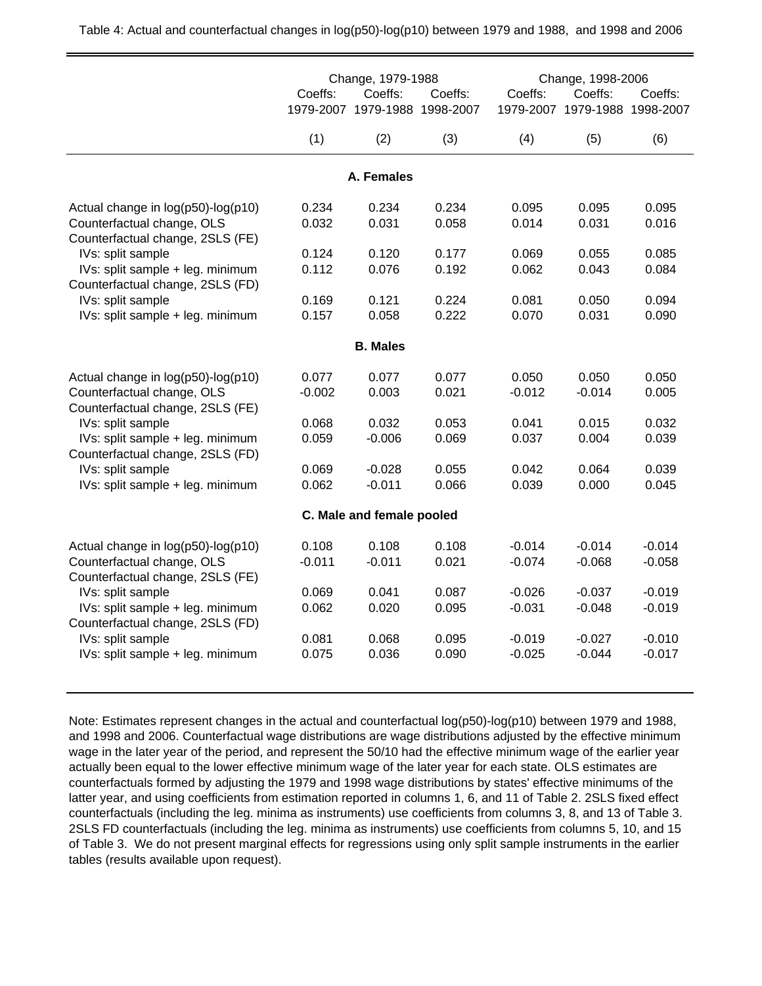|                                                                      | Coeffs:   | Change, 1979-1988<br>Coeffs:          | Coeffs:   | Coeffs:   | Change, 1998-2006<br>Coeffs: | Coeffs:   |
|----------------------------------------------------------------------|-----------|---------------------------------------|-----------|-----------|------------------------------|-----------|
|                                                                      | 1979-2007 | 1979-1988                             | 1998-2007 | 1979-2007 | 1979-1988                    | 1998-2007 |
|                                                                      | (1)       | (2)                                   | (3)       | (4)       | (5)                          | (6)       |
|                                                                      |           | A. Females                            |           |           |                              |           |
| Actual change in log(p50)-log(p10)                                   | 0.234     | 0.234                                 | 0.234     | 0.095     | 0.095                        | 0.095     |
| Counterfactual change, OLS<br>Counterfactual change, 2SLS (FE)       | 0.032     | 0.031                                 | 0.058     | 0.014     | 0.031                        | 0.016     |
| IVs: split sample                                                    | 0.124     | 0.120                                 | 0.177     | 0.069     | 0.055                        | 0.085     |
| IVs: split sample + leg. minimum<br>Counterfactual change, 2SLS (FD) | 0.112     | 0.076                                 | 0.192     | 0.062     | 0.043                        | 0.084     |
| IVs: split sample                                                    | 0.169     | 0.121                                 | 0.224     | 0.081     | 0.050                        | 0.094     |
| IVs: split sample + leg. minimum                                     | 0.157     | 0.058                                 | 0.222     | 0.070     | 0.031                        | 0.090     |
|                                                                      |           | <b>B. Males</b>                       |           |           |                              |           |
| Actual change in log(p50)-log(p10)                                   | 0.077     | 0.077                                 | 0.077     | 0.050     | 0.050                        | 0.050     |
| Counterfactual change, OLS<br>Counterfactual change, 2SLS (FE)       | $-0.002$  | 0.003                                 | 0.021     | $-0.012$  | $-0.014$                     | 0.005     |
| IVs: split sample                                                    | 0.068     | 0.032                                 | 0.053     | 0.041     | 0.015                        | 0.032     |
| IVs: split sample + leg. minimum<br>Counterfactual change, 2SLS (FD) | 0.059     | $-0.006$                              | 0.069     | 0.037     | 0.004                        | 0.039     |
| IVs: split sample                                                    | 0.069     | $-0.028$                              | 0.055     | 0.042     | 0.064                        | 0.039     |
| IVs: split sample + leg. minimum                                     | 0.062     | $-0.011$<br>C. Male and female pooled | 0.066     | 0.039     | 0.000                        | 0.045     |

Note: Estimates represent changes in the actual and counterfactual log(p50)-log(p10) between 1979 and 1988, and 1998 and 2006. Counterfactual wage distributions are wage distributions adjusted by the effective minimum wage in the later year of the period, and represent the 50/10 had the effective minimum wage of the earlier year actually been equal to the lower effective minimum wage of the later year for each state. OLS estimates are counterfactuals formed by adjusting the 1979 and 1998 wage distributions by states' effective minimums of the latter year, and using coefficients from estimation reported in columns 1, 6, and 11 of Table 2. 2SLS fixed effect counterfactuals (including the leg. minima as instruments) use coefficients from columns 3, 8, and 13 of Table 3. 2SLS FD counterfactuals (including the leg. minima as instruments) use coefficients from columns 5, 10, and 15 of Table 3. We do not present marginal effects for regressions using only split sample instruments in the earlier tables (results available upon request).

Actual change in log(p50)-log(p10) 0.108 0.108 0.108 -0.014 -0.014 -0.014 Counterfactual change, OLS -0.011 -0.011 0.021 -0.074 -0.068 -0.058

 IVs: split sample 0.069 0.041 0.087 -0.026 -0.037 -0.019 IVs: split sample + leg. minimum 0.062 0.020 0.095 -0.031 -0.048 -0.019

IVs: split sample  $0.081$   $0.068$   $0.095$   $0.019$   $0.027$   $0.010$ IVs: split sample + leg. minimum 0.075 0.036 0.090 -0.025 -0.044 -0.017

Counterfactual change, 2SLS (FE)

Counterfactual change, 2SLS (FD)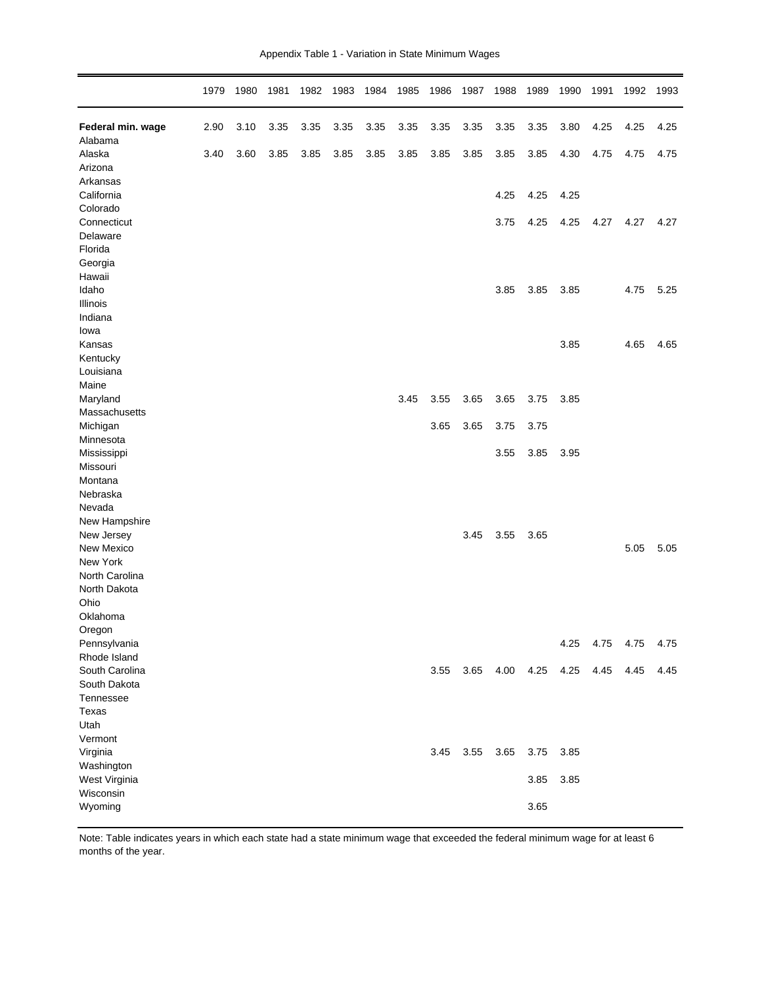| Appendix Table 1 - Variation in State Minimum Wages |  |  |  |  |  |
|-----------------------------------------------------|--|--|--|--|--|
|-----------------------------------------------------|--|--|--|--|--|

|                       | 1979 | 1980 | 1981 | 1982 | 1983 | 1984 | 1985 | 1986 | 1987 | 1988 | 1989 | 1990 | 1991 | 1992 | 1993 |
|-----------------------|------|------|------|------|------|------|------|------|------|------|------|------|------|------|------|
| Federal min. wage     | 2.90 | 3.10 | 3.35 | 3.35 | 3.35 | 3.35 | 3.35 | 3.35 | 3.35 | 3.35 | 3.35 | 3.80 | 4.25 | 4.25 | 4.25 |
| Alabama<br>Alaska     | 3.40 | 3.60 | 3.85 | 3.85 | 3.85 | 3.85 | 3.85 | 3.85 | 3.85 | 3.85 | 3.85 | 4.30 | 4.75 | 4.75 | 4.75 |
| Arizona               |      |      |      |      |      |      |      |      |      |      |      |      |      |      |      |
| Arkansas              |      |      |      |      |      |      |      |      |      |      |      |      |      |      |      |
| California            |      |      |      |      |      |      |      |      |      | 4.25 | 4.25 | 4.25 |      |      |      |
| Colorado              |      |      |      |      |      |      |      |      |      |      |      |      |      |      |      |
| Connecticut           |      |      |      |      |      |      |      |      |      | 3.75 | 4.25 | 4.25 | 4.27 | 4.27 | 4.27 |
| Delaware              |      |      |      |      |      |      |      |      |      |      |      |      |      |      |      |
| Florida               |      |      |      |      |      |      |      |      |      |      |      |      |      |      |      |
| Georgia               |      |      |      |      |      |      |      |      |      |      |      |      |      |      |      |
| Hawaii                |      |      |      |      |      |      |      |      |      |      |      |      |      |      |      |
| Idaho                 |      |      |      |      |      |      |      |      |      | 3.85 | 3.85 | 3.85 |      | 4.75 | 5.25 |
| Illinois              |      |      |      |      |      |      |      |      |      |      |      |      |      |      |      |
| Indiana               |      |      |      |      |      |      |      |      |      |      |      |      |      |      |      |
| Iowa                  |      |      |      |      |      |      |      |      |      |      |      |      |      |      |      |
| Kansas                |      |      |      |      |      |      |      |      |      |      |      | 3.85 |      | 4.65 | 4.65 |
| Kentucky              |      |      |      |      |      |      |      |      |      |      |      |      |      |      |      |
| Louisiana             |      |      |      |      |      |      |      |      |      |      |      |      |      |      |      |
| Maine                 |      |      |      |      |      |      |      |      |      |      |      |      |      |      |      |
| Maryland              |      |      |      |      |      |      | 3.45 | 3.55 | 3.65 | 3.65 | 3.75 | 3.85 |      |      |      |
| Massachusetts         |      |      |      |      |      |      |      | 3.65 | 3.65 | 3.75 | 3.75 |      |      |      |      |
| Michigan<br>Minnesota |      |      |      |      |      |      |      |      |      |      |      |      |      |      |      |
| Mississippi           |      |      |      |      |      |      |      |      |      | 3.55 | 3.85 | 3.95 |      |      |      |
| Missouri              |      |      |      |      |      |      |      |      |      |      |      |      |      |      |      |
| Montana               |      |      |      |      |      |      |      |      |      |      |      |      |      |      |      |
| Nebraska              |      |      |      |      |      |      |      |      |      |      |      |      |      |      |      |
| Nevada                |      |      |      |      |      |      |      |      |      |      |      |      |      |      |      |
| New Hampshire         |      |      |      |      |      |      |      |      |      |      |      |      |      |      |      |
| New Jersey            |      |      |      |      |      |      |      |      | 3.45 | 3.55 | 3.65 |      |      |      |      |
| New Mexico            |      |      |      |      |      |      |      |      |      |      |      |      |      | 5.05 | 5.05 |
| New York              |      |      |      |      |      |      |      |      |      |      |      |      |      |      |      |
| North Carolina        |      |      |      |      |      |      |      |      |      |      |      |      |      |      |      |
| North Dakota          |      |      |      |      |      |      |      |      |      |      |      |      |      |      |      |
| Ohio                  |      |      |      |      |      |      |      |      |      |      |      |      |      |      |      |
| Oklahoma              |      |      |      |      |      |      |      |      |      |      |      |      |      |      |      |
| Oregon                |      |      |      |      |      |      |      |      |      |      |      |      |      |      |      |
| Pennsylvania          |      |      |      |      |      |      |      |      |      |      |      | 4.25 | 4.75 | 4.75 | 4.75 |
| Rhode Island          |      |      |      |      |      |      |      |      |      |      |      |      |      |      |      |
| South Carolina        |      |      |      |      |      |      |      | 3.55 | 3.65 | 4.00 | 4.25 | 4.25 | 4.45 | 4.45 | 4.45 |
| South Dakota          |      |      |      |      |      |      |      |      |      |      |      |      |      |      |      |
| Tennessee             |      |      |      |      |      |      |      |      |      |      |      |      |      |      |      |
| Texas                 |      |      |      |      |      |      |      |      |      |      |      |      |      |      |      |
| Utah<br>Vermont       |      |      |      |      |      |      |      |      |      |      |      |      |      |      |      |
| Virginia              |      |      |      |      |      |      |      | 3.45 | 3.55 | 3.65 | 3.75 | 3.85 |      |      |      |
| Washington            |      |      |      |      |      |      |      |      |      |      |      |      |      |      |      |
| West Virginia         |      |      |      |      |      |      |      |      |      |      | 3.85 | 3.85 |      |      |      |
| Wisconsin             |      |      |      |      |      |      |      |      |      |      |      |      |      |      |      |
| Wyoming               |      |      |      |      |      |      |      |      |      |      | 3.65 |      |      |      |      |
|                       |      |      |      |      |      |      |      |      |      |      |      |      |      |      |      |

Note: Table indicates years in which each state had a state minimum wage that exceeded the federal minimum wage for at least 6 months of the year.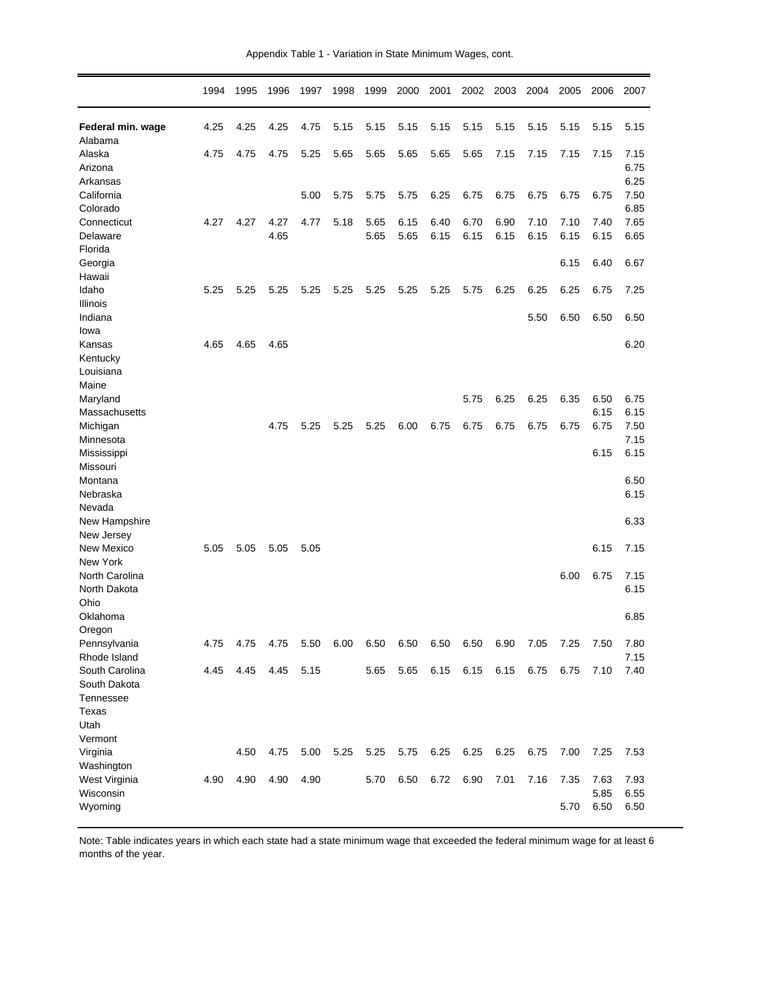|  |  |  | Appendix Table 1 - Variation in State Minimum Wages, cont. |  |  |  |  |
|--|--|--|------------------------------------------------------------|--|--|--|--|
|--|--|--|------------------------------------------------------------|--|--|--|--|

|                                                       | 1994         | 1995         | 1996         | 1997         | 1998 | 1999         | 2000         | 2001         | 2002         | 2003         | 2004         | 2005         | 2006                 | 2007                 |
|-------------------------------------------------------|--------------|--------------|--------------|--------------|------|--------------|--------------|--------------|--------------|--------------|--------------|--------------|----------------------|----------------------|
| Federal min. wage<br>Alabama                          | 4.25         | 4.25         | 4.25         | 4.75         | 5.15 | 5.15         | 5.15         | 5.15         | 5.15         | 5.15         | 5.15         | 5.15         | 5.15                 | 5.15                 |
| Alaska<br>Arizona                                     | 4.75         | 4.75         | 4.75         | 5.25         | 5.65 | 5.65         | 5.65         | 5.65         | 5.65         | 7.15         | 7.15         | 7.15         | 7.15                 | 7.15<br>6.75         |
| Arkansas<br>California<br>Colorado                    |              |              |              | 5.00         | 5.75 | 5.75         | 5.75         | 6.25         | 6.75         | 6.75         | 6.75         | 6.75         | 6.75                 | 6.25<br>7.50         |
| Connecticut<br>Delaware                               | 4.27         | 4.27         | 4.27<br>4.65 | 4.77         | 5.18 | 5.65<br>5.65 | 6.15<br>5.65 | 6.40<br>6.15 | 6.70<br>6.15 | 6.90<br>6.15 | 7.10<br>6.15 | 7.10<br>6.15 | 7.40<br>6.15         | 6.85<br>7.65<br>6.65 |
| Florida<br>Georgia<br>Hawaii                          |              |              |              |              |      |              |              |              |              |              |              | 6.15         | 6.40                 | 6.67                 |
| Idaho<br>Illinois                                     | 5.25         | 5.25         | 5.25         | 5.25         | 5.25 | 5.25         | 5.25         | 5.25         | 5.75         | 6.25         | 6.25         | 6.25         | 6.75                 | 7.25                 |
| Indiana<br>Iowa<br>Kansas                             |              |              |              |              |      |              |              |              |              |              | 5.50         | 6.50         | 6.50                 | 6.50                 |
| Kentucky<br>Louisiana<br>Maine                        | 4.65         | 4.65         | 4.65         |              |      |              |              |              |              |              |              |              |                      | 6.20                 |
| Maryland<br>Massachusetts                             |              |              |              |              |      |              |              |              | 5.75         | 6.25         | 6.25         | 6.35         | 6.50<br>6.15         | 6.75<br>6.15         |
| Michigan<br>Minnesota                                 |              |              | 4.75         | 5.25         | 5.25 | 5.25         | 6.00         | 6.75         | 6.75         | 6.75         | 6.75         | 6.75         | 6.75                 | 7.50<br>7.15         |
| Mississippi<br>Missouri<br>Montana                    |              |              |              |              |      |              |              |              |              |              |              |              | 6.15                 | 6.15<br>6.50         |
| Nebraska<br>Nevada                                    |              |              |              |              |      |              |              |              |              |              |              |              |                      | 6.15                 |
| New Hampshire<br>New Jersey<br>New Mexico             | 5.05         | 5.05         | 5.05         | 5.05         |      |              |              |              |              |              |              |              | 6.15                 | 6.33<br>7.15         |
| New York<br>North Carolina                            |              |              |              |              |      |              |              |              |              |              |              | 6.00         | 6.75                 | 7.15                 |
| North Dakota<br>Ohio                                  |              |              |              |              |      |              |              |              |              |              |              |              |                      | 6.15                 |
| Oklahoma<br>Oregon<br>Pennsylvania                    |              |              |              |              |      |              |              |              |              |              |              |              |                      | 6.85                 |
| Rhode Island<br>South Carolina                        | 4.75<br>4.45 | 4.75<br>4.45 | 4.75<br>4.45 | 5.50<br>5.15 | 6.00 | 6.50<br>5.65 | 6.50<br>5.65 | 6.50<br>6.15 | 6.50<br>6.15 | 6.90<br>6.15 | 7.05<br>6.75 | 7.25<br>6.75 | 7.50<br>7.10         | 7.80<br>7.15<br>7.40 |
| South Dakota<br>Tennessee<br>Texas<br>Utah<br>Vermont |              |              |              |              |      |              |              |              |              |              |              |              |                      |                      |
| Virginia<br>Washington                                |              | 4.50         | 4.75         | 5.00         | 5.25 | 5.25         | 5.75         | 6.25         | 6.25         | 6.25         | 6.75         | 7.00         | 7.25                 | 7.53                 |
| West Virginia<br>Wisconsin<br>Wyoming                 | 4.90         | 4.90         | 4.90         | 4.90         |      | 5.70         | 6.50         | 6.72         | 6.90         | 7.01         | 7.16         | 7.35<br>5.70 | 7.63<br>5.85<br>6.50 | 7.93<br>6.55<br>6.50 |

Note: Table indicates years in which each state had a state minimum wage that exceeded the federal minimum wage for at least 6 months of the year.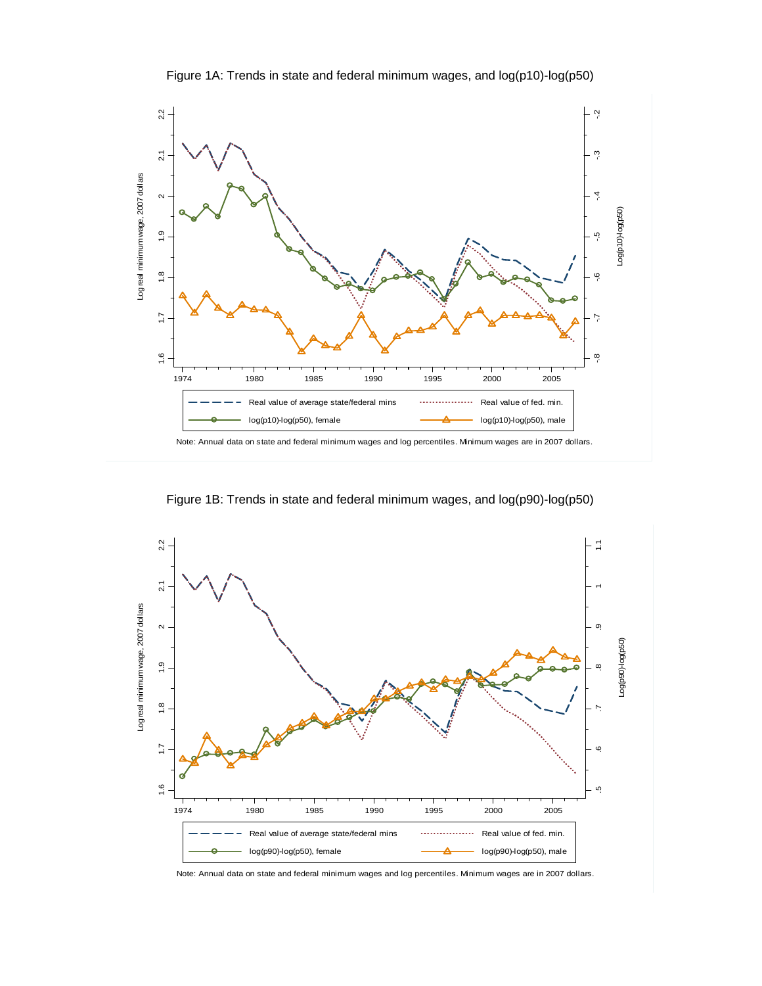

Figure 1A: Trends in state and federal minimum wages, and log(p10)-log(p50)

Figure 1B: Trends in state and federal minimum wages, and log(p90)-log(p50)



Note: Annual data on state and federal minimum wages and log percentiles. Minimum wages are in 2007 dollars.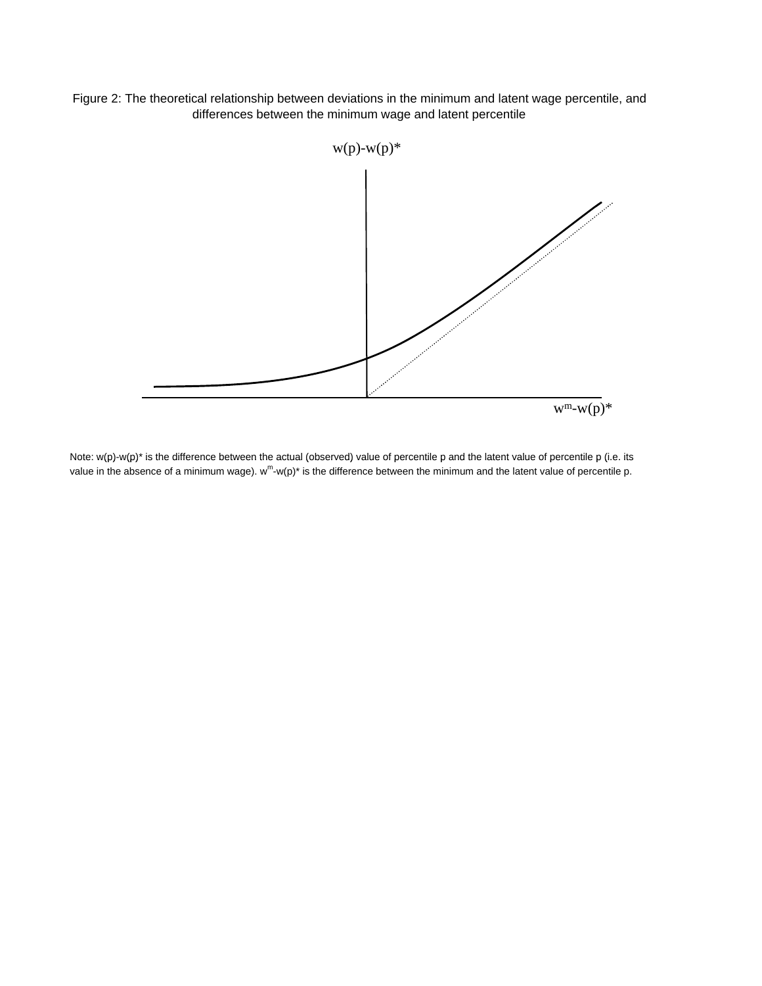Figure 2: The theoretical relationship between deviations in the minimum and latent wage percentile, and differences between the minimum wage and latent percentile



Note:  $w(p)-w(p)^*$  is the difference between the actual (observed) value of percentile p and the latent value of percentile p (i.e. its value in the absence of a minimum wage).  $w^m-w(p)^*$  is the difference between the minimum and the latent value of percentile p.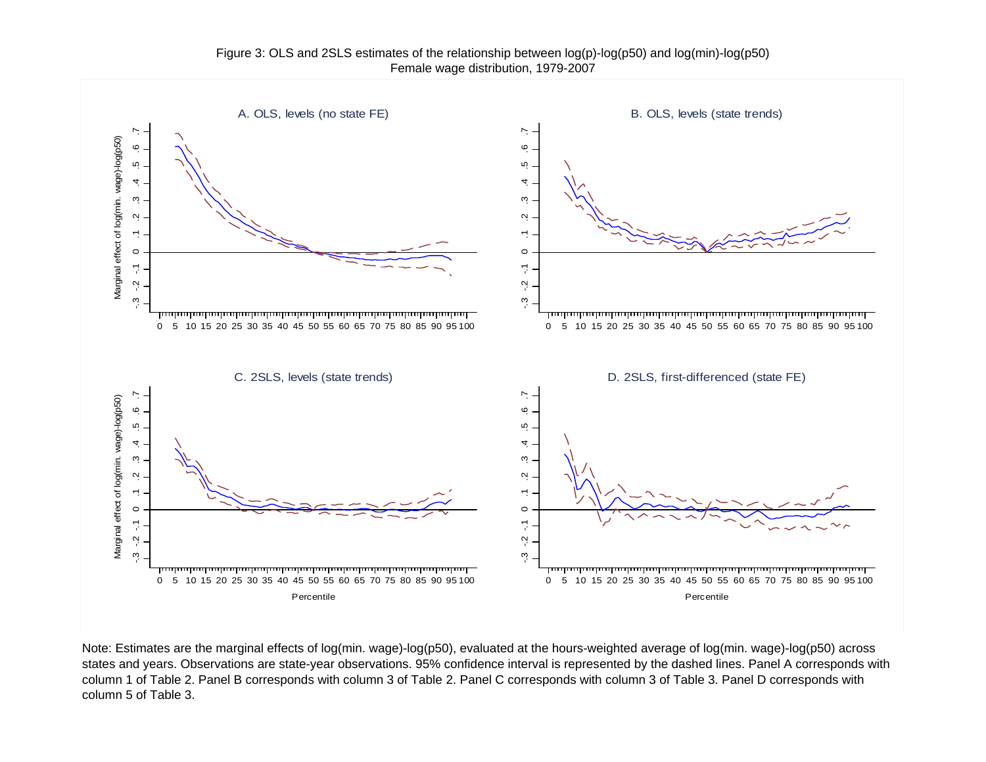

Note: Estimates are the marginal effects of log(min. wage)-log(p50), evaluated at the hours-weighted average of log(min. wage)-log(p50) across states and years. Observations are state-year observations. 95% confidence interval is represented by the dashed lines. Panel A corresponds with column 1 of Table 2. Panel B corresponds with column 3 of Table 2. Panel C corresponds with column 3 of Table 3. Panel D corresponds with column 5 of Table 3.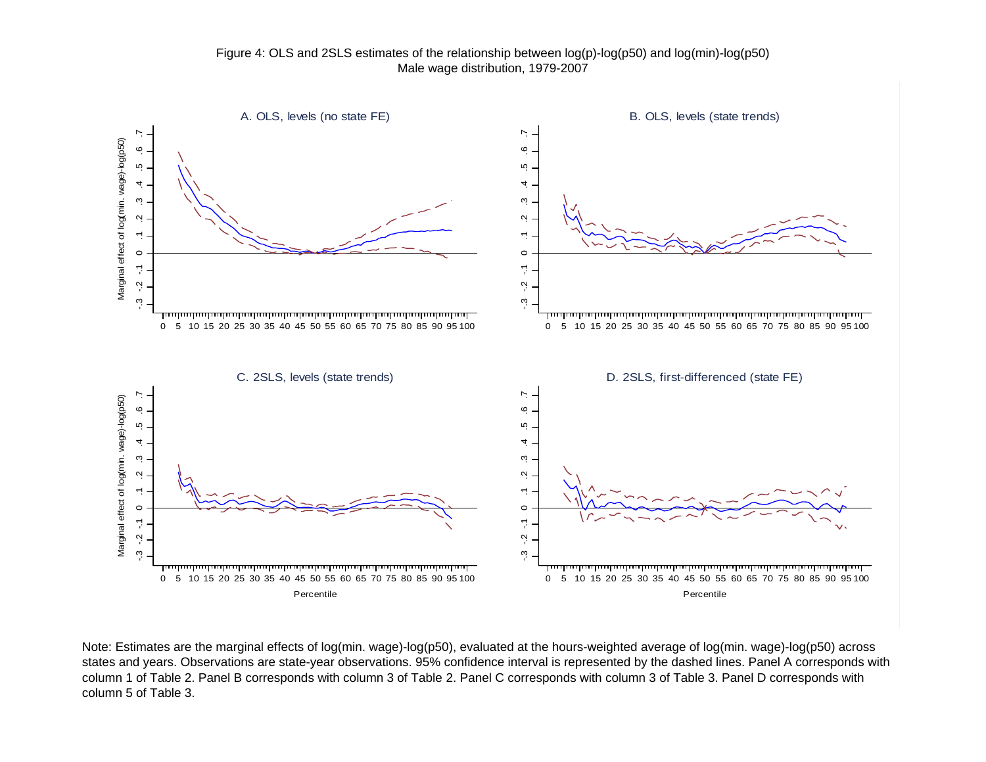

Note: Estimates are the marginal effects of log(min. wage)-log(p50), evaluated at the hours-weighted average of log(min. wage)-log(p50) across states and years. Observations are state-year observations. 95% confidence interval is represented by the dashed lines. Panel A corresponds with column 1 of Table 2. Panel B corresponds with column 3 of Table 2. Panel C corresponds with column 3 of Table 3. Panel D corresponds with column 5 of Table 3.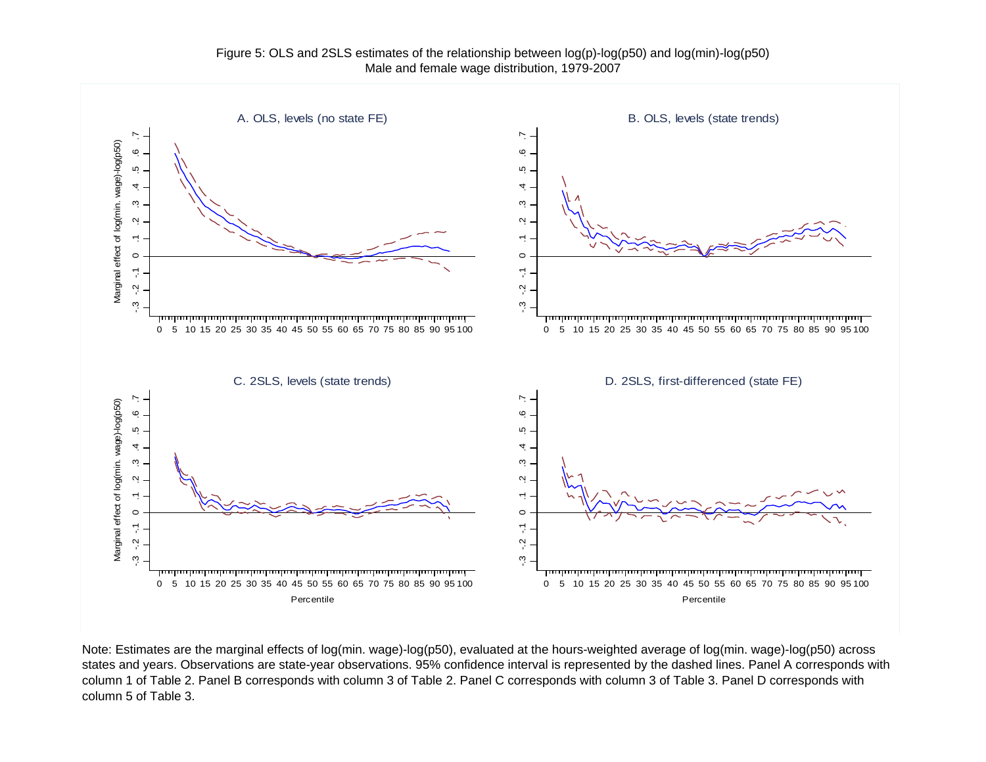

Note: Estimates are the marginal effects of log(min. wage)-log(p50), evaluated at the hours-weighted average of log(min. wage)-log(p50) across states and years. Observations are state-year observations. 95% confidence interval is represented by the dashed lines. Panel A corresponds with column 1 of Table 2. Panel B corresponds with column 3 of Table 2. Panel C corresponds with column 3 of Table 3. Panel D corresponds with column 5 of Table 3.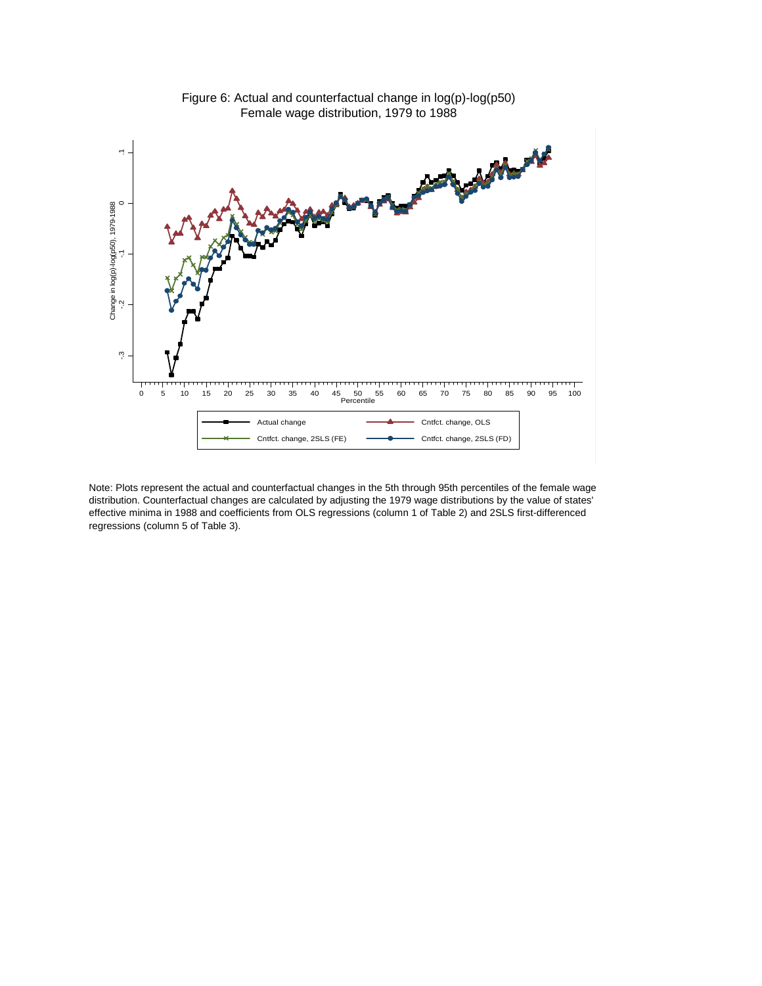

Figure 6: Actual and counterfactual change in log(p)-log(p50) Female wage distribution, 1979 to 1988

Note: Plots represent the actual and counterfactual changes in the 5th through 95th percentiles of the female wage distribution. Counterfactual changes are calculated by adjusting the 1979 wage distributions by the value of states' effective minima in 1988 and coefficients from OLS regressions (column 1 of Table 2) and 2SLS first-differenced regressions (column 5 of Table 3).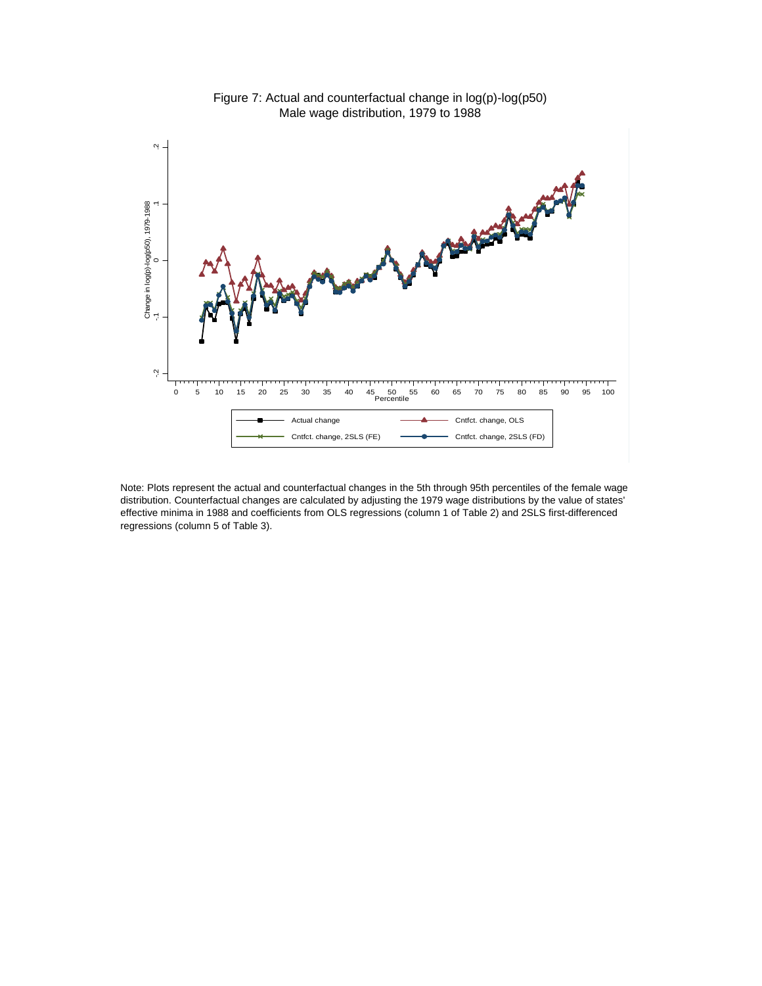

Figure 7: Actual and counterfactual change in log(p)-log(p50) Male wage distribution, 1979 to 1988

Note: Plots represent the actual and counterfactual changes in the 5th through 95th percentiles of the female wage distribution. Counterfactual changes are calculated by adjusting the 1979 wage distributions by the value of states' effective minima in 1988 and coefficients from OLS regressions (column 1 of Table 2) and 2SLS first-differenced regressions (column 5 of Table 3).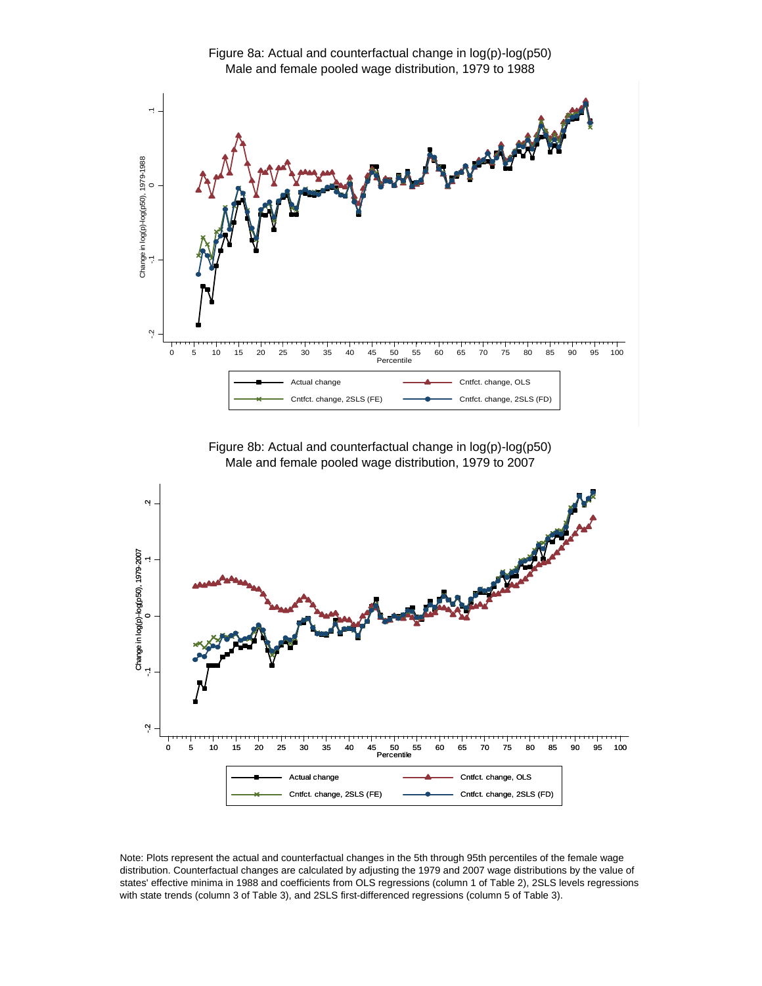

Figure 8b: Actual and counterfactual change in log(p)-log(p50) Male and female pooled wage distribution, 1979 to 2007



Note: Plots represent the actual and counterfactual changes in the 5th through 95th percentiles of the female wage distribution. Counterfactual changes are calculated by adjusting the 1979 and 2007 wage distributions by the value of states' effective minima in 1988 and coefficients from OLS regressions (column 1 of Table 2), 2SLS levels regressions with state trends (column 3 of Table 3), and 2SLS first-differenced regressions (column 5 of Table 3).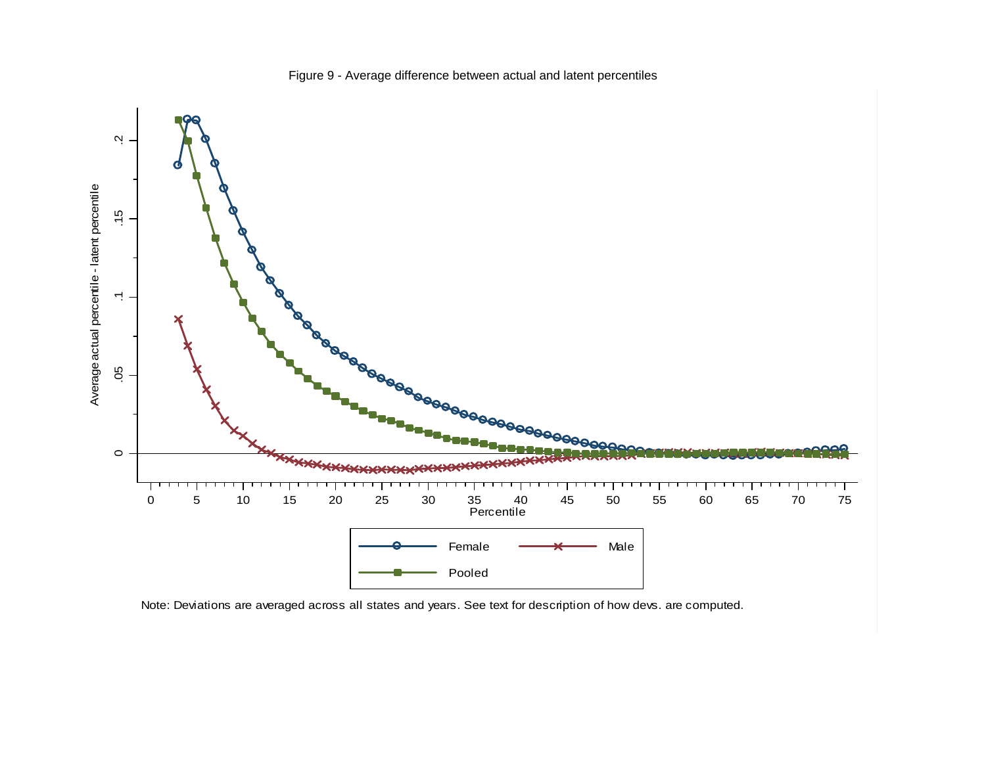

Figure 9 - Average difference between actual and latent percentiles

Note: Deviations are averaged across all states and years. See text for description of how devs. are computed.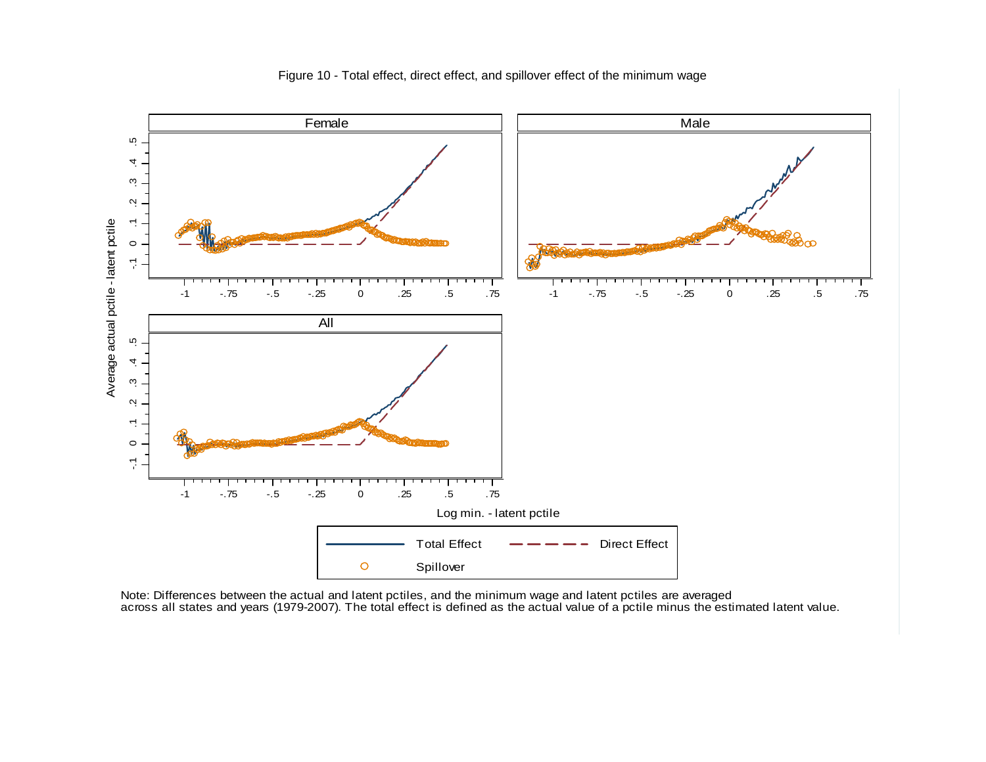

Figure 10 - Total effect, direct effect, and spillover effect of the minimum wage

Note: Differences between the actual and latent pctiles, and the minimum wage and latent pctiles are averaged across all states and years (1979-2007). The total effect is defined as the actual value of a pctile minus the estimated latent value.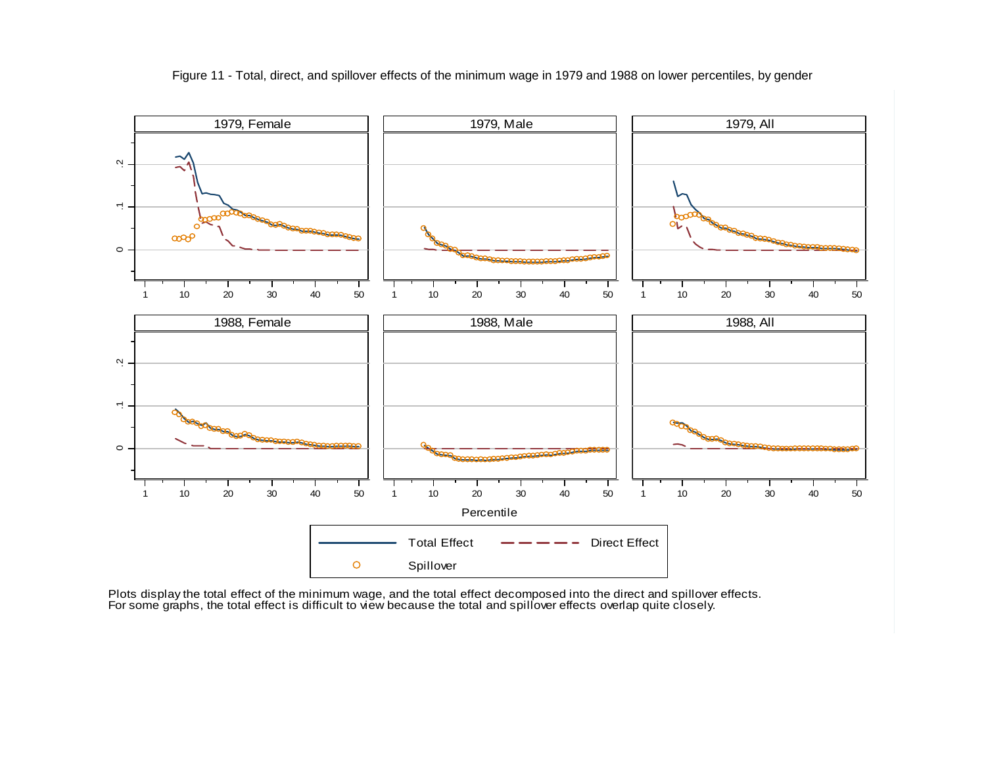

Figure 11 - Total, direct, and spillover effects of the minimum wage in 1979 and 1988 on lower percentiles, by gender

Plots display the total effect of the minimum wage, and the total effect decomposed into the direct and spillover effects. For some graphs, the total effect is difficult to view because the total and spillover effects overlap quite closely.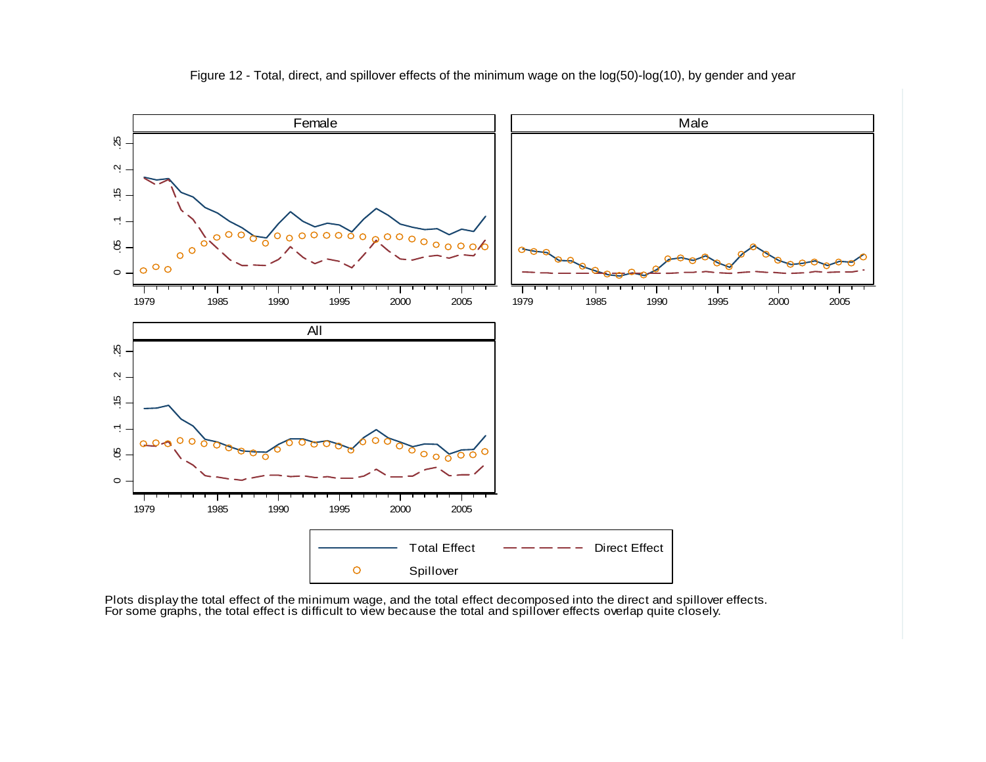

Figure 12 - Total, direct, and spillover effects of the minimum wage on the log(50)-log(10), by gender and year

Plots display the total effect of the minimum wage, and the total effect decomposed into the direct and spillover effects. For some graphs, the total effect is difficult to view because the total and spillover effects overlap quite closely.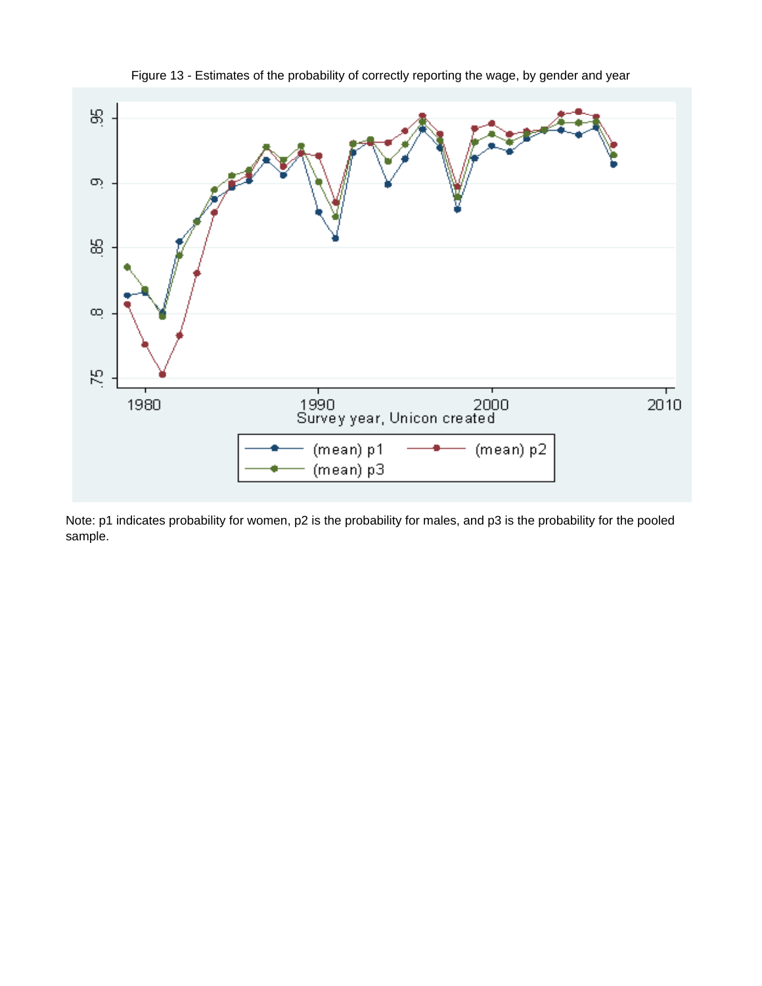

Figure 13 - Estimates of the probability of correctly reporting the wage, by gender and year

Note: p1 indicates probability for women, p2 is the probability for males, and p3 is the probability for the pooled sample.